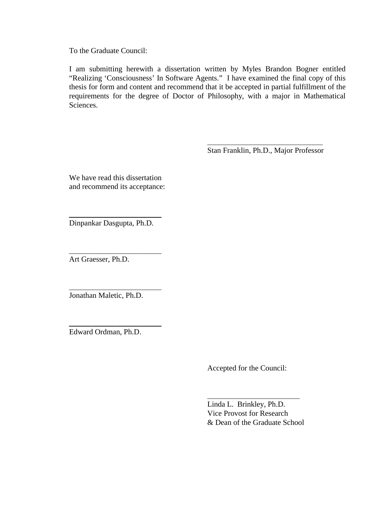To the Graduate Council:

I am submitting herewith a dissertation written by Myles Brandon Bogner entitled "Realizing 'Consciousness' In Software Agents." I have examined the final copy of this thesis for form and content and recommend that it be accepted in partial fulfillment of the requirements for the degree of Doctor of Philosophy, with a major in Mathematical Sciences.

Stan Franklin, Ph.D., Major Professor

We have read this dissertation and recommend its acceptance:

Dinpankar Dasgupta, Ph.D.

Art Graesser, Ph.D.

Jonathan Maletic, Ph.D.

Edward Ordman, Ph.D.

Accepted for the Council:

Linda L. Brinkley, Ph.D. Vice Provost for Research & Dean of the Graduate School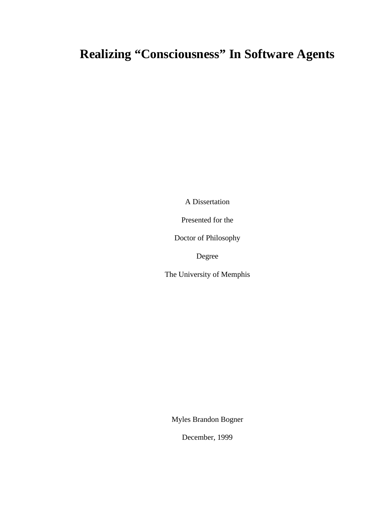# **Realizing "Consciousness" In Software Agents**

A Dissertation

Presented for the

Doctor of Philosophy

Degree

The University of Memphis

Myles Brandon Bogner

December, 1999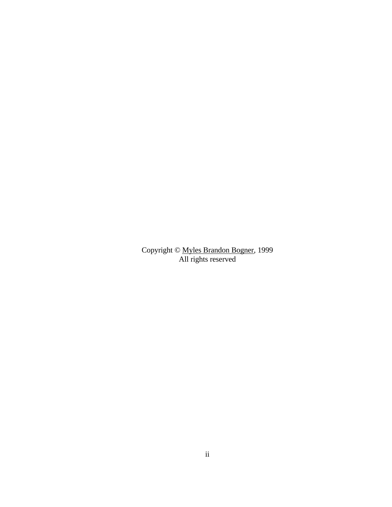Copyright © Myles Brandon Bogner, 1999 All rights reserved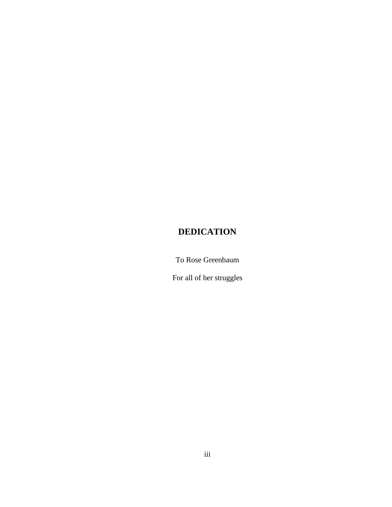# **DEDICATION**

To Rose Greenbaum

For all of her struggles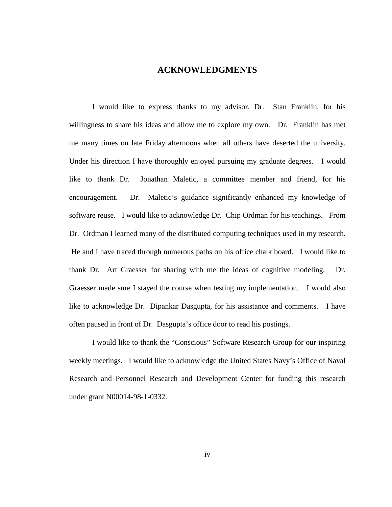#### **ACKNOWLEDGMENTS**

I would like to express thanks to my advisor, Dr. Stan Franklin, for his willingness to share his ideas and allow me to explore my own. Dr. Franklin has met me many times on late Friday afternoons when all others have deserted the university. Under his direction I have thoroughly enjoyed pursuing my graduate degrees. I would like to thank Dr. Jonathan Maletic, a committee member and friend, for his encouragement. Dr. Maletic's guidance significantly enhanced my knowledge of software reuse. I would like to acknowledge Dr. Chip Ordman for his teachings. From Dr. Ordman I learned many of the distributed computing techniques used in my research. He and I have traced through numerous paths on his office chalk board. I would like to thank Dr. Art Graesser for sharing with me the ideas of cognitive modeling. Dr. Graesser made sure I stayed the course when testing my implementation. I would also like to acknowledge Dr. Dipankar Dasgupta, for his assistance and comments. I have often paused in front of Dr. Dasgupta's office door to read his postings.

I would like to thank the "Conscious" Software Research Group for our inspiring weekly meetings. I would like to acknowledge the United States Navy's Office of Naval Research and Personnel Research and Development Center for funding this research under grant N00014-98-1-0332.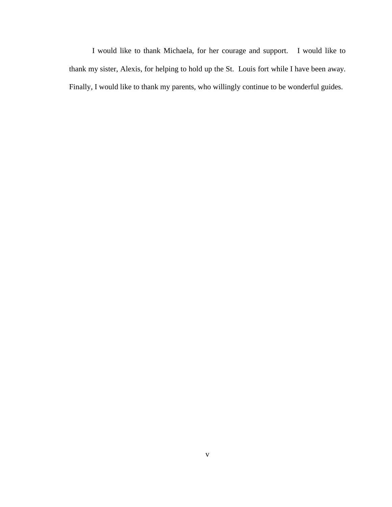I would like to thank Michaela, for her courage and support. I would like to thank my sister, Alexis, for helping to hold up the St. Louis fort while I have been away. Finally, I would like to thank my parents, who willingly continue to be wonderful guides.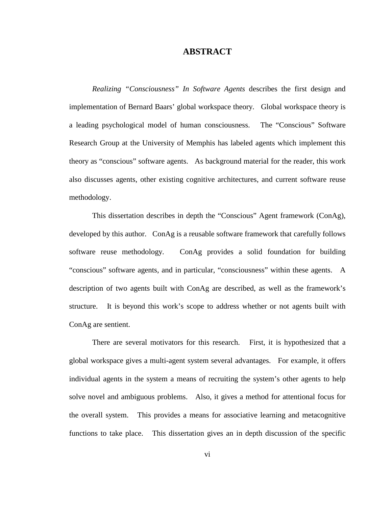### **ABSTRACT**

*Realizing "Consciousness" In Software Agents* describes the first design and implementation of Bernard Baars' global workspace theory. Global workspace theory is a leading psychological model of human consciousness. The "Conscious" Software Research Group at the University of Memphis has labeled agents which implement this theory as "conscious" software agents. As background material for the reader, this work also discusses agents, other existing cognitive architectures, and current software reuse methodology.

This dissertation describes in depth the "Conscious" Agent framework (ConAg), developed by this author. ConAg is a reusable software framework that carefully follows software reuse methodology. ConAg provides a solid foundation for building "conscious" software agents, and in particular, "consciousness" within these agents. A description of two agents built with ConAg are described, as well as the framework's structure. It is beyond this work's scope to address whether or not agents built with ConAg are sentient.

There are several motivators for this research. First, it is hypothesized that a global workspace gives a multi-agent system several advantages. For example, it offers individual agents in the system a means of recruiting the system's other agents to help solve novel and ambiguous problems. Also, it gives a method for attentional focus for the overall system. This provides a means for associative learning and metacognitive functions to take place. This dissertation gives an in depth discussion of the specific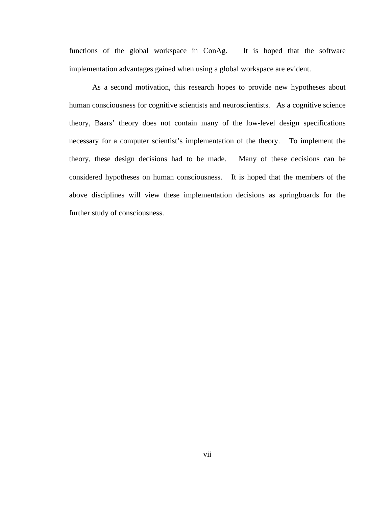functions of the global workspace in ConAg. It is hoped that the software implementation advantages gained when using a global workspace are evident.

As a second motivation, this research hopes to provide new hypotheses about human consciousness for cognitive scientists and neuroscientists. As a cognitive science theory, Baars' theory does not contain many of the low-level design specifications necessary for a computer scientist's implementation of the theory. To implement the theory, these design decisions had to be made. Many of these decisions can be considered hypotheses on human consciousness. It is hoped that the members of the above disciplines will view these implementation decisions as springboards for the further study of consciousness.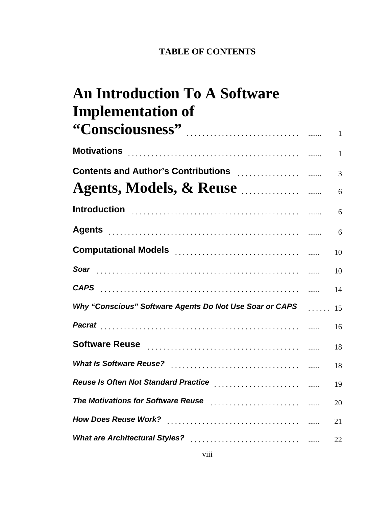# **TABLE OF CONTENTS**

# 1 **"Consciousness"** ............................. ....... **An Introduction To A Software Implementation of**

| Motivations 2000 Motive Communication of the Motivations of the Motive Communication of the Motive Communication of the Motive Communication of the Motive Communication of the Motive Communication of the Motive Communicati |                |
|--------------------------------------------------------------------------------------------------------------------------------------------------------------------------------------------------------------------------------|----------------|
| <b>Contents and Author's Contributions Contributions Contents Content</b>                                                                                                                                                      | $\overline{3}$ |
| Agents, Models, & Reuse                                                                                                                                                                                                        | 6              |
|                                                                                                                                                                                                                                | 6              |
|                                                                                                                                                                                                                                |                |
| Computational Models <b>Computational Models</b>                                                                                                                                                                               | 10             |
|                                                                                                                                                                                                                                | 10             |
| <b>CAPS</b> 11 14                                                                                                                                                                                                              |                |
| Why "Conscious" Software Agents Do Not Use Soar or CAPS [1, 1, 15]                                                                                                                                                             |                |
|                                                                                                                                                                                                                                | -16            |
| Software Reuse Marchandele March 1999                                                                                                                                                                                          | 18             |
|                                                                                                                                                                                                                                | 18             |
| Reuse Is Often Not Standard Practice Marriet Communities and The Reuse Islaming                                                                                                                                                | 19             |
| The Motivations for Software Reuse <b>Fig. 1997</b> Materian Analysis Communist Materia and Materia and Materia and Ma                                                                                                         | 20             |
|                                                                                                                                                                                                                                | 21             |
|                                                                                                                                                                                                                                | 22             |
|                                                                                                                                                                                                                                |                |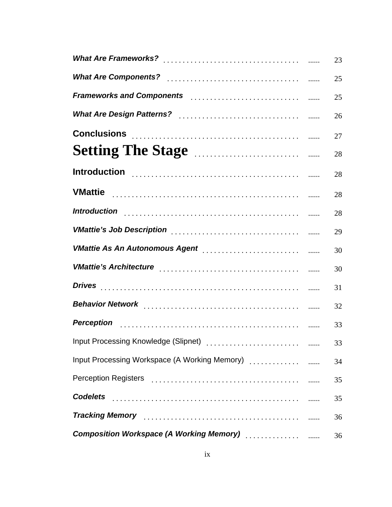|                                                                                                                                                                                                                               | 23 |
|-------------------------------------------------------------------------------------------------------------------------------------------------------------------------------------------------------------------------------|----|
|                                                                                                                                                                                                                               | 25 |
| Frameworks and Components <b>Proton and Service and Service and Components Figure 2016</b>                                                                                                                                    | 25 |
|                                                                                                                                                                                                                               | 26 |
| Conclusions <b>Conclusions</b>                                                                                                                                                                                                | 27 |
| Setting The Stage <b>Election Control</b>                                                                                                                                                                                     | 28 |
|                                                                                                                                                                                                                               | 28 |
|                                                                                                                                                                                                                               | 28 |
| Introduction with the control of the control of the control of the control of the control of the control of the                                                                                                               | 28 |
|                                                                                                                                                                                                                               | 29 |
| VMattie As An Autonomous Agent [11] Contact Contact Test of the Muslim Contact Test of the Muslim Contact Test On the Muslim Contact Test of the Muslim Contact Test of the Muslim Contact Test of the Muslim Contact Test of | 30 |
|                                                                                                                                                                                                                               | 30 |
|                                                                                                                                                                                                                               | 31 |
|                                                                                                                                                                                                                               | 32 |
|                                                                                                                                                                                                                               | 33 |
|                                                                                                                                                                                                                               | 33 |
| Input Processing Workspace (A Working Memory)                                                                                                                                                                                 | 34 |
|                                                                                                                                                                                                                               | 35 |
|                                                                                                                                                                                                                               | 35 |
| Tracking Memory [1, 1, 2010] Tracking Memory [1, 2010] All Contact Library Contact Library Memory                                                                                                                             | 36 |
|                                                                                                                                                                                                                               | 36 |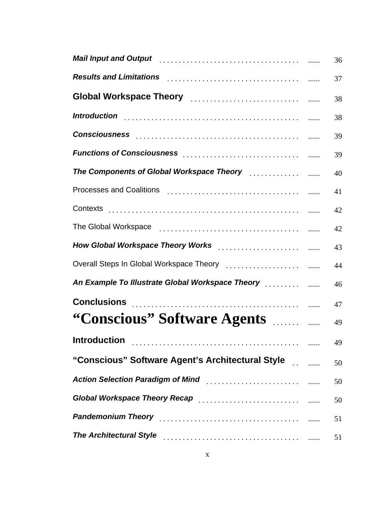| Mail Input and Output Marriet Marshall and Mail Input and Output Marriet and Marriet and Marriet Marriet and                                                                                                                   | 36 |
|--------------------------------------------------------------------------------------------------------------------------------------------------------------------------------------------------------------------------------|----|
| Results and Limitations <b>Production Results</b> and Limitations <b>Continues</b>                                                                                                                                             | 37 |
|                                                                                                                                                                                                                                | 38 |
| Introduction with the control of the control of the control of the control of the control of the control of the                                                                                                                | 38 |
| Consciousness experiences and consider the construction of the construction of the construction of the construction of the construction of the construction of the construction of the construction of the construction of con | 39 |
|                                                                                                                                                                                                                                | 39 |
|                                                                                                                                                                                                                                | 40 |
|                                                                                                                                                                                                                                | 41 |
|                                                                                                                                                                                                                                | 42 |
|                                                                                                                                                                                                                                | 42 |
| How Global Workspace Theory Works [11] Theory works [11] Theory Morks [11] Theory Morks and Mullet Morks and Mu                                                                                                                | 43 |
|                                                                                                                                                                                                                                | 44 |
| An Example To Illustrate Global Workspace Theory [11, 11, 11, 11] [11]                                                                                                                                                         | 46 |
|                                                                                                                                                                                                                                | 47 |
| "Conscious" Software Agents                                                                                                                                                                                                    | 49 |
|                                                                                                                                                                                                                                | 49 |
| "Conscious" Software Agent's Architectural Style [11] [12]                                                                                                                                                                     | 50 |
|                                                                                                                                                                                                                                | 50 |
| Global Workspace Theory Recap [11] [11] Coloration and Workspace Theory Recap [11] [11] Coloration and Music M                                                                                                                 | 50 |
|                                                                                                                                                                                                                                | 51 |
| The Architectural Style [11] [11] The Architectural Style [11] [11] The Architectural Style [11] The Architectural Style [11] The Architectural Style [11] The Architectural Style [11] The Architectural Style [11] The Archi | 51 |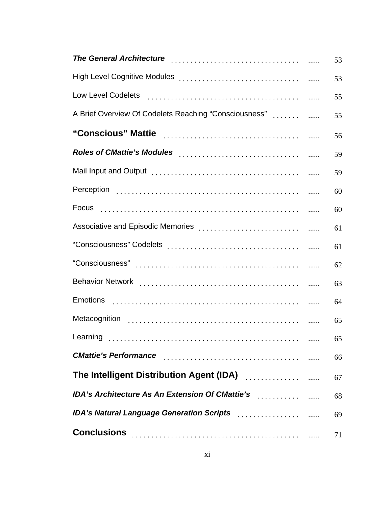| The General Architecture [111] The General Architecture and The General Architecture and The General Architect | 53 |
|----------------------------------------------------------------------------------------------------------------|----|
|                                                                                                                | 53 |
|                                                                                                                | 55 |
| A Brief Overview Of Codelets Reaching "Consciousness"                                                          | 55 |
|                                                                                                                | 56 |
|                                                                                                                | 59 |
|                                                                                                                | 59 |
|                                                                                                                | 60 |
|                                                                                                                | 60 |
|                                                                                                                | 61 |
|                                                                                                                | 61 |
|                                                                                                                | 62 |
|                                                                                                                | 63 |
|                                                                                                                | 64 |
|                                                                                                                | 65 |
|                                                                                                                | 65 |
| <b>CMattie's Performance</b>                                                                                   | 66 |
| The Intelligent Distribution Agent (IDA) [19] [19] The Intelligent Distribution Agent (IDA)                    | 67 |
| IDA's Architecture As An Extension Of CMattie's [11] IDA's Architecture As An Extension Of CMattie's           | 68 |
|                                                                                                                | 69 |
|                                                                                                                | 71 |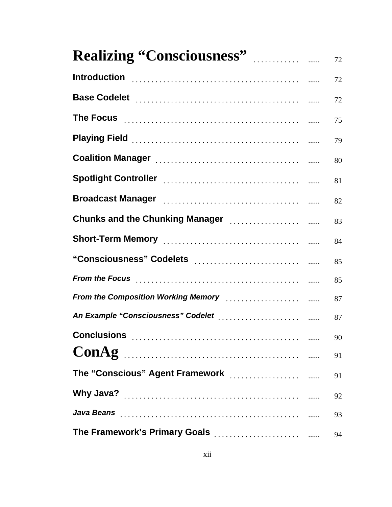| <b>Realizing "Consciousness"</b>                                                                                                                                                                                                                                    | 72 |
|---------------------------------------------------------------------------------------------------------------------------------------------------------------------------------------------------------------------------------------------------------------------|----|
|                                                                                                                                                                                                                                                                     | 72 |
|                                                                                                                                                                                                                                                                     | 72 |
| The Focus <b>contract the Focus</b> contract the contract contract contract the contract of the contract of the contract of the contract of the contract of the contract of the contract of the contract of the contract of the con                                 | 75 |
|                                                                                                                                                                                                                                                                     | 79 |
|                                                                                                                                                                                                                                                                     | 80 |
|                                                                                                                                                                                                                                                                     | 81 |
|                                                                                                                                                                                                                                                                     | 82 |
| Chunks and the Chunking Manager [11] [11] Chunks and the Chunking Manager                                                                                                                                                                                           | 83 |
|                                                                                                                                                                                                                                                                     | 84 |
| "Consciousness" Codelets [11] Consultance and the constant control with                                                                                                                                                                                             | 85 |
|                                                                                                                                                                                                                                                                     | 85 |
| From the Composition Working Memory [19] [19] The Composition Working Memory [19] [19] Array American Street                                                                                                                                                        | 87 |
| An Example "Consciousness" Codelet [1] [1] The Example "Consciousness" Codelet [1] [1] $\ldots$ [1] [1] $\ldots$ [1] $\ldots$ [1] $\ldots$ [1] $\ldots$ [1] $\ldots$ [1] $\ldots$ [1] $\ldots$ [1] $\ldots$ [1] $\ldots$ [1] $\ldots$ [1] $\ldots$ [1] $\ldots$ [1] | 87 |
|                                                                                                                                                                                                                                                                     | 90 |
| ConAg                                                                                                                                                                                                                                                               | 91 |
| The "Conscious" Agent Framework [11] [11] The "Conscious" Agent Framework                                                                                                                                                                                           | 91 |
|                                                                                                                                                                                                                                                                     | 92 |
|                                                                                                                                                                                                                                                                     | 93 |
|                                                                                                                                                                                                                                                                     | 94 |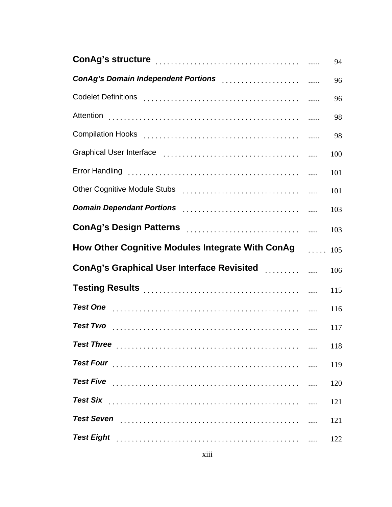|                                                                                                                                                                                                                                | 94  |
|--------------------------------------------------------------------------------------------------------------------------------------------------------------------------------------------------------------------------------|-----|
|                                                                                                                                                                                                                                | 96  |
|                                                                                                                                                                                                                                | 96  |
|                                                                                                                                                                                                                                | 98  |
|                                                                                                                                                                                                                                | 98  |
|                                                                                                                                                                                                                                | 100 |
|                                                                                                                                                                                                                                | 101 |
| Other Cognitive Module Stubs [1] [1] Determinance of the Cognitive Module Stubs [1] [1] Altana Module Stubs [1                                                                                                                 | 101 |
| Domain Dependant Portions [19] Domain Dependant Portions [19] Domain Dependant Portions [19] Domain Portions (                                                                                                                 | 103 |
|                                                                                                                                                                                                                                | 103 |
| How Other Cognitive Modules Integrate With ConAg 105                                                                                                                                                                           |     |
|                                                                                                                                                                                                                                | 106 |
| Testing Results [11] March 1999 March 1999 March 1999 March 1999 March 1999 March 1999 March 1999 March 1999 March 1999 March 1999 March 1999 March 1999 March 1999 March 1999 March 1999 March 1999 March 1999 March 1999 Mar | 115 |
|                                                                                                                                                                                                                                | 116 |
|                                                                                                                                                                                                                                | 117 |
|                                                                                                                                                                                                                                | 118 |
| <b>Test Four</b>                                                                                                                                                                                                               | 119 |
|                                                                                                                                                                                                                                | 120 |
| <b>Test Six</b>                                                                                                                                                                                                                | 121 |
| <b>Test Seven</b>                                                                                                                                                                                                              | 121 |
| <b>Test Eight</b>                                                                                                                                                                                                              | 122 |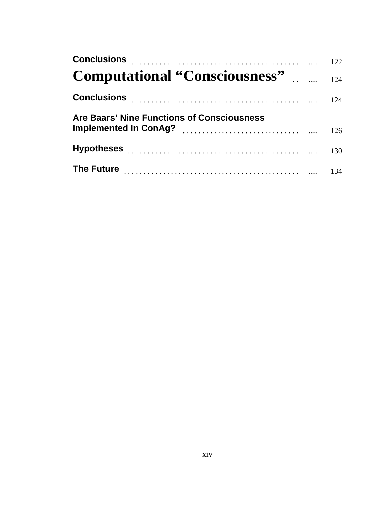| Are Baars' Nine Functions of Consciousness |  |
|--------------------------------------------|--|
|                                            |  |
|                                            |  |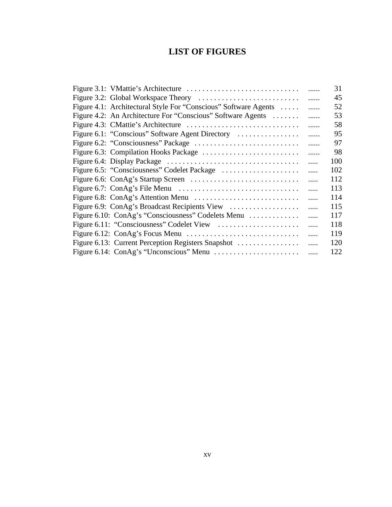# **LIST OF FIGURES**

|                                                                 |          | 31  |
|-----------------------------------------------------------------|----------|-----|
|                                                                 | .        | 45  |
| Figure 4.1: Architectural Style For "Conscious" Software Agents | .        | 52  |
| Figure 4.2: An Architecture For "Conscious" Software Agents     | .        | 53  |
|                                                                 | .        | 58  |
| Figure 6.1: "Conscious" Software Agent Directory                | .        | 95  |
|                                                                 | .        | 97  |
| Figure 6.3: Compilation Hooks Package                           | .        | 98  |
|                                                                 | .        | 100 |
|                                                                 | .        | 102 |
|                                                                 | .        | 112 |
|                                                                 | $\cdots$ | 113 |
|                                                                 | $\cdots$ | 114 |
| Figure 6.9: ConAg's Broadcast Recipients View                   | .        | 115 |
| Figure 6.10: ConAg's "Consciousness" Codelets Menu              | .        | 117 |
|                                                                 | .        | 118 |
|                                                                 | $\cdots$ | 119 |
| Figure 6.13: Current Perception Registers Snapshot              | .        | 120 |
|                                                                 |          | 122 |
|                                                                 |          |     |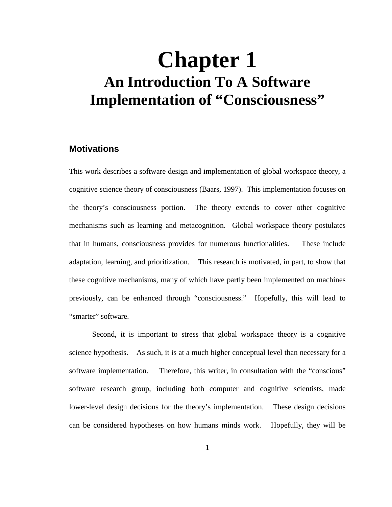# **Chapter 1 An Introduction To A Software Implementation of "Consciousness"**

# **Motivations**

This work describes a software design and implementation of global workspace theory, a cognitive science theory of consciousness (Baars, 1997). This implementation focuses on the theory's consciousness portion. The theory extends to cover other cognitive mechanisms such as learning and metacognition. Global workspace theory postulates that in humans, consciousness provides for numerous functionalities. These include adaptation, learning, and prioritization. This research is motivated, in part, to show that these cognitive mechanisms, many of which have partly been implemented on machines previously, can be enhanced through "consciousness." Hopefully, this will lead to "smarter" software.

Second, it is important to stress that global workspace theory is a cognitive science hypothesis. As such, it is at a much higher conceptual level than necessary for a software implementation. Therefore, this writer, in consultation with the "conscious" software research group, including both computer and cognitive scientists, made lower-level design decisions for the theory's implementation. These design decisions can be considered hypotheses on how humans minds work. Hopefully, they will be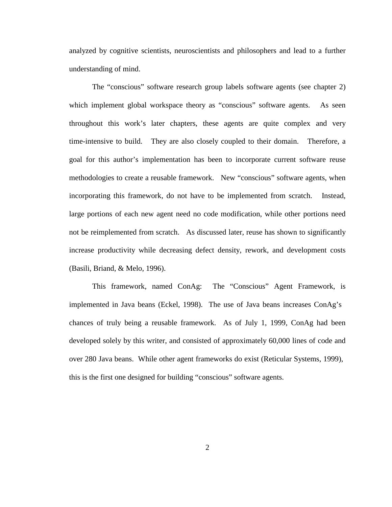analyzed by cognitive scientists, neuroscientists and philosophers and lead to a further understanding of mind.

The "conscious" software research group labels software agents (see chapter 2) which implement global workspace theory as "conscious" software agents. As seen throughout this work's later chapters, these agents are quite complex and very time-intensive to build. They are also closely coupled to their domain. Therefore, a goal for this author's implementation has been to incorporate current software reuse methodologies to create a reusable framework. New "conscious" software agents, when incorporating this framework, do not have to be implemented from scratch. Instead, large portions of each new agent need no code modification, while other portions need not be reimplemented from scratch. As discussed later, reuse has shown to significantly increase productivity while decreasing defect density, rework, and development costs (Basili, Briand, & Melo, 1996).

This framework, named ConAg: The "Conscious" Agent Framework, is implemented in Java beans (Eckel, 1998). The use of Java beans increases ConAg's chances of truly being a reusable framework. As of July 1, 1999, ConAg had been developed solely by this writer, and consisted of approximately 60,000 lines of code and over 280 Java beans. While other agent frameworks do exist (Reticular Systems, 1999), this is the first one designed for building "conscious" software agents.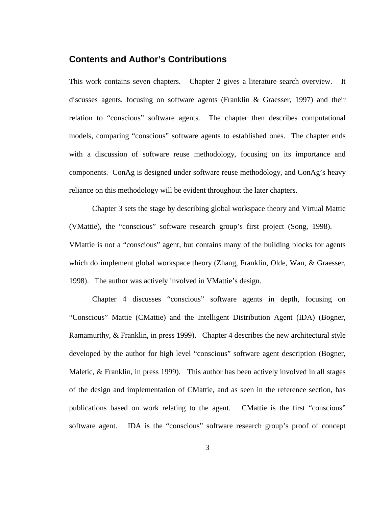## **Contents and Author's Contributions**

This work contains seven chapters. Chapter 2 gives a literature search overview. It discusses agents, focusing on software agents (Franklin & Graesser, 1997) and their relation to "conscious" software agents. The chapter then describes computational models, comparing "conscious" software agents to established ones. The chapter ends with a discussion of software reuse methodology, focusing on its importance and components. ConAg is designed under software reuse methodology, and ConAg's heavy reliance on this methodology will be evident throughout the later chapters.

Chapter 3 sets the stage by describing global workspace theory and Virtual Mattie (VMattie), the "conscious" software research group's first project (Song, 1998). VMattie is not a "conscious" agent, but contains many of the building blocks for agents which do implement global workspace theory (Zhang, Franklin, Olde, Wan, & Graesser, 1998). The author was actively involved in VMattie's design.

Chapter 4 discusses "conscious" software agents in depth, focusing on "Conscious" Mattie (CMattie) and the Intelligent Distribution Agent (IDA) (Bogner, Ramamurthy, & Franklin, in press 1999). Chapter 4 describes the new architectural style developed by the author for high level "conscious" software agent description (Bogner, Maletic, & Franklin, in press 1999). This author has been actively involved in all stages of the design and implementation of CMattie, and as seen in the reference section, has publications based on work relating to the agent. CMattie is the first "conscious" software agent. IDA is the "conscious" software research group's proof of concept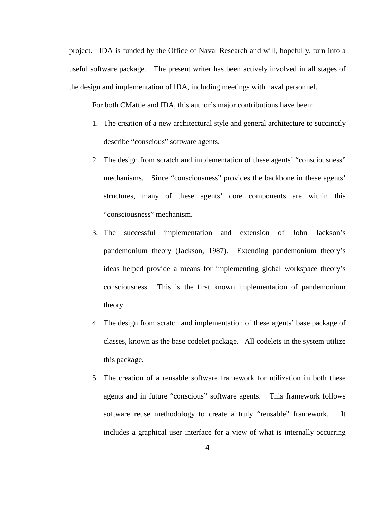project. IDA is funded by the Office of Naval Research and will, hopefully, turn into a useful software package. The present writer has been actively involved in all stages of the design and implementation of IDA, including meetings with naval personnel.

For both CMattie and IDA, this author's major contributions have been:

- 1. The creation of a new architectural style and general architecture to succinctly describe "conscious" software agents.
- 2. The design from scratch and implementation of these agents' "consciousness" mechanisms. Since "consciousness" provides the backbone in these agents' structures, many of these agents' core components are within this "consciousness" mechanism.
- 3. The successful implementation and extension of John Jackson's pandemonium theory (Jackson, 1987). Extending pandemonium theory's ideas helped provide a means for implementing global workspace theory's consciousness. This is the first known implementation of pandemonium theory.
- 4. The design from scratch and implementation of these agents' base package of classes, known as the base codelet package. All codelets in the system utilize this package.
- 5. The creation of a reusable software framework for utilization in both these agents and in future "conscious" software agents. This framework follows software reuse methodology to create a truly "reusable" framework. It includes a graphical user interface for a view of what is internally occurring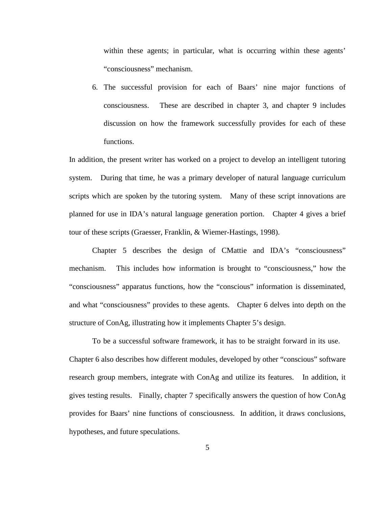within these agents; in particular, what is occurring within these agents' "consciousness" mechanism.

6. The successful provision for each of Baars' nine major functions of consciousness. These are described in chapter 3, and chapter 9 includes discussion on how the framework successfully provides for each of these functions.

In addition, the present writer has worked on a project to develop an intelligent tutoring system. During that time, he was a primary developer of natural language curriculum scripts which are spoken by the tutoring system. Many of these script innovations are planned for use in IDA's natural language generation portion. Chapter 4 gives a brief tour of these scripts (Graesser, Franklin, & Wiemer-Hastings, 1998).

Chapter 5 describes the design of CMattie and IDA's "consciousness" mechanism. This includes how information is brought to "consciousness," how the "consciousness" apparatus functions, how the "conscious" information is disseminated, and what "consciousness" provides to these agents. Chapter 6 delves into depth on the structure of ConAg, illustrating how it implements Chapter 5's design.

To be a successful software framework, it has to be straight forward in its use. Chapter 6 also describes how different modules, developed by other "conscious" software research group members, integrate with ConAg and utilize its features. In addition, it gives testing results. Finally, chapter 7 specifically answers the question of how ConAg provides for Baars' nine functions of consciousness. In addition, it draws conclusions, hypotheses, and future speculations.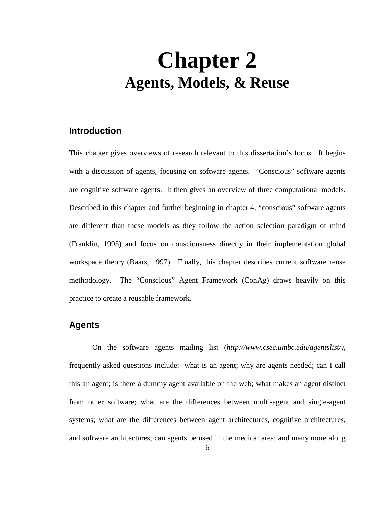# **Chapter 2 Agents, Models, & Reuse**

## **Introduction**

This chapter gives overviews of research relevant to this dissertation's focus. It begins with a discussion of agents, focusing on software agents. "Conscious" software agents are cognitive software agents. It then gives an overview of three computational models. Described in this chapter and further beginning in chapter 4, "conscious" software agents are different than these models as they follow the action selection paradigm of mind (Franklin, 1995) and focus on consciousness directly in their implementation global workspace theory (Baars, 1997). Finally, this chapter describes current software reuse methodology. The "Conscious" Agent Framework (ConAg) draws heavily on this practice to create a reusable framework.

# **Agents**

On the software agents mailing list (*http://www.csee.umbc.edu/agentslist/)*, frequently asked questions include: what is an agent; why are agents needed; can I call this an agent; is there a dummy agent available on the web; what makes an agent distinct from other software; what are the differences between multi-agent and single-agent systems; what are the differences between agent architectures, cognitive architectures, and software architectures; can agents be used in the medical area; and many more along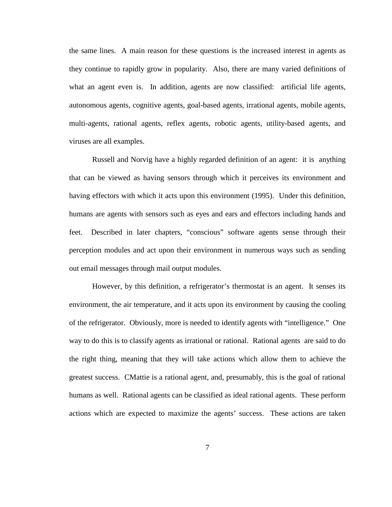the same lines. A main reason for these questions is the increased interest in agents as they continue to rapidly grow in popularity. Also, there are many varied definitions of what an agent even is. In addition, agents are now classified: artificial life agents, autonomous agents, cognitive agents, goal-based agents, irrational agents, mobile agents, multi-agents, rational agents, reflex agents, robotic agents, utility-based agents, and viruses are all examples.

Russell and Norvig have a highly regarded definition of an agent: it is anything that can be viewed as having sensors through which it perceives its environment and having effectors with which it acts upon this environment (1995). Under this definition, humans are agents with sensors such as eyes and ears and effectors including hands and feet. Described in later chapters, "conscious" software agents sense through their perception modules and act upon their environment in numerous ways such as sending out email messages through mail output modules.

However, by this definition, a refrigerator's thermostat is an agent. It senses its environment, the air temperature, and it acts upon its environment by causing the cooling of the refrigerator. Obviously, more is needed to identify agents with "intelligence." One way to do this is to classify agents as irrational or rational. Rational agents are said to do the right thing, meaning that they will take actions which allow them to achieve the greatest success. CMattie is a rational agent, and, presumably, this is the goal of rational humans as well. Rational agents can be classified as ideal rational agents. These perform actions which are expected to maximize the agents' success. These actions are taken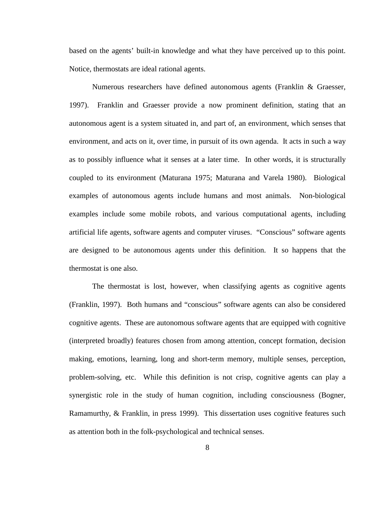based on the agents' built-in knowledge and what they have perceived up to this point. Notice, thermostats are ideal rational agents.

Numerous researchers have defined autonomous agents (Franklin & Graesser, 1997). Franklin and Graesser provide a now prominent definition, stating that an autonomous agent is a system situated in, and part of, an environment, which senses that environment, and acts on it, over time, in pursuit of its own agenda. It acts in such a way as to possibly influence what it senses at a later time. In other words, it is structurally coupled to its environment (Maturana 1975; Maturana and Varela 1980). Biological examples of autonomous agents include humans and most animals. Non-biological examples include some mobile robots, and various computational agents, including artificial life agents, software agents and computer viruses. "Conscious" software agents are designed to be autonomous agents under this definition. It so happens that the thermostat is one also.

The thermostat is lost, however, when classifying agents as cognitive agents (Franklin, 1997). Both humans and "conscious" software agents can also be considered cognitive agents. These are autonomous software agents that are equipped with cognitive (interpreted broadly) features chosen from among attention, concept formation, decision making, emotions, learning, long and short-term memory, multiple senses, perception, problem-solving, etc. While this definition is not crisp, cognitive agents can play a synergistic role in the study of human cognition, including consciousness (Bogner, Ramamurthy, & Franklin, in press 1999). This dissertation uses cognitive features such as attention both in the folk-psychological and technical senses.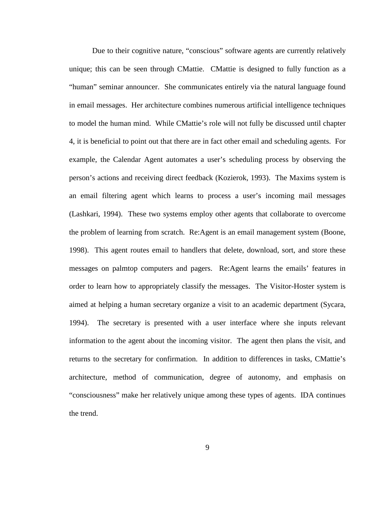Due to their cognitive nature, "conscious" software agents are currently relatively unique; this can be seen through CMattie. CMattie is designed to fully function as a "human" seminar announcer. She communicates entirely via the natural language found in email messages. Her architecture combines numerous artificial intelligence techniques to model the human mind. While CMattie's role will not fully be discussed until chapter 4, it is beneficial to point out that there are in fact other email and scheduling agents. For example, the Calendar Agent automates a user's scheduling process by observing the person's actions and receiving direct feedback (Kozierok, 1993). The Maxims system is an email filtering agent which learns to process a user's incoming mail messages (Lashkari, 1994). These two systems employ other agents that collaborate to overcome the problem of learning from scratch. Re:Agent is an email management system (Boone, 1998). This agent routes email to handlers that delete, download, sort, and store these messages on palmtop computers and pagers. Re:Agent learns the emails' features in order to learn how to appropriately classify the messages. The Visitor-Hoster system is aimed at helping a human secretary organize a visit to an academic department (Sycara, 1994). The secretary is presented with a user interface where she inputs relevant information to the agent about the incoming visitor. The agent then plans the visit, and returns to the secretary for confirmation. In addition to differences in tasks, CMattie's architecture, method of communication, degree of autonomy, and emphasis on "consciousness" make her relatively unique among these types of agents. IDA continues the trend.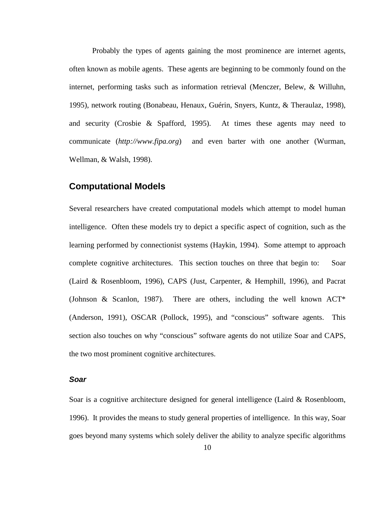Probably the types of agents gaining the most prominence are internet agents, often known as mobile agents. These agents are beginning to be commonly found on the internet, performing tasks such as information retrieval (Menczer, Belew, & Willuhn, 1995), network routing (Bonabeau, Henaux, Guérin, Snyers, Kuntz, & Theraulaz, 1998), and security (Crosbie & Spafford, 1995). At times these agents may need to communicate (*http://www.fipa.org*) and even barter with one another (Wurman, Wellman, & Walsh, 1998).

## **Computational Models**

Several researchers have created computational models which attempt to model human intelligence. Often these models try to depict a specific aspect of cognition, such as the learning performed by connectionist systems (Haykin, 1994). Some attempt to approach complete cognitive architectures. This section touches on three that begin to: Soar (Laird & Rosenbloom, 1996), CAPS (Just, Carpenter, & Hemphill, 1996), and Pacrat (Johnson & Scanlon, 1987). There are others, including the well known  $ACT^*$ (Anderson, 1991), OSCAR (Pollock, 1995), and "conscious" software agents. This section also touches on why "conscious" software agents do not utilize Soar and CAPS, the two most prominent cognitive architectures.

#### **Soar**

Soar is a cognitive architecture designed for general intelligence (Laird & Rosenbloom, 1996). It provides the means to study general properties of intelligence. In this way, Soar goes beyond many systems which solely deliver the ability to analyze specific algorithms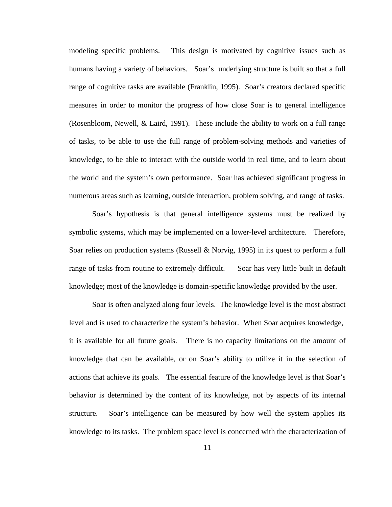modeling specific problems. This design is motivated by cognitive issues such as humans having a variety of behaviors. Soar's underlying structure is built so that a full range of cognitive tasks are available (Franklin, 1995). Soar's creators declared specific measures in order to monitor the progress of how close Soar is to general intelligence (Rosenbloom, Newell, & Laird, 1991). These include the ability to work on a full range of tasks, to be able to use the full range of problem-solving methods and varieties of knowledge, to be able to interact with the outside world in real time, and to learn about the world and the system's own performance. Soar has achieved significant progress in numerous areas such as learning, outside interaction, problem solving, and range of tasks.

Soar's hypothesis is that general intelligence systems must be realized by symbolic systems, which may be implemented on a lower-level architecture. Therefore, Soar relies on production systems (Russell & Norvig, 1995) in its quest to perform a full range of tasks from routine to extremely difficult. Soar has very little built in default knowledge; most of the knowledge is domain-specific knowledge provided by the user.

Soar is often analyzed along four levels. The knowledge level is the most abstract level and is used to characterize the system's behavior. When Soar acquires knowledge, it is available for all future goals. There is no capacity limitations on the amount of knowledge that can be available, or on Soar's ability to utilize it in the selection of actions that achieve its goals. The essential feature of the knowledge level is that Soar's behavior is determined by the content of its knowledge, not by aspects of its internal structure. Soar's intelligence can be measured by how well the system applies its knowledge to its tasks. The problem space level is concerned with the characterization of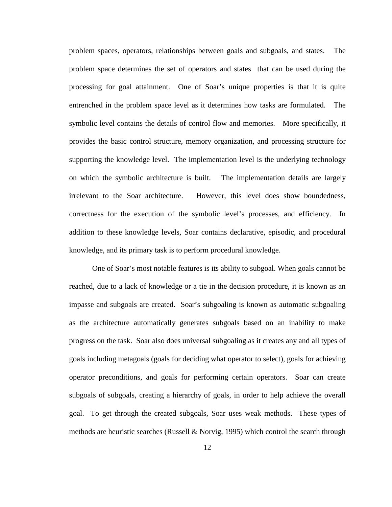problem spaces, operators, relationships between goals and subgoals, and states. The problem space determines the set of operators and states that can be used during the processing for goal attainment. One of Soar's unique properties is that it is quite entrenched in the problem space level as it determines how tasks are formulated. The symbolic level contains the details of control flow and memories. More specifically, it provides the basic control structure, memory organization, and processing structure for supporting the knowledge level. The implementation level is the underlying technology on which the symbolic architecture is built. The implementation details are largely irrelevant to the Soar architecture. However, this level does show boundedness, correctness for the execution of the symbolic level's processes, and efficiency. In addition to these knowledge levels, Soar contains declarative, episodic, and procedural knowledge, and its primary task is to perform procedural knowledge.

One of Soar's most notable features is its ability to subgoal. When goals cannot be reached, due to a lack of knowledge or a tie in the decision procedure, it is known as an impasse and subgoals are created. Soar's subgoaling is known as automatic subgoaling as the architecture automatically generates subgoals based on an inability to make progress on the task. Soar also does universal subgoaling as it creates any and all types of goals including metagoals (goals for deciding what operator to select), goals for achieving operator preconditions, and goals for performing certain operators. Soar can create subgoals of subgoals, creating a hierarchy of goals, in order to help achieve the overall goal. To get through the created subgoals, Soar uses weak methods. These types of methods are heuristic searches (Russell  $&$  Norvig, 1995) which control the search through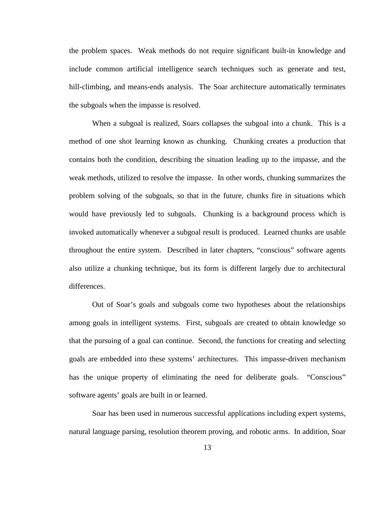the problem spaces. Weak methods do not require significant built-in knowledge and include common artificial intelligence search techniques such as generate and test, hill-climbing, and means-ends analysis. The Soar architecture automatically terminates the subgoals when the impasse is resolved.

When a subgoal is realized, Soars collapses the subgoal into a chunk. This is a method of one shot learning known as chunking. Chunking creates a production that contains both the condition, describing the situation leading up to the impasse, and the weak methods, utilized to resolve the impasse. In other words, chunking summarizes the problem solving of the subgoals, so that in the future, chunks fire in situations which would have previously led to subgoals. Chunking is a background process which is invoked automatically whenever a subgoal result is produced. Learned chunks are usable throughout the entire system. Described in later chapters, "conscious" software agents also utilize a chunking technique, but its form is different largely due to architectural differences.

Out of Soar's goals and subgoals come two hypotheses about the relationships among goals in intelligent systems. First, subgoals are created to obtain knowledge so that the pursuing of a goal can continue. Second, the functions for creating and selecting goals are embedded into these systems' architectures. This impasse-driven mechanism has the unique property of eliminating the need for deliberate goals. "Conscious" software agents' goals are built in or learned.

Soar has been used in numerous successful applications including expert systems, natural language parsing, resolution theorem proving, and robotic arms. In addition, Soar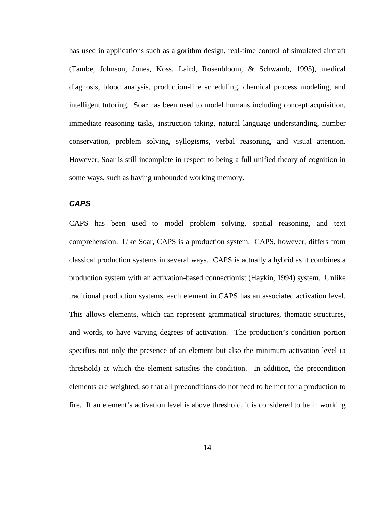has used in applications such as algorithm design, real-time control of simulated aircraft (Tambe, Johnson, Jones, Koss, Laird, Rosenbloom, & Schwamb, 1995), medical diagnosis, blood analysis, production-line scheduling, chemical process modeling, and intelligent tutoring. Soar has been used to model humans including concept acquisition, immediate reasoning tasks, instruction taking, natural language understanding, number conservation, problem solving, syllogisms, verbal reasoning, and visual attention. However, Soar is still incomplete in respect to being a full unified theory of cognition in some ways, such as having unbounded working memory.

#### **CAPS**

CAPS has been used to model problem solving, spatial reasoning, and text comprehension. Like Soar, CAPS is a production system. CAPS, however, differs from classical production systems in several ways. CAPS is actually a hybrid as it combines a production system with an activation-based connectionist (Haykin, 1994) system. Unlike traditional production systems, each element in CAPS has an associated activation level. This allows elements, which can represent grammatical structures, thematic structures, and words, to have varying degrees of activation. The production's condition portion specifies not only the presence of an element but also the minimum activation level (a threshold) at which the element satisfies the condition. In addition, the precondition elements are weighted, so that all preconditions do not need to be met for a production to fire. If an element's activation level is above threshold, it is considered to be in working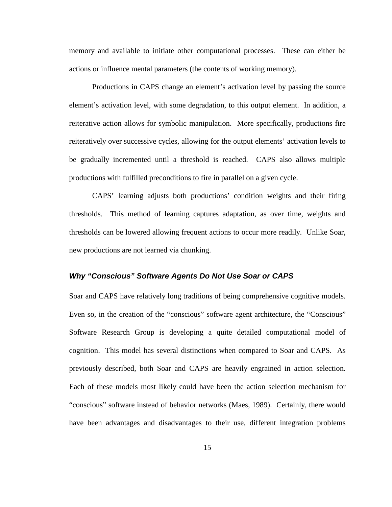memory and available to initiate other computational processes. These can either be actions or influence mental parameters (the contents of working memory).

Productions in CAPS change an element's activation level by passing the source element's activation level, with some degradation, to this output element. In addition, a reiterative action allows for symbolic manipulation. More specifically, productions fire reiteratively over successive cycles, allowing for the output elements' activation levels to be gradually incremented until a threshold is reached. CAPS also allows multiple productions with fulfilled preconditions to fire in parallel on a given cycle.

CAPS' learning adjusts both productions' condition weights and their firing thresholds. This method of learning captures adaptation, as over time, weights and thresholds can be lowered allowing frequent actions to occur more readily. Unlike Soar, new productions are not learned via chunking.

#### **Why "Conscious" Software Agents Do Not Use Soar or CAPS**

Soar and CAPS have relatively long traditions of being comprehensive cognitive models. Even so, in the creation of the "conscious" software agent architecture, the "Conscious" Software Research Group is developing a quite detailed computational model of cognition. This model has several distinctions when compared to Soar and CAPS. As previously described, both Soar and CAPS are heavily engrained in action selection. Each of these models most likely could have been the action selection mechanism for "conscious" software instead of behavior networks (Maes, 1989). Certainly, there would have been advantages and disadvantages to their use, different integration problems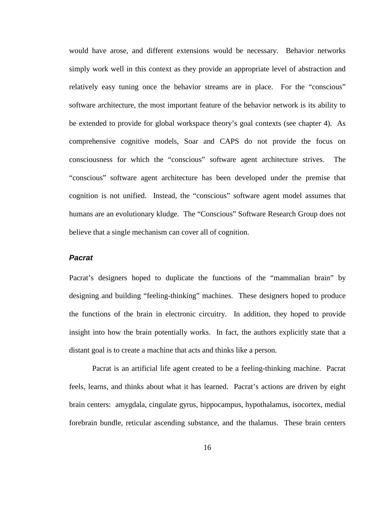would have arose, and different extensions would be necessary. Behavior networks simply work well in this context as they provide an appropriate level of abstraction and relatively easy tuning once the behavior streams are in place. For the "conscious" software architecture, the most important feature of the behavior network is its ability to be extended to provide for global workspace theory's goal contexts (see chapter 4). As comprehensive cognitive models, Soar and CAPS do not provide the focus on consciousness for which the "conscious" software agent architecture strives. The "conscious" software agent architecture has been developed under the premise that cognition is not unified. Instead, the "conscious" software agent model assumes that humans are an evolutionary kludge. The "Conscious" Software Research Group does not believe that a single mechanism can cover all of cognition.

### **Pacrat**

Pacrat's designers hoped to duplicate the functions of the "mammalian brain" by designing and building "feeling-thinking" machines. These designers hoped to produce the functions of the brain in electronic circuitry. In addition, they hoped to provide insight into how the brain potentially works. In fact, the authors explicitly state that a distant goal is to create a machine that acts and thinks like a person.

Pacrat is an artificial life agent created to be a feeling-thinking machine. Pacrat feels, learns, and thinks about what it has learned. Pacrat's actions are driven by eight brain centers: amygdala, cingulate gyrus, hippocampus, hypothalamus, isocortex, medial forebrain bundle, reticular ascending substance, and the thalamus. These brain centers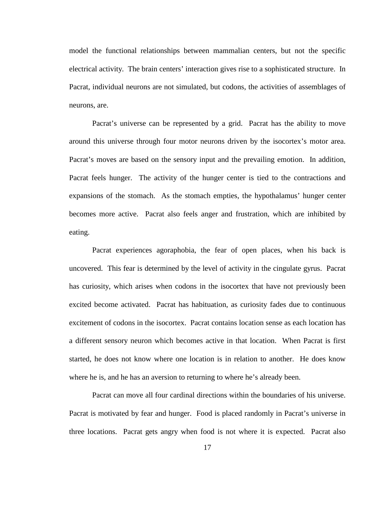model the functional relationships between mammalian centers, but not the specific electrical activity. The brain centers' interaction gives rise to a sophisticated structure. In Pacrat, individual neurons are not simulated, but codons, the activities of assemblages of neurons, are.

Pacrat's universe can be represented by a grid. Pacrat has the ability to move around this universe through four motor neurons driven by the isocortex's motor area. Pacrat's moves are based on the sensory input and the prevailing emotion. In addition, Pacrat feels hunger. The activity of the hunger center is tied to the contractions and expansions of the stomach. As the stomach empties, the hypothalamus' hunger center becomes more active. Pacrat also feels anger and frustration, which are inhibited by eating.

Pacrat experiences agoraphobia, the fear of open places, when his back is uncovered. This fear is determined by the level of activity in the cingulate gyrus. Pacrat has curiosity, which arises when codons in the isocortex that have not previously been excited become activated. Pacrat has habituation, as curiosity fades due to continuous excitement of codons in the isocortex. Pacrat contains location sense as each location has a different sensory neuron which becomes active in that location. When Pacrat is first started, he does not know where one location is in relation to another. He does know where he is, and he has an aversion to returning to where he's already been.

Pacrat can move all four cardinal directions within the boundaries of his universe. Pacrat is motivated by fear and hunger. Food is placed randomly in Pacrat's universe in three locations. Pacrat gets angry when food is not where it is expected. Pacrat also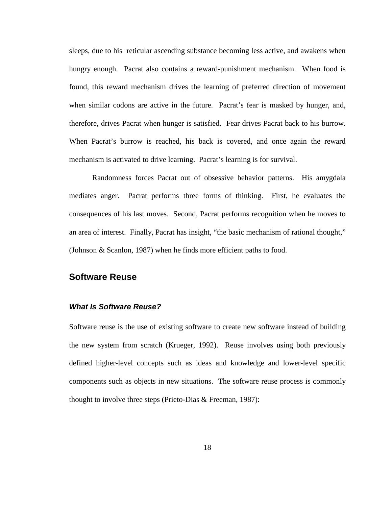sleeps, due to his reticular ascending substance becoming less active, and awakens when hungry enough. Pacrat also contains a reward-punishment mechanism. When food is found, this reward mechanism drives the learning of preferred direction of movement when similar codons are active in the future. Pacrat's fear is masked by hunger, and, therefore, drives Pacrat when hunger is satisfied. Fear drives Pacrat back to his burrow. When Pacrat's burrow is reached, his back is covered, and once again the reward mechanism is activated to drive learning. Pacrat's learning is for survival.

Randomness forces Pacrat out of obsessive behavior patterns. His amygdala mediates anger. Pacrat performs three forms of thinking. First, he evaluates the consequences of his last moves. Second, Pacrat performs recognition when he moves to an area of interest. Finally, Pacrat has insight, "the basic mechanism of rational thought," (Johnson & Scanlon, 1987) when he finds more efficient paths to food.

## **Software Reuse**

#### **What Is Software Reuse?**

Software reuse is the use of existing software to create new software instead of building the new system from scratch (Krueger, 1992). Reuse involves using both previously defined higher-level concepts such as ideas and knowledge and lower-level specific components such as objects in new situations. The software reuse process is commonly thought to involve three steps (Prieto-Dias & Freeman, 1987):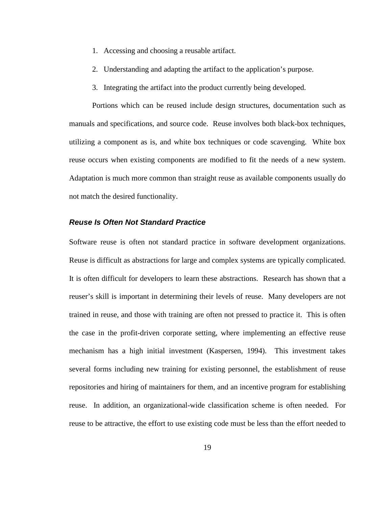- 1. Accessing and choosing a reusable artifact.
- 2. Understanding and adapting the artifact to the application's purpose.
- 3. Integrating the artifact into the product currently being developed.

Portions which can be reused include design structures, documentation such as manuals and specifications, and source code. Reuse involves both black-box techniques, utilizing a component as is, and white box techniques or code scavenging. White box reuse occurs when existing components are modified to fit the needs of a new system. Adaptation is much more common than straight reuse as available components usually do not match the desired functionality.

#### **Reuse Is Often Not Standard Practice**

Software reuse is often not standard practice in software development organizations. Reuse is difficult as abstractions for large and complex systems are typically complicated. It is often difficult for developers to learn these abstractions. Research has shown that a reuser's skill is important in determining their levels of reuse. Many developers are not trained in reuse, and those with training are often not pressed to practice it. This is often the case in the profit-driven corporate setting, where implementing an effective reuse mechanism has a high initial investment (Kaspersen, 1994). This investment takes several forms including new training for existing personnel, the establishment of reuse repositories and hiring of maintainers for them, and an incentive program for establishing reuse. In addition, an organizational-wide classification scheme is often needed. For reuse to be attractive, the effort to use existing code must be less than the effort needed to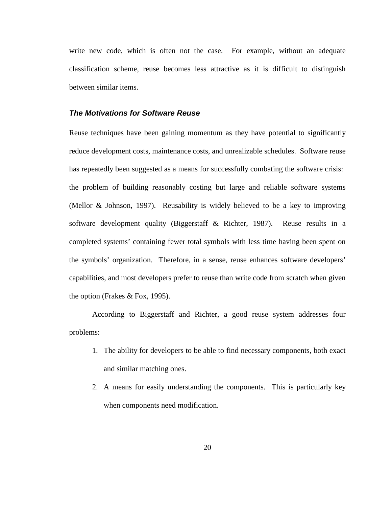write new code, which is often not the case. For example, without an adequate classification scheme, reuse becomes less attractive as it is difficult to distinguish between similar items.

#### **The Motivations for Software Reuse**

Reuse techniques have been gaining momentum as they have potential to significantly reduce development costs, maintenance costs, and unrealizable schedules. Software reuse has repeatedly been suggested as a means for successfully combating the software crisis: the problem of building reasonably costing but large and reliable software systems (Mellor & Johnson, 1997). Reusability is widely believed to be a key to improving software development quality (Biggerstaff & Richter, 1987). Reuse results in a completed systems' containing fewer total symbols with less time having been spent on the symbols' organization. Therefore, in a sense, reuse enhances software developers' capabilities, and most developers prefer to reuse than write code from scratch when given the option (Frakes & Fox, 1995).

According to Biggerstaff and Richter, a good reuse system addresses four problems:

- 1. The ability for developers to be able to find necessary components, both exact and similar matching ones.
- 2. A means for easily understanding the components. This is particularly key when components need modification.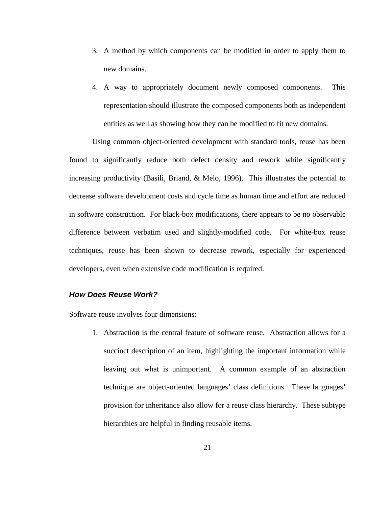- 3. A method by which components can be modified in order to apply them to new domains.
- 4. A way to appropriately document newly composed components. This representation should illustrate the composed components both as independent entities as well as showing how they can be modified to fit new domains.

Using common object-oriented development with standard tools, reuse has been found to significantly reduce both defect density and rework while significantly increasing productivity (Basili, Briand, & Melo, 1996). This illustrates the potential to decrease software development costs and cycle time as human time and effort are reduced in software construction. For black-box modifications, there appears to be no observable difference between verbatim used and slightly-modified code. For white-box reuse techniques, reuse has been shown to decrease rework, especially for experienced developers, even when extensive code modification is required.

#### **How Does Reuse Work?**

Software reuse involves four dimensions:

1. Abstraction is the central feature of software reuse. Abstraction allows for a succinct description of an item, highlighting the important information while leaving out what is unimportant. A common example of an abstraction technique are object-oriented languages' class definitions. These languages' provision for inheritance also allow for a reuse class hierarchy. These subtype hierarchies are helpful in finding reusable items.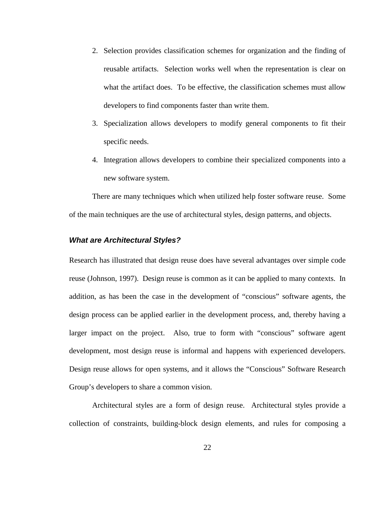- 2. Selection provides classification schemes for organization and the finding of reusable artifacts. Selection works well when the representation is clear on what the artifact does. To be effective, the classification schemes must allow developers to find components faster than write them.
- 3. Specialization allows developers to modify general components to fit their specific needs.
- 4. Integration allows developers to combine their specialized components into a new software system.

There are many techniques which when utilized help foster software reuse. Some of the main techniques are the use of architectural styles, design patterns, and objects.

#### **What are Architectural Styles?**

Research has illustrated that design reuse does have several advantages over simple code reuse (Johnson, 1997). Design reuse is common as it can be applied to many contexts. In addition, as has been the case in the development of "conscious" software agents, the design process can be applied earlier in the development process, and, thereby having a larger impact on the project. Also, true to form with "conscious" software agent development, most design reuse is informal and happens with experienced developers. Design reuse allows for open systems, and it allows the "Conscious" Software Research Group's developers to share a common vision.

Architectural styles are a form of design reuse. Architectural styles provide a collection of constraints, building-block design elements, and rules for composing a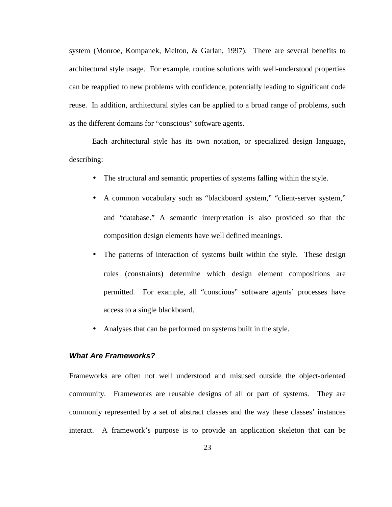system (Monroe, Kompanek, Melton, & Garlan, 1997). There are several benefits to architectural style usage. For example, routine solutions with well-understood properties can be reapplied to new problems with confidence, potentially leading to significant code reuse. In addition, architectural styles can be applied to a broad range of problems, such as the different domains for "conscious" software agents.

Each architectural style has its own notation, or specialized design language, describing:

- The structural and semantic properties of systems falling within the style.
- A common vocabulary such as "blackboard system," "client-server system," and "database." A semantic interpretation is also provided so that the composition design elements have well defined meanings.
- The patterns of interaction of systems built within the style. These design rules (constraints) determine which design element compositions are permitted. For example, all "conscious" software agents' processes have access to a single blackboard.
- Analyses that can be performed on systems built in the style.

# **What Are Frameworks?**

Frameworks are often not well understood and misused outside the object-oriented community. Frameworks are reusable designs of all or part of systems. They are commonly represented by a set of abstract classes and the way these classes' instances interact. A framework's purpose is to provide an application skeleton that can be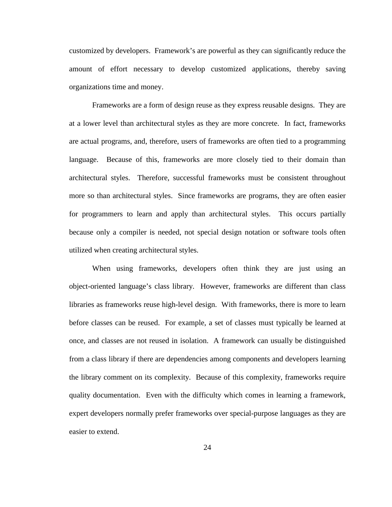customized by developers. Framework's are powerful as they can significantly reduce the amount of effort necessary to develop customized applications, thereby saving organizations time and money.

Frameworks are a form of design reuse as they express reusable designs. They are at a lower level than architectural styles as they are more concrete. In fact, frameworks are actual programs, and, therefore, users of frameworks are often tied to a programming language. Because of this, frameworks are more closely tied to their domain than architectural styles. Therefore, successful frameworks must be consistent throughout more so than architectural styles. Since frameworks are programs, they are often easier for programmers to learn and apply than architectural styles. This occurs partially because only a compiler is needed, not special design notation or software tools often utilized when creating architectural styles.

When using frameworks, developers often think they are just using an object-oriented language's class library. However, frameworks are different than class libraries as frameworks reuse high-level design. With frameworks, there is more to learn before classes can be reused. For example, a set of classes must typically be learned at once, and classes are not reused in isolation. A framework can usually be distinguished from a class library if there are dependencies among components and developers learning the library comment on its complexity. Because of this complexity, frameworks require quality documentation. Even with the difficulty which comes in learning a framework, expert developers normally prefer frameworks over special-purpose languages as they are easier to extend.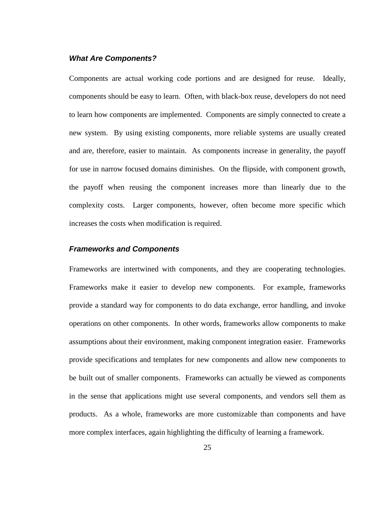#### **What Are Components?**

Components are actual working code portions and are designed for reuse. Ideally, components should be easy to learn. Often, with black-box reuse, developers do not need to learn how components are implemented. Components are simply connected to create a new system. By using existing components, more reliable systems are usually created and are, therefore, easier to maintain. As components increase in generality, the payoff for use in narrow focused domains diminishes. On the flipside, with component growth, the payoff when reusing the component increases more than linearly due to the complexity costs. Larger components, however, often become more specific which increases the costs when modification is required.

#### **Frameworks and Components**

Frameworks are intertwined with components, and they are cooperating technologies. Frameworks make it easier to develop new components. For example, frameworks provide a standard way for components to do data exchange, error handling, and invoke operations on other components. In other words, frameworks allow components to make assumptions about their environment, making component integration easier. Frameworks provide specifications and templates for new components and allow new components to be built out of smaller components. Frameworks can actually be viewed as components in the sense that applications might use several components, and vendors sell them as products. As a whole, frameworks are more customizable than components and have more complex interfaces, again highlighting the difficulty of learning a framework.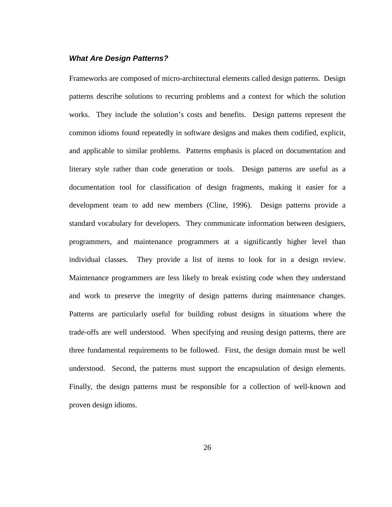#### **What Are Design Patterns?**

Frameworks are composed of micro-architectural elements called design patterns. Design patterns describe solutions to recurring problems and a context for which the solution works. They include the solution's costs and benefits. Design patterns represent the common idioms found repeatedly in software designs and makes them codified, explicit, and applicable to similar problems. Patterns emphasis is placed on documentation and literary style rather than code generation or tools. Design patterns are useful as a documentation tool for classification of design fragments, making it easier for a development team to add new members (Cline, 1996). Design patterns provide a standard vocabulary for developers. They communicate information between designers, programmers, and maintenance programmers at a significantly higher level than individual classes. They provide a list of items to look for in a design review. Maintenance programmers are less likely to break existing code when they understand and work to preserve the integrity of design patterns during maintenance changes. Patterns are particularly useful for building robust designs in situations where the trade-offs are well understood. When specifying and reusing design patterns, there are three fundamental requirements to be followed. First, the design domain must be well understood. Second, the patterns must support the encapsulation of design elements. Finally, the design patterns must be responsible for a collection of well-known and proven design idioms.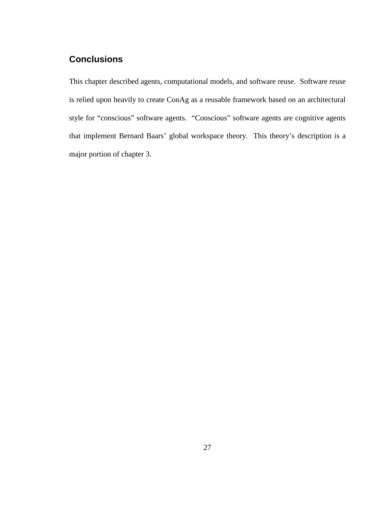# **Conclusions**

This chapter described agents, computational models, and software reuse. Software reuse is relied upon heavily to create ConAg as a reusable framework based on an architectural style for "conscious" software agents. "Conscious" software agents are cognitive agents that implement Bernard Baars' global workspace theory. This theory's description is a major portion of chapter 3.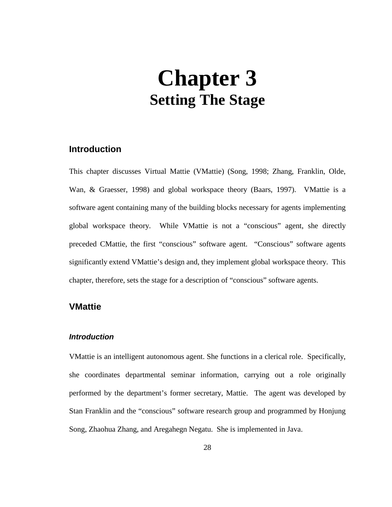# **Chapter 3 Setting The Stage**

# **Introduction**

This chapter discusses Virtual Mattie (VMattie) (Song, 1998; Zhang, Franklin, Olde, Wan, & Graesser, 1998) and global workspace theory (Baars, 1997). VMattie is a software agent containing many of the building blocks necessary for agents implementing global workspace theory. While VMattie is not a "conscious" agent, she directly preceded CMattie, the first "conscious" software agent. "Conscious" software agents significantly extend VMattie's design and, they implement global workspace theory. This chapter, therefore, sets the stage for a description of "conscious" software agents.

# **VMattie**

#### **Introduction**

VMattie is an intelligent autonomous agent. She functions in a clerical role. Specifically, she coordinates departmental seminar information, carrying out a role originally performed by the department's former secretary, Mattie. The agent was developed by Stan Franklin and the "conscious" software research group and programmed by Honjung Song, Zhaohua Zhang, and Aregahegn Negatu. She is implemented in Java.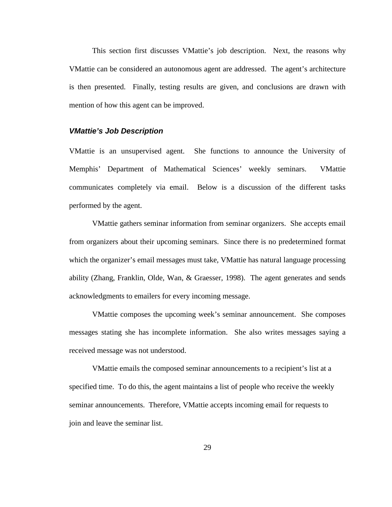This section first discusses VMattie's job description. Next, the reasons why VMattie can be considered an autonomous agent are addressed. The agent's architecture is then presented. Finally, testing results are given, and conclusions are drawn with mention of how this agent can be improved.

#### **VMattie's Job Description**

VMattie is an unsupervised agent. She functions to announce the University of Memphis' Department of Mathematical Sciences' weekly seminars. VMattie communicates completely via email. Below is a discussion of the different tasks performed by the agent.

VMattie gathers seminar information from seminar organizers. She accepts email from organizers about their upcoming seminars. Since there is no predetermined format which the organizer's email messages must take, VMattie has natural language processing ability (Zhang, Franklin, Olde, Wan, & Graesser, 1998). The agent generates and sends acknowledgments to emailers for every incoming message.

VMattie composes the upcoming week's seminar announcement. She composes messages stating she has incomplete information. She also writes messages saying a received message was not understood.

VMattie emails the composed seminar announcements to a recipient's list at a specified time. To do this, the agent maintains a list of people who receive the weekly seminar announcements. Therefore, VMattie accepts incoming email for requests to join and leave the seminar list.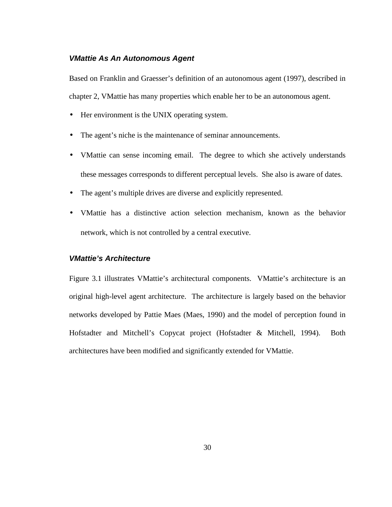#### **VMattie As An Autonomous Agent**

Based on Franklin and Graesser's definition of an autonomous agent (1997), described in chapter 2, VMattie has many properties which enable her to be an autonomous agent.

- Her environment is the UNIX operating system.
- The agent's niche is the maintenance of seminar announcements.
- VMattie can sense incoming email. The degree to which she actively understands these messages corresponds to different perceptual levels. She also is aware of dates.
- The agent's multiple drives are diverse and explicitly represented.
- VMattie has a distinctive action selection mechanism, known as the behavior network, which is not controlled by a central executive.

### **VMattie's Architecture**

Figure 3.1 illustrates VMattie's architectural components. VMattie's architecture is an original high-level agent architecture. The architecture is largely based on the behavior networks developed by Pattie Maes (Maes, 1990) and the model of perception found in Hofstadter and Mitchell's Copycat project (Hofstadter & Mitchell, 1994). Both architectures have been modified and significantly extended for VMattie.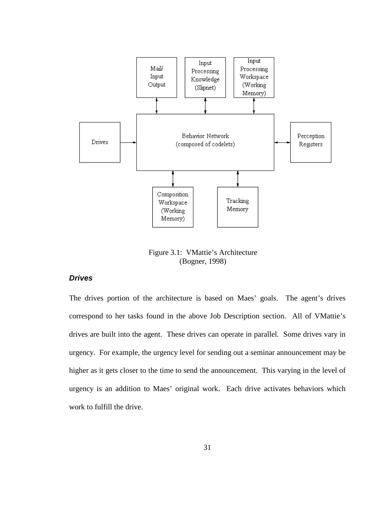

Figure 3.1: VMattie's Architecture (Bogner, 1998)

## **Drives**

The drives portion of the architecture is based on Maes' goals. The agent's drives correspond to her tasks found in the above Job Description section. All of VMattie's drives are built into the agent. These drives can operate in parallel. Some drives vary in urgency. For example, the urgency level for sending out a seminar announcement may be higher as it gets closer to the time to send the announcement. This varying in the level of urgency is an addition to Maes' original work. Each drive activates behaviors which work to fulfill the drive.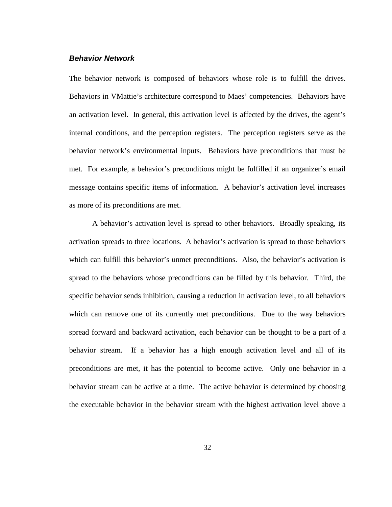# **Behavior Network**

The behavior network is composed of behaviors whose role is to fulfill the drives. Behaviors in VMattie's architecture correspond to Maes' competencies. Behaviors have an activation level. In general, this activation level is affected by the drives, the agent's internal conditions, and the perception registers. The perception registers serve as the behavior network's environmental inputs. Behaviors have preconditions that must be met. For example, a behavior's preconditions might be fulfilled if an organizer's email message contains specific items of information. A behavior's activation level increases as more of its preconditions are met.

A behavior's activation level is spread to other behaviors. Broadly speaking, its activation spreads to three locations. A behavior's activation is spread to those behaviors which can fulfill this behavior's unmet preconditions. Also, the behavior's activation is spread to the behaviors whose preconditions can be filled by this behavior. Third, the specific behavior sends inhibition, causing a reduction in activation level, to all behaviors which can remove one of its currently met preconditions. Due to the way behaviors spread forward and backward activation, each behavior can be thought to be a part of a behavior stream. If a behavior has a high enough activation level and all of its preconditions are met, it has the potential to become active. Only one behavior in a behavior stream can be active at a time. The active behavior is determined by choosing the executable behavior in the behavior stream with the highest activation level above a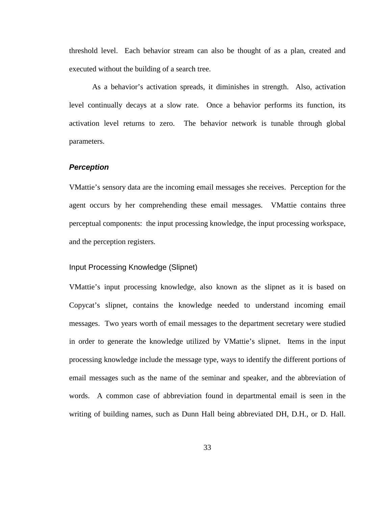threshold level. Each behavior stream can also be thought of as a plan, created and executed without the building of a search tree.

As a behavior's activation spreads, it diminishes in strength. Also, activation level continually decays at a slow rate. Once a behavior performs its function, its activation level returns to zero. The behavior network is tunable through global parameters.

#### **Perception**

VMattie's sensory data are the incoming email messages she receives. Perception for the agent occurs by her comprehending these email messages. VMattie contains three perceptual components: the input processing knowledge, the input processing workspace, and the perception registers.

## Input Processing Knowledge (Slipnet)

VMattie's input processing knowledge, also known as the slipnet as it is based on Copycat's slipnet, contains the knowledge needed to understand incoming email messages. Two years worth of email messages to the department secretary were studied in order to generate the knowledge utilized by VMattie's slipnet. Items in the input processing knowledge include the message type, ways to identify the different portions of email messages such as the name of the seminar and speaker, and the abbreviation of words. A common case of abbreviation found in departmental email is seen in the writing of building names, such as Dunn Hall being abbreviated DH, D.H., or D. Hall.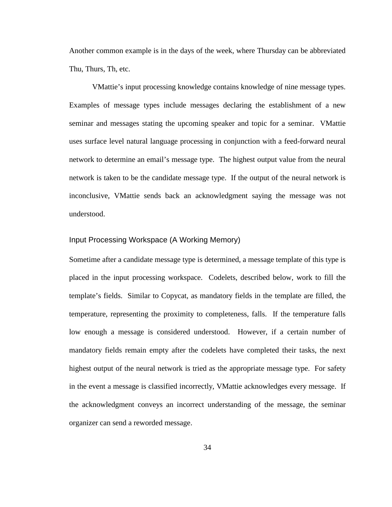Another common example is in the days of the week, where Thursday can be abbreviated Thu, Thurs, Th, etc.

VMattie's input processing knowledge contains knowledge of nine message types. Examples of message types include messages declaring the establishment of a new seminar and messages stating the upcoming speaker and topic for a seminar. VMattie uses surface level natural language processing in conjunction with a feed-forward neural network to determine an email's message type. The highest output value from the neural network is taken to be the candidate message type. If the output of the neural network is inconclusive, VMattie sends back an acknowledgment saying the message was not understood.

# Input Processing Workspace (A Working Memory)

Sometime after a candidate message type is determined, a message template of this type is placed in the input processing workspace. Codelets, described below, work to fill the template's fields. Similar to Copycat, as mandatory fields in the template are filled, the temperature, representing the proximity to completeness, falls. If the temperature falls low enough a message is considered understood. However, if a certain number of mandatory fields remain empty after the codelets have completed their tasks, the next highest output of the neural network is tried as the appropriate message type. For safety in the event a message is classified incorrectly, VMattie acknowledges every message. If the acknowledgment conveys an incorrect understanding of the message, the seminar organizer can send a reworded message.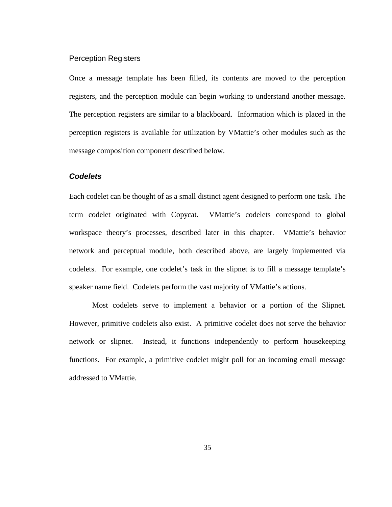#### Perception Registers

Once a message template has been filled, its contents are moved to the perception registers, and the perception module can begin working to understand another message. The perception registers are similar to a blackboard. Information which is placed in the perception registers is available for utilization by VMattie's other modules such as the message composition component described below.

#### **Codelets**

Each codelet can be thought of as a small distinct agent designed to perform one task. The term codelet originated with Copycat. VMattie's codelets correspond to global workspace theory's processes, described later in this chapter. VMattie's behavior network and perceptual module, both described above, are largely implemented via codelets. For example, one codelet's task in the slipnet is to fill a message template's speaker name field. Codelets perform the vast majority of VMattie's actions.

Most codelets serve to implement a behavior or a portion of the Slipnet. However, primitive codelets also exist. A primitive codelet does not serve the behavior network or slipnet. Instead, it functions independently to perform housekeeping functions. For example, a primitive codelet might poll for an incoming email message addressed to VMattie.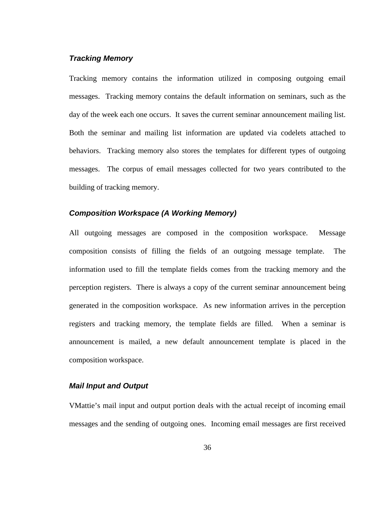# **Tracking Memory**

Tracking memory contains the information utilized in composing outgoing email messages. Tracking memory contains the default information on seminars, such as the day of the week each one occurs. It saves the current seminar announcement mailing list. Both the seminar and mailing list information are updated via codelets attached to behaviors. Tracking memory also stores the templates for different types of outgoing messages. The corpus of email messages collected for two years contributed to the building of tracking memory.

# **Composition Workspace (A Working Memory)**

All outgoing messages are composed in the composition workspace. Message composition consists of filling the fields of an outgoing message template. The information used to fill the template fields comes from the tracking memory and the perception registers. There is always a copy of the current seminar announcement being generated in the composition workspace. As new information arrives in the perception registers and tracking memory, the template fields are filled. When a seminar is announcement is mailed, a new default announcement template is placed in the composition workspace.

#### **Mail Input and Output**

VMattie's mail input and output portion deals with the actual receipt of incoming email messages and the sending of outgoing ones. Incoming email messages are first received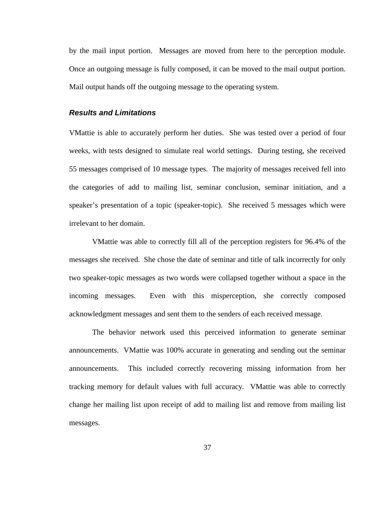by the mail input portion. Messages are moved from here to the perception module. Once an outgoing message is fully composed, it can be moved to the mail output portion. Mail output hands off the outgoing message to the operating system.

# **Results and Limitations**

VMattie is able to accurately perform her duties. She was tested over a period of four weeks, with tests designed to simulate real world settings. During testing, she received 55 messages comprised of 10 message types. The majority of messages received fell into the categories of add to mailing list, seminar conclusion, seminar initiation, and a speaker's presentation of a topic (speaker-topic). She received 5 messages which were irrelevant to her domain.

VMattie was able to correctly fill all of the perception registers for 96.4% of the messages she received. She chose the date of seminar and title of talk incorrectly for only two speaker-topic messages as two words were collapsed together without a space in the incoming messages. Even with this misperception, she correctly composed acknowledgment messages and sent them to the senders of each received message.

The behavior network used this perceived information to generate seminar announcements. VMattie was 100% accurate in generating and sending out the seminar announcements. This included correctly recovering missing information from her tracking memory for default values with full accuracy. VMattie was able to correctly change her mailing list upon receipt of add to mailing list and remove from mailing list messages.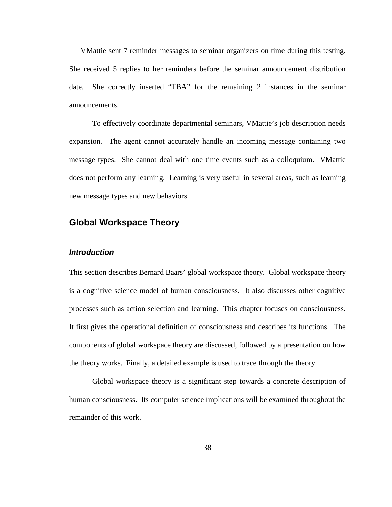VMattie sent 7 reminder messages to seminar organizers on time during this testing. She received 5 replies to her reminders before the seminar announcement distribution date. She correctly inserted "TBA" for the remaining 2 instances in the seminar announcements.

To effectively coordinate departmental seminars, VMattie's job description needs expansion. The agent cannot accurately handle an incoming message containing two message types. She cannot deal with one time events such as a colloquium. VMattie does not perform any learning. Learning is very useful in several areas, such as learning new message types and new behaviors.

# **Global Workspace Theory**

#### **Introduction**

This section describes Bernard Baars' global workspace theory. Global workspace theory is a cognitive science model of human consciousness. It also discusses other cognitive processes such as action selection and learning. This chapter focuses on consciousness. It first gives the operational definition of consciousness and describes its functions. The components of global workspace theory are discussed, followed by a presentation on how the theory works. Finally, a detailed example is used to trace through the theory.

Global workspace theory is a significant step towards a concrete description of human consciousness. Its computer science implications will be examined throughout the remainder of this work.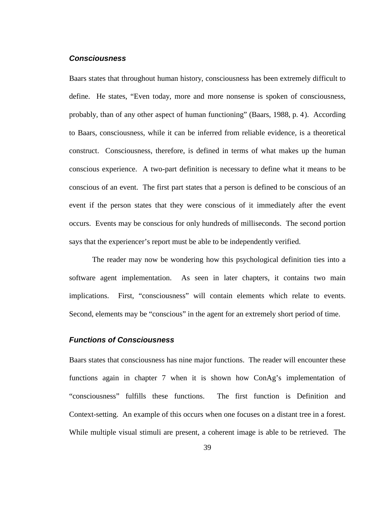# **Consciousness**

Baars states that throughout human history, consciousness has been extremely difficult to define. He states, "Even today, more and more nonsense is spoken of consciousness, probably, than of any other aspect of human functioning" (Baars, 1988, p. 4). According to Baars, consciousness, while it can be inferred from reliable evidence, is a theoretical construct. Consciousness, therefore, is defined in terms of what makes up the human conscious experience. A two-part definition is necessary to define what it means to be conscious of an event. The first part states that a person is defined to be conscious of an event if the person states that they were conscious of it immediately after the event occurs. Events may be conscious for only hundreds of milliseconds. The second portion says that the experiencer's report must be able to be independently verified.

The reader may now be wondering how this psychological definition ties into a software agent implementation. As seen in later chapters, it contains two main implications. First, "consciousness" will contain elements which relate to events. Second, elements may be "conscious" in the agent for an extremely short period of time.

## **Functions of Consciousness**

Baars states that consciousness has nine major functions. The reader will encounter these functions again in chapter 7 when it is shown how ConAg's implementation of "consciousness" fulfills these functions. The first function is Definition and Context-setting. An example of this occurs when one focuses on a distant tree in a forest. While multiple visual stimuli are present, a coherent image is able to be retrieved. The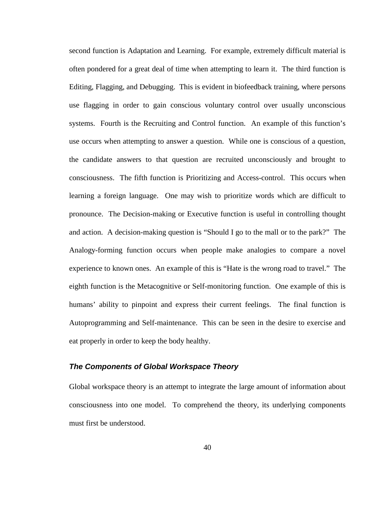second function is Adaptation and Learning. For example, extremely difficult material is often pondered for a great deal of time when attempting to learn it. The third function is Editing, Flagging, and Debugging. This is evident in biofeedback training, where persons use flagging in order to gain conscious voluntary control over usually unconscious systems. Fourth is the Recruiting and Control function. An example of this function's use occurs when attempting to answer a question. While one is conscious of a question, the candidate answers to that question are recruited unconsciously and brought to consciousness. The fifth function is Prioritizing and Access-control. This occurs when learning a foreign language. One may wish to prioritize words which are difficult to pronounce. The Decision-making or Executive function is useful in controlling thought and action. A decision-making question is "Should I go to the mall or to the park?" The Analogy-forming function occurs when people make analogies to compare a novel experience to known ones. An example of this is "Hate is the wrong road to travel." The eighth function is the Metacognitive or Self-monitoring function. One example of this is humans' ability to pinpoint and express their current feelings. The final function is Autoprogramming and Self-maintenance. This can be seen in the desire to exercise and eat properly in order to keep the body healthy.

#### **The Components of Global Workspace Theory**

Global workspace theory is an attempt to integrate the large amount of information about consciousness into one model. To comprehend the theory, its underlying components must first be understood.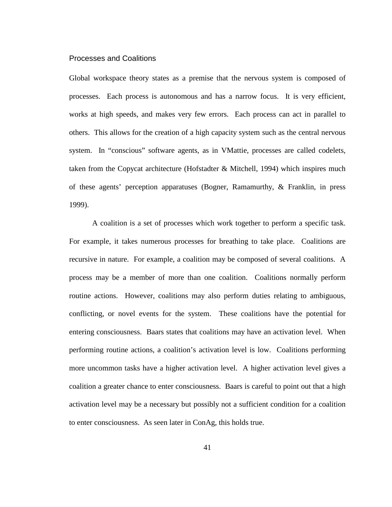# Processes and Coalitions

Global workspace theory states as a premise that the nervous system is composed of processes. Each process is autonomous and has a narrow focus. It is very efficient, works at high speeds, and makes very few errors. Each process can act in parallel to others. This allows for the creation of a high capacity system such as the central nervous system. In "conscious" software agents, as in VMattie, processes are called codelets, taken from the Copycat architecture (Hofstadter & Mitchell, 1994) which inspires much of these agents' perception apparatuses (Bogner, Ramamurthy, & Franklin, in press 1999).

A coalition is a set of processes which work together to perform a specific task. For example, it takes numerous processes for breathing to take place. Coalitions are recursive in nature. For example, a coalition may be composed of several coalitions. A process may be a member of more than one coalition. Coalitions normally perform routine actions. However, coalitions may also perform duties relating to ambiguous, conflicting, or novel events for the system. These coalitions have the potential for entering consciousness. Baars states that coalitions may have an activation level. When performing routine actions, a coalition's activation level is low. Coalitions performing more uncommon tasks have a higher activation level. A higher activation level gives a coalition a greater chance to enter consciousness. Baars is careful to point out that a high activation level may be a necessary but possibly not a sufficient condition for a coalition to enter consciousness. As seen later in ConAg, this holds true.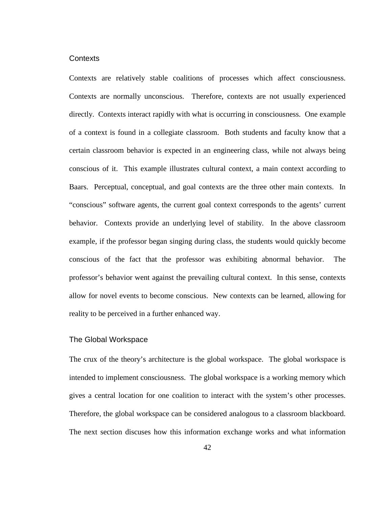#### **Contexts**

Contexts are relatively stable coalitions of processes which affect consciousness. Contexts are normally unconscious. Therefore, contexts are not usually experienced directly. Contexts interact rapidly with what is occurring in consciousness. One example of a context is found in a collegiate classroom. Both students and faculty know that a certain classroom behavior is expected in an engineering class, while not always being conscious of it. This example illustrates cultural context, a main context according to Baars. Perceptual, conceptual, and goal contexts are the three other main contexts. In "conscious" software agents, the current goal context corresponds to the agents' current behavior. Contexts provide an underlying level of stability. In the above classroom example, if the professor began singing during class, the students would quickly become conscious of the fact that the professor was exhibiting abnormal behavior. The professor's behavior went against the prevailing cultural context. In this sense, contexts allow for novel events to become conscious. New contexts can be learned, allowing for reality to be perceived in a further enhanced way.

#### The Global Workspace

The crux of the theory's architecture is the global workspace. The global workspace is intended to implement consciousness. The global workspace is a working memory which gives a central location for one coalition to interact with the system's other processes. Therefore, the global workspace can be considered analogous to a classroom blackboard. The next section discuses how this information exchange works and what information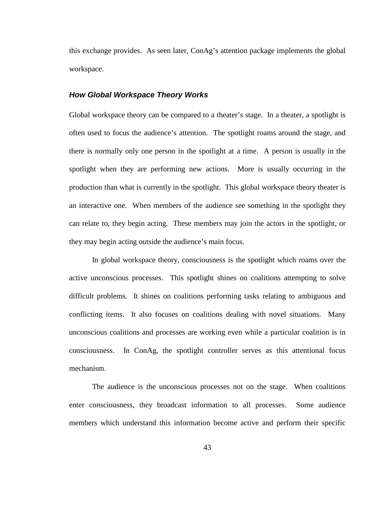this exchange provides. As seen later, ConAg's attention package implements the global workspace.

## **How Global Workspace Theory Works**

Global workspace theory can be compared to a theater's stage. In a theater, a spotlight is often used to focus the audience's attention. The spotlight roams around the stage, and there is normally only one person in the spotlight at a time. A person is usually in the spotlight when they are performing new actions. More is usually occurring in the production than what is currently in the spotlight. This global workspace theory theater is an interactive one. When members of the audience see something in the spotlight they can relate to, they begin acting. These members may join the actors in the spotlight, or they may begin acting outside the audience's main focus.

In global workspace theory, consciousness is the spotlight which roams over the active unconscious processes. This spotlight shines on coalitions attempting to solve difficult problems. It shines on coalitions performing tasks relating to ambiguous and conflicting items. It also focuses on coalitions dealing with novel situations. Many unconscious coalitions and processes are working even while a particular coalition is in consciousness. In ConAg, the spotlight controller serves as this attentional focus mechanism.

The audience is the unconscious processes not on the stage. When coalitions enter consciousness, they broadcast information to all processes. Some audience members which understand this information become active and perform their specific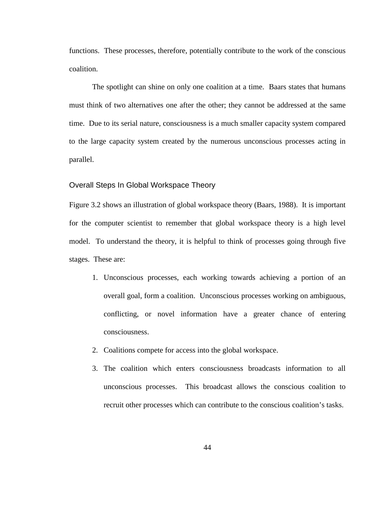functions. These processes, therefore, potentially contribute to the work of the conscious coalition.

The spotlight can shine on only one coalition at a time. Baars states that humans must think of two alternatives one after the other; they cannot be addressed at the same time. Due to its serial nature, consciousness is a much smaller capacity system compared to the large capacity system created by the numerous unconscious processes acting in parallel.

#### Overall Steps In Global Workspace Theory

Figure 3.2 shows an illustration of global workspace theory (Baars, 1988). It is important for the computer scientist to remember that global workspace theory is a high level model. To understand the theory, it is helpful to think of processes going through five stages. These are:

- 1. Unconscious processes, each working towards achieving a portion of an overall goal, form a coalition. Unconscious processes working on ambiguous, conflicting, or novel information have a greater chance of entering consciousness.
- 2. Coalitions compete for access into the global workspace.
- 3. The coalition which enters consciousness broadcasts information to all unconscious processes. This broadcast allows the conscious coalition to recruit other processes which can contribute to the conscious coalition's tasks.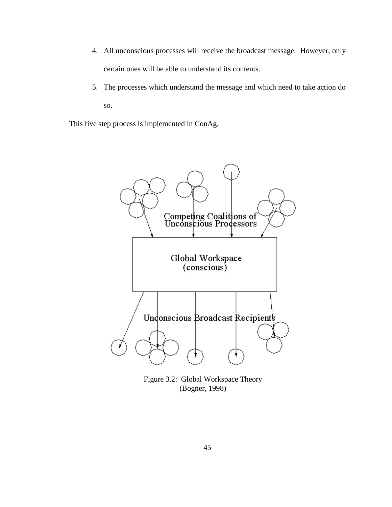- 4. All unconscious processes will receive the broadcast message. However, only certain ones will be able to understand its contents.
- 5. The processes which understand the message and which need to take action do so.

This five step process is implemented in ConAg.



Figure 3.2: Global Workspace Theory (Bogner, 1998)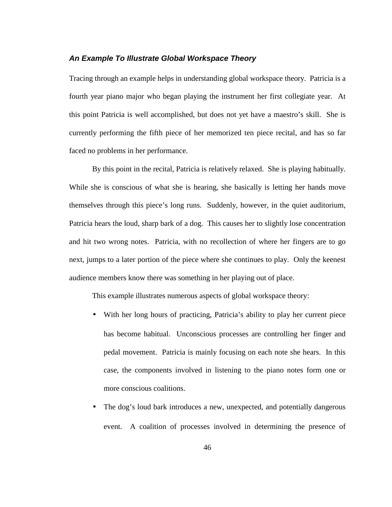#### **An Example To Illustrate Global Workspace Theory**

Tracing through an example helps in understanding global workspace theory. Patricia is a fourth year piano major who began playing the instrument her first collegiate year. At this point Patricia is well accomplished, but does not yet have a maestro's skill. She is currently performing the fifth piece of her memorized ten piece recital, and has so far faced no problems in her performance.

By this point in the recital, Patricia is relatively relaxed. She is playing habitually. While she is conscious of what she is hearing, she basically is letting her hands move themselves through this piece's long runs. Suddenly, however, in the quiet auditorium, Patricia hears the loud, sharp bark of a dog. This causes her to slightly lose concentration and hit two wrong notes. Patricia, with no recollection of where her fingers are to go next, jumps to a later portion of the piece where she continues to play. Only the keenest audience members know there was something in her playing out of place.

This example illustrates numerous aspects of global workspace theory:

- With her long hours of practicing, Patricia's ability to play her current piece has become habitual. Unconscious processes are controlling her finger and pedal movement. Patricia is mainly focusing on each note she hears. In this case, the components involved in listening to the piano notes form one or more conscious coalitions.
- The dog's loud bark introduces a new, unexpected, and potentially dangerous event. A coalition of processes involved in determining the presence of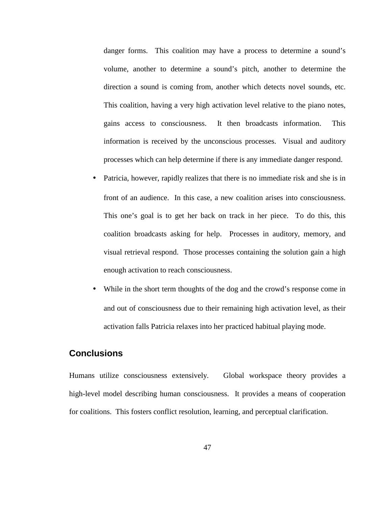danger forms. This coalition may have a process to determine a sound's volume, another to determine a sound's pitch, another to determine the direction a sound is coming from, another which detects novel sounds, etc. This coalition, having a very high activation level relative to the piano notes, gains access to consciousness. It then broadcasts information. This information is received by the unconscious processes. Visual and auditory processes which can help determine if there is any immediate danger respond.

- Patricia, however, rapidly realizes that there is no immediate risk and she is in front of an audience. In this case, a new coalition arises into consciousness. This one's goal is to get her back on track in her piece. To do this, this coalition broadcasts asking for help. Processes in auditory, memory, and visual retrieval respond. Those processes containing the solution gain a high enough activation to reach consciousness.
- While in the short term thoughts of the dog and the crowd's response come in and out of consciousness due to their remaining high activation level, as their activation falls Patricia relaxes into her practiced habitual playing mode.

# **Conclusions**

Humans utilize consciousness extensively. Global workspace theory provides a high-level model describing human consciousness. It provides a means of cooperation for coalitions. This fosters conflict resolution, learning, and perceptual clarification.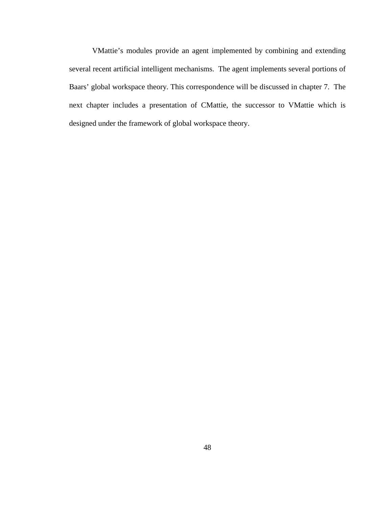VMattie's modules provide an agent implemented by combining and extending several recent artificial intelligent mechanisms. The agent implements several portions of Baars' global workspace theory. This correspondence will be discussed in chapter 7. The next chapter includes a presentation of CMattie, the successor to VMattie which is designed under the framework of global workspace theory.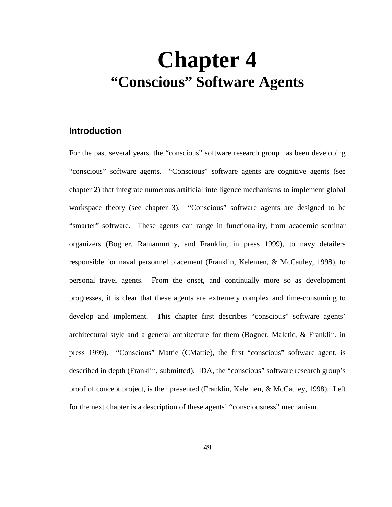# **Chapter 4 "Conscious" Software Agents**

# **Introduction**

For the past several years, the "conscious" software research group has been developing "conscious" software agents. "Conscious" software agents are cognitive agents (see chapter 2) that integrate numerous artificial intelligence mechanisms to implement global workspace theory (see chapter 3). "Conscious" software agents are designed to be "smarter" software. These agents can range in functionality, from academic seminar organizers (Bogner, Ramamurthy, and Franklin, in press 1999), to navy detailers responsible for naval personnel placement (Franklin, Kelemen, & McCauley, 1998), to personal travel agents. From the onset, and continually more so as development progresses, it is clear that these agents are extremely complex and time-consuming to develop and implement. This chapter first describes "conscious" software agents' architectural style and a general architecture for them (Bogner, Maletic, & Franklin, in press 1999). "Conscious" Mattie (CMattie), the first "conscious" software agent, is described in depth (Franklin, submitted). IDA, the "conscious" software research group's proof of concept project, is then presented (Franklin, Kelemen, & McCauley, 1998). Left for the next chapter is a description of these agents' "consciousness" mechanism.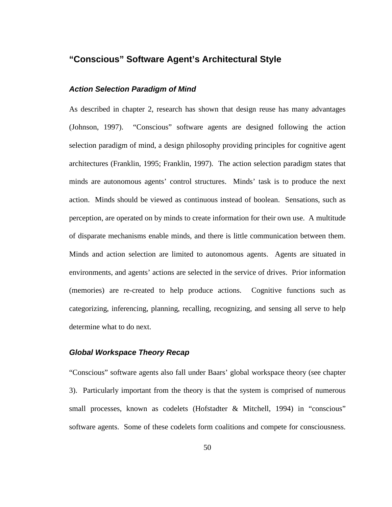# **"Conscious" Software Agent's Architectural Style**

# **Action Selection Paradigm of Mind**

As described in chapter 2, research has shown that design reuse has many advantages (Johnson, 1997). "Conscious" software agents are designed following the action selection paradigm of mind, a design philosophy providing principles for cognitive agent architectures (Franklin, 1995; Franklin, 1997). The action selection paradigm states that minds are autonomous agents' control structures. Minds' task is to produce the next action. Minds should be viewed as continuous instead of boolean. Sensations, such as perception, are operated on by minds to create information for their own use. A multitude of disparate mechanisms enable minds, and there is little communication between them. Minds and action selection are limited to autonomous agents. Agents are situated in environments, and agents' actions are selected in the service of drives. Prior information (memories) are re-created to help produce actions. Cognitive functions such as categorizing, inferencing, planning, recalling, recognizing, and sensing all serve to help determine what to do next.

# **Global Workspace Theory Recap**

"Conscious" software agents also fall under Baars' global workspace theory (see chapter 3). Particularly important from the theory is that the system is comprised of numerous small processes, known as codelets (Hofstadter & Mitchell, 1994) in "conscious" software agents. Some of these codelets form coalitions and compete for consciousness.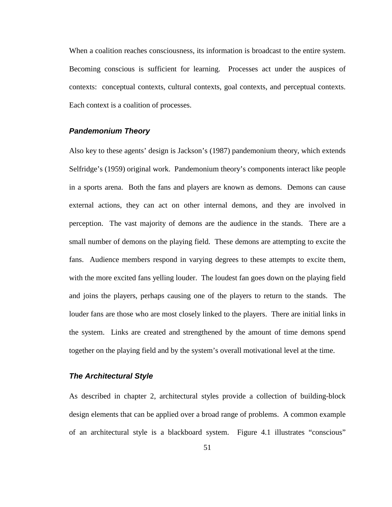When a coalition reaches consciousness, its information is broadcast to the entire system. Becoming conscious is sufficient for learning. Processes act under the auspices of contexts: conceptual contexts, cultural contexts, goal contexts, and perceptual contexts. Each context is a coalition of processes.

# **Pandemonium Theory**

Also key to these agents' design is Jackson's (1987) pandemonium theory, which extends Selfridge's (1959) original work. Pandemonium theory's components interact like people in a sports arena. Both the fans and players are known as demons. Demons can cause external actions, they can act on other internal demons, and they are involved in perception. The vast majority of demons are the audience in the stands. There are a small number of demons on the playing field. These demons are attempting to excite the fans. Audience members respond in varying degrees to these attempts to excite them, with the more excited fans yelling louder. The loudest fan goes down on the playing field and joins the players, perhaps causing one of the players to return to the stands. The louder fans are those who are most closely linked to the players. There are initial links in the system. Links are created and strengthened by the amount of time demons spend together on the playing field and by the system's overall motivational level at the time.

### **The Architectural Style**

As described in chapter 2, architectural styles provide a collection of building-block design elements that can be applied over a broad range of problems. A common example of an architectural style is a blackboard system. Figure 4.1 illustrates "conscious"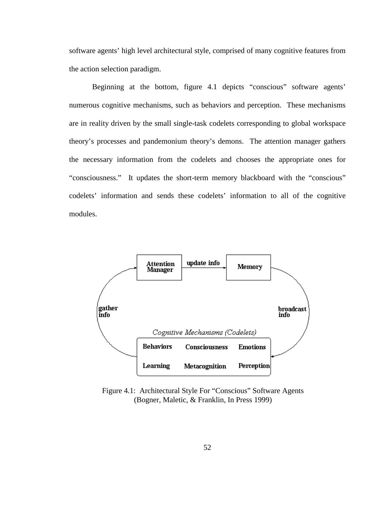software agents' high level architectural style, comprised of many cognitive features from the action selection paradigm.

Beginning at the bottom, figure 4.1 depicts "conscious" software agents' numerous cognitive mechanisms, such as behaviors and perception. These mechanisms are in reality driven by the small single-task codelets corresponding to global workspace theory's processes and pandemonium theory's demons. The attention manager gathers the necessary information from the codelets and chooses the appropriate ones for "consciousness." It updates the short-term memory blackboard with the "conscious" codelets' information and sends these codelets' information to all of the cognitive modules.



Figure 4.1: Architectural Style For "Conscious" Software Agents (Bogner, Maletic, & Franklin, In Press 1999)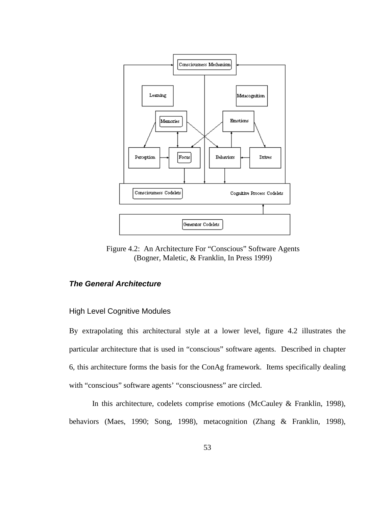

Figure 4.2: An Architecture For "Conscious" Software Agents (Bogner, Maletic, & Franklin, In Press 1999)

# **The General Architecture**

# High Level Cognitive Modules

By extrapolating this architectural style at a lower level, figure 4.2 illustrates the particular architecture that is used in "conscious" software agents. Described in chapter 6, this architecture forms the basis for the ConAg framework. Items specifically dealing with "conscious" software agents' "consciousness" are circled.

In this architecture, codelets comprise emotions (McCauley & Franklin, 1998), behaviors (Maes, 1990; Song, 1998), metacognition (Zhang & Franklin, 1998),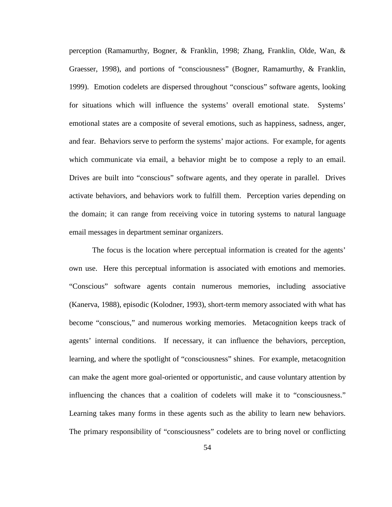perception (Ramamurthy, Bogner, & Franklin, 1998; Zhang, Franklin, Olde, Wan, & Graesser, 1998), and portions of "consciousness" (Bogner, Ramamurthy, & Franklin, 1999). Emotion codelets are dispersed throughout "conscious" software agents, looking for situations which will influence the systems' overall emotional state. Systems' emotional states are a composite of several emotions, such as happiness, sadness, anger, and fear. Behaviors serve to perform the systems' major actions. For example, for agents which communicate via email, a behavior might be to compose a reply to an email. Drives are built into "conscious" software agents, and they operate in parallel. Drives activate behaviors, and behaviors work to fulfill them. Perception varies depending on the domain; it can range from receiving voice in tutoring systems to natural language email messages in department seminar organizers.

The focus is the location where perceptual information is created for the agents' own use. Here this perceptual information is associated with emotions and memories. "Conscious" software agents contain numerous memories, including associative (Kanerva, 1988), episodic (Kolodner, 1993), short-term memory associated with what has become "conscious," and numerous working memories. Metacognition keeps track of agents' internal conditions. If necessary, it can influence the behaviors, perception, learning, and where the spotlight of "consciousness" shines. For example, metacognition can make the agent more goal-oriented or opportunistic, and cause voluntary attention by influencing the chances that a coalition of codelets will make it to "consciousness." Learning takes many forms in these agents such as the ability to learn new behaviors. The primary responsibility of "consciousness" codelets are to bring novel or conflicting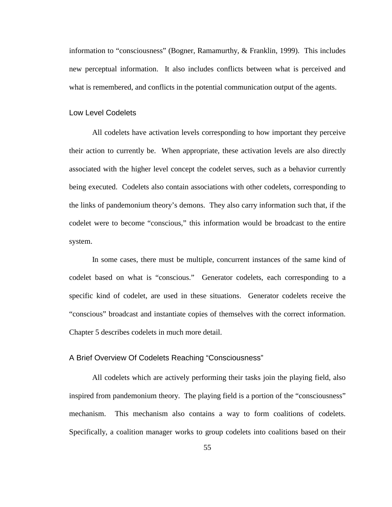information to "consciousness" (Bogner, Ramamurthy, & Franklin, 1999). This includes new perceptual information. It also includes conflicts between what is perceived and what is remembered, and conflicts in the potential communication output of the agents.

# Low Level Codelets

All codelets have activation levels corresponding to how important they perceive their action to currently be. When appropriate, these activation levels are also directly associated with the higher level concept the codelet serves, such as a behavior currently being executed. Codelets also contain associations with other codelets, corresponding to the links of pandemonium theory's demons. They also carry information such that, if the codelet were to become "conscious," this information would be broadcast to the entire system.

In some cases, there must be multiple, concurrent instances of the same kind of codelet based on what is "conscious." Generator codelets, each corresponding to a specific kind of codelet, are used in these situations. Generator codelets receive the "conscious" broadcast and instantiate copies of themselves with the correct information. Chapter 5 describes codelets in much more detail.

#### A Brief Overview Of Codelets Reaching "Consciousness"

All codelets which are actively performing their tasks join the playing field, also inspired from pandemonium theory. The playing field is a portion of the "consciousness" mechanism. This mechanism also contains a way to form coalitions of codelets. Specifically, a coalition manager works to group codelets into coalitions based on their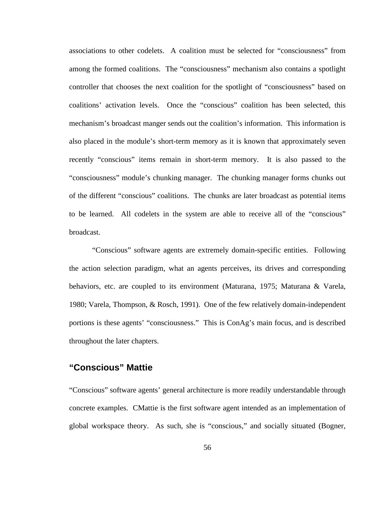associations to other codelets. A coalition must be selected for "consciousness" from among the formed coalitions. The "consciousness" mechanism also contains a spotlight controller that chooses the next coalition for the spotlight of "consciousness" based on coalitions' activation levels. Once the "conscious" coalition has been selected, this mechanism's broadcast manger sends out the coalition's information. This information is also placed in the module's short-term memory as it is known that approximately seven recently "conscious" items remain in short-term memory. It is also passed to the "consciousness" module's chunking manager. The chunking manager forms chunks out of the different "conscious" coalitions. The chunks are later broadcast as potential items to be learned. All codelets in the system are able to receive all of the "conscious" broadcast.

"Conscious" software agents are extremely domain-specific entities. Following the action selection paradigm, what an agents perceives, its drives and corresponding behaviors, etc. are coupled to its environment (Maturana, 1975; Maturana & Varela, 1980; Varela, Thompson, & Rosch, 1991). One of the few relatively domain-independent portions is these agents' "consciousness." This is ConAg's main focus, and is described throughout the later chapters.

# **"Conscious" Mattie**

"Conscious" software agents' general architecture is more readily understandable through concrete examples. CMattie is the first software agent intended as an implementation of global workspace theory. As such, she is "conscious," and socially situated (Bogner,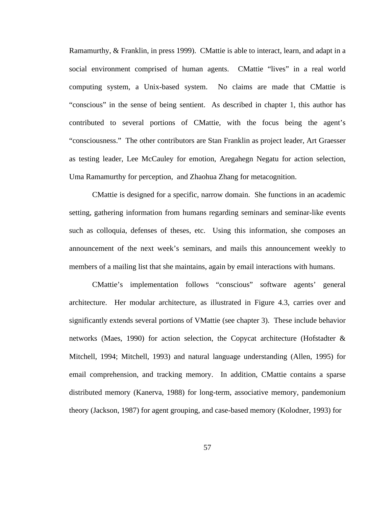Ramamurthy, & Franklin, in press 1999). CMattie is able to interact, learn, and adapt in a social environment comprised of human agents. CMattie "lives" in a real world computing system, a Unix-based system. No claims are made that CMattie is "conscious" in the sense of being sentient. As described in chapter 1, this author has contributed to several portions of CMattie, with the focus being the agent's "consciousness." The other contributors are Stan Franklin as project leader, Art Graesser as testing leader, Lee McCauley for emotion, Aregahegn Negatu for action selection, Uma Ramamurthy for perception, and Zhaohua Zhang for metacognition.

CMattie is designed for a specific, narrow domain. She functions in an academic setting, gathering information from humans regarding seminars and seminar-like events such as colloquia, defenses of theses, etc. Using this information, she composes an announcement of the next week's seminars, and mails this announcement weekly to members of a mailing list that she maintains, again by email interactions with humans.

CMattie's implementation follows "conscious" software agents' general architecture. Her modular architecture, as illustrated in Figure 4.3, carries over and significantly extends several portions of VMattie (see chapter 3). These include behavior networks (Maes, 1990) for action selection, the Copycat architecture (Hofstadter & Mitchell, 1994; Mitchell, 1993) and natural language understanding (Allen, 1995) for email comprehension, and tracking memory. In addition, CMattie contains a sparse distributed memory (Kanerva, 1988) for long-term, associative memory, pandemonium theory (Jackson, 1987) for agent grouping, and case-based memory (Kolodner, 1993) for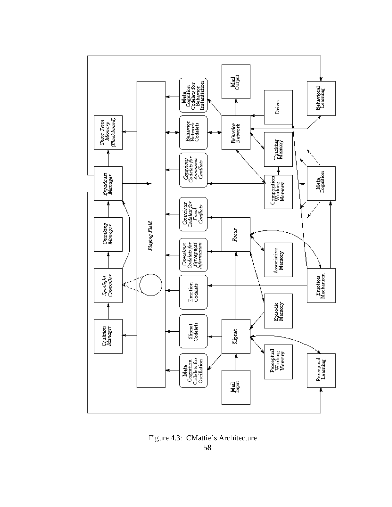

Figure 4.3: CMattie's Architecture 58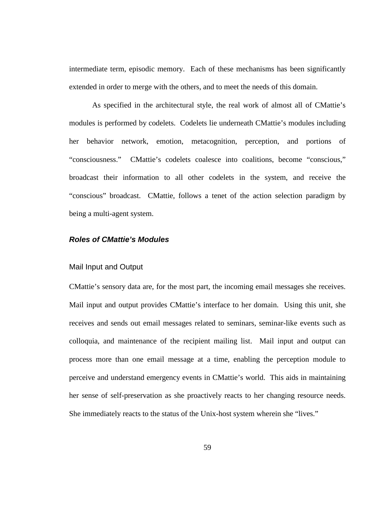intermediate term, episodic memory. Each of these mechanisms has been significantly extended in order to merge with the others, and to meet the needs of this domain.

As specified in the architectural style, the real work of almost all of CMattie's modules is performed by codelets. Codelets lie underneath CMattie's modules including her behavior network, emotion, metacognition, perception, and portions of "consciousness." CMattie's codelets coalesce into coalitions, become "conscious," broadcast their information to all other codelets in the system, and receive the "conscious" broadcast. CMattie, follows a tenet of the action selection paradigm by being a multi-agent system.

# **Roles of CMattie's Modules**

#### Mail Input and Output

CMattie's sensory data are, for the most part, the incoming email messages she receives. Mail input and output provides CMattie's interface to her domain. Using this unit, she receives and sends out email messages related to seminars, seminar-like events such as colloquia, and maintenance of the recipient mailing list. Mail input and output can process more than one email message at a time, enabling the perception module to perceive and understand emergency events in CMattie's world. This aids in maintaining her sense of self-preservation as she proactively reacts to her changing resource needs. She immediately reacts to the status of the Unix-host system wherein she "lives."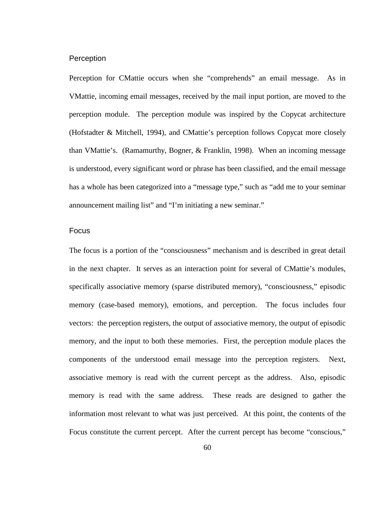#### **Perception**

Perception for CMattie occurs when she "comprehends" an email message. As in VMattie, incoming email messages, received by the mail input portion, are moved to the perception module. The perception module was inspired by the Copycat architecture (Hofstadter & Mitchell, 1994), and CMattie's perception follows Copycat more closely than VMattie's. (Ramamurthy, Bogner, & Franklin, 1998). When an incoming message is understood, every significant word or phrase has been classified, and the email message has a whole has been categorized into a "message type," such as "add me to your seminar announcement mailing list" and "I'm initiating a new seminar."

# Focus

The focus is a portion of the "consciousness" mechanism and is described in great detail in the next chapter. It serves as an interaction point for several of CMattie's modules, specifically associative memory (sparse distributed memory), "consciousness," episodic memory (case-based memory), emotions, and perception. The focus includes four vectors: the perception registers, the output of associative memory, the output of episodic memory, and the input to both these memories. First, the perception module places the components of the understood email message into the perception registers. Next, associative memory is read with the current percept as the address. Also, episodic memory is read with the same address. These reads are designed to gather the information most relevant to what was just perceived. At this point, the contents of the Focus constitute the current percept. After the current percept has become "conscious,"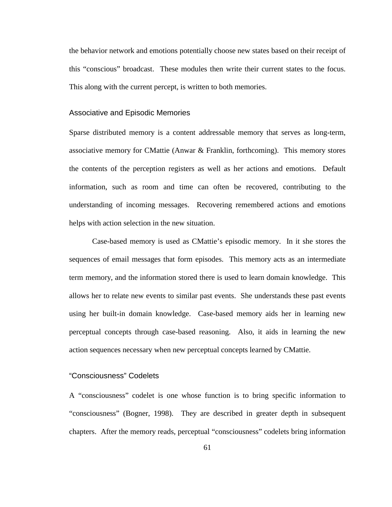the behavior network and emotions potentially choose new states based on their receipt of this "conscious" broadcast. These modules then write their current states to the focus. This along with the current percept, is written to both memories.

#### Associative and Episodic Memories

Sparse distributed memory is a content addressable memory that serves as long-term, associative memory for CMattie (Anwar & Franklin, forthcoming). This memory stores the contents of the perception registers as well as her actions and emotions. Default information, such as room and time can often be recovered, contributing to the understanding of incoming messages. Recovering remembered actions and emotions helps with action selection in the new situation.

Case-based memory is used as CMattie's episodic memory. In it she stores the sequences of email messages that form episodes. This memory acts as an intermediate term memory, and the information stored there is used to learn domain knowledge. This allows her to relate new events to similar past events. She understands these past events using her built-in domain knowledge. Case-based memory aids her in learning new perceptual concepts through case-based reasoning. Also, it aids in learning the new action sequences necessary when new perceptual concepts learned by CMattie.

#### "Consciousness" Codelets

A "consciousness" codelet is one whose function is to bring specific information to "consciousness" (Bogner, 1998). They are described in greater depth in subsequent chapters. After the memory reads, perceptual "consciousness" codelets bring information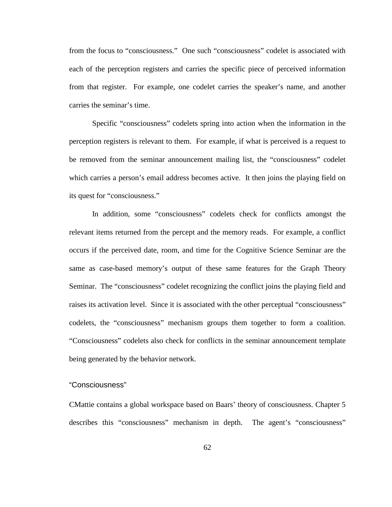from the focus to "consciousness." One such "consciousness" codelet is associated with each of the perception registers and carries the specific piece of perceived information from that register. For example, one codelet carries the speaker's name, and another carries the seminar's time.

Specific "consciousness" codelets spring into action when the information in the perception registers is relevant to them. For example, if what is perceived is a request to be removed from the seminar announcement mailing list, the "consciousness" codelet which carries a person's email address becomes active. It then joins the playing field on its quest for "consciousness."

In addition, some "consciousness" codelets check for conflicts amongst the relevant items returned from the percept and the memory reads. For example, a conflict occurs if the perceived date, room, and time for the Cognitive Science Seminar are the same as case-based memory's output of these same features for the Graph Theory Seminar. The "consciousness" codelet recognizing the conflict joins the playing field and raises its activation level. Since it is associated with the other perceptual "consciousness" codelets, the "consciousness" mechanism groups them together to form a coalition. "Consciousness" codelets also check for conflicts in the seminar announcement template being generated by the behavior network.

# "Consciousness"

CMattie contains a global workspace based on Baars' theory of consciousness. Chapter 5 describes this "consciousness" mechanism in depth. The agent's "consciousness"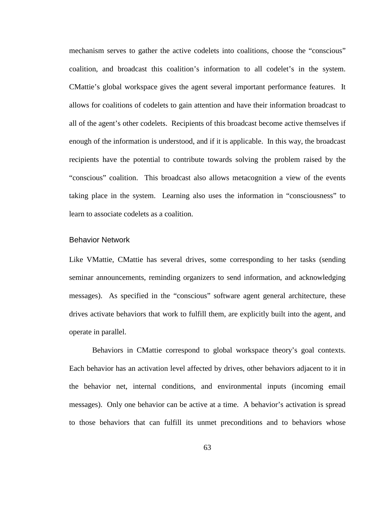mechanism serves to gather the active codelets into coalitions, choose the "conscious" coalition, and broadcast this coalition's information to all codelet's in the system. CMattie's global workspace gives the agent several important performance features. It allows for coalitions of codelets to gain attention and have their information broadcast to all of the agent's other codelets. Recipients of this broadcast become active themselves if enough of the information is understood, and if it is applicable. In this way, the broadcast recipients have the potential to contribute towards solving the problem raised by the "conscious" coalition. This broadcast also allows metacognition a view of the events taking place in the system. Learning also uses the information in "consciousness" to learn to associate codelets as a coalition.

#### Behavior Network

Like VMattie, CMattie has several drives, some corresponding to her tasks (sending seminar announcements, reminding organizers to send information, and acknowledging messages). As specified in the "conscious" software agent general architecture, these drives activate behaviors that work to fulfill them, are explicitly built into the agent, and operate in parallel.

Behaviors in CMattie correspond to global workspace theory's goal contexts. Each behavior has an activation level affected by drives, other behaviors adjacent to it in the behavior net, internal conditions, and environmental inputs (incoming email messages). Only one behavior can be active at a time. A behavior's activation is spread to those behaviors that can fulfill its unmet preconditions and to behaviors whose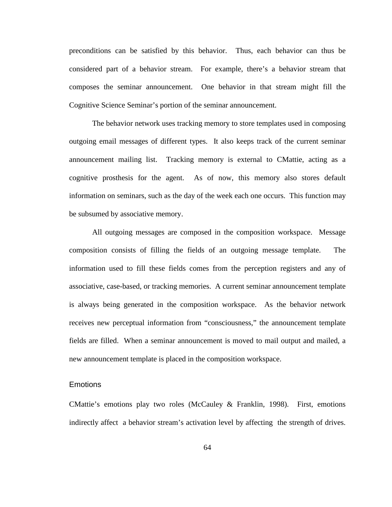preconditions can be satisfied by this behavior. Thus, each behavior can thus be considered part of a behavior stream. For example, there's a behavior stream that composes the seminar announcement. One behavior in that stream might fill the Cognitive Science Seminar's portion of the seminar announcement.

The behavior network uses tracking memory to store templates used in composing outgoing email messages of different types. It also keeps track of the current seminar announcement mailing list. Tracking memory is external to CMattie, acting as a cognitive prosthesis for the agent. As of now, this memory also stores default information on seminars, such as the day of the week each one occurs. This function may be subsumed by associative memory.

All outgoing messages are composed in the composition workspace. Message composition consists of filling the fields of an outgoing message template. The information used to fill these fields comes from the perception registers and any of associative, case-based, or tracking memories. A current seminar announcement template is always being generated in the composition workspace. As the behavior network receives new perceptual information from "consciousness," the announcement template fields are filled. When a seminar announcement is moved to mail output and mailed, a new announcement template is placed in the composition workspace.

# **Emotions**

CMattie's emotions play two roles (McCauley & Franklin, 1998). First, emotions indirectly affect a behavior stream's activation level by affecting the strength of drives.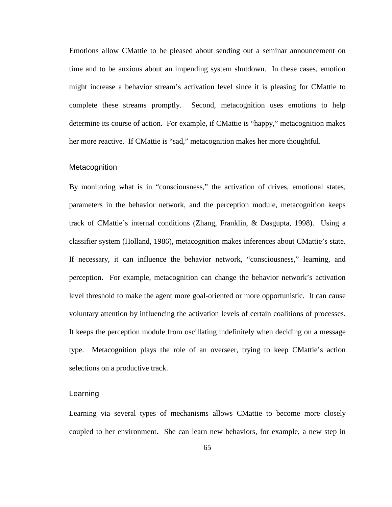Emotions allow CMattie to be pleased about sending out a seminar announcement on time and to be anxious about an impending system shutdown. In these cases, emotion might increase a behavior stream's activation level since it is pleasing for CMattie to complete these streams promptly. Second, metacognition uses emotions to help determine its course of action. For example, if CMattie is "happy," metacognition makes her more reactive. If CMattie is "sad," metacognition makes her more thoughtful.

#### **Metacognition**

By monitoring what is in "consciousness," the activation of drives, emotional states, parameters in the behavior network, and the perception module, metacognition keeps track of CMattie's internal conditions (Zhang, Franklin, & Dasgupta, 1998). Using a classifier system (Holland, 1986), metacognition makes inferences about CMattie's state. If necessary, it can influence the behavior network, "consciousness," learning, and perception. For example, metacognition can change the behavior network's activation level threshold to make the agent more goal-oriented or more opportunistic. It can cause voluntary attention by influencing the activation levels of certain coalitions of processes. It keeps the perception module from oscillating indefinitely when deciding on a message type. Metacognition plays the role of an overseer, trying to keep CMattie's action selections on a productive track.

#### **Learning**

Learning via several types of mechanisms allows CMattie to become more closely coupled to her environment. She can learn new behaviors, for example, a new step in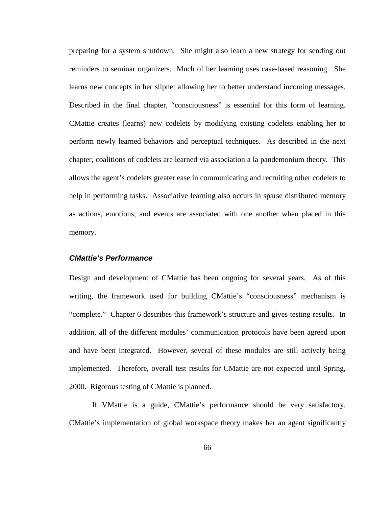preparing for a system shutdown. She might also learn a new strategy for sending out reminders to seminar organizers. Much of her learning uses case-based reasoning. She learns new concepts in her slipnet allowing her to better understand incoming messages. Described in the final chapter, "consciousness" is essential for this form of learning. CMattie creates (learns) new codelets by modifying existing codelets enabling her to perform newly learned behaviors and perceptual techniques. As described in the next chapter, coalitions of codelets are learned via association a la pandemonium theory. This allows the agent's codelets greater ease in communicating and recruiting other codelets to help in performing tasks. Associative learning also occurs in sparse distributed memory as actions, emotions, and events are associated with one another when placed in this memory.

# **CMattie's Performance**

Design and development of CMattie has been ongoing for several years. As of this writing, the framework used for building CMattie's "consciousness" mechanism is "complete." Chapter 6 describes this framework's structure and gives testing results. In addition, all of the different modules' communication protocols have been agreed upon and have been integrated. However, several of these modules are still actively being implemented. Therefore, overall test results for CMattie are not expected until Spring, 2000. Rigorous testing of CMattie is planned.

If VMattie is a guide, CMattie's performance should be very satisfactory. CMattie's implementation of global workspace theory makes her an agent significantly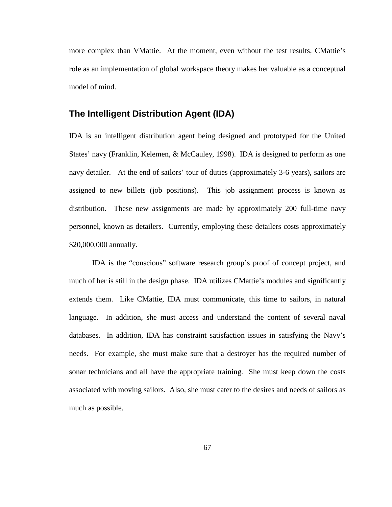more complex than VMattie. At the moment, even without the test results, CMattie's role as an implementation of global workspace theory makes her valuable as a conceptual model of mind.

# **The Intelligent Distribution Agent (IDA)**

IDA is an intelligent distribution agent being designed and prototyped for the United States' navy (Franklin, Kelemen, & McCauley, 1998). IDA is designed to perform as one navy detailer. At the end of sailors' tour of duties (approximately 3-6 years), sailors are assigned to new billets (job positions). This job assignment process is known as distribution. These new assignments are made by approximately 200 full-time navy personnel, known as detailers. Currently, employing these detailers costs approximately \$20,000,000 annually.

IDA is the "conscious" software research group's proof of concept project, and much of her is still in the design phase. IDA utilizes CMattie's modules and significantly extends them. Like CMattie, IDA must communicate, this time to sailors, in natural language. In addition, she must access and understand the content of several naval databases. In addition, IDA has constraint satisfaction issues in satisfying the Navy's needs. For example, she must make sure that a destroyer has the required number of sonar technicians and all have the appropriate training. She must keep down the costs associated with moving sailors. Also, she must cater to the desires and needs of sailors as much as possible.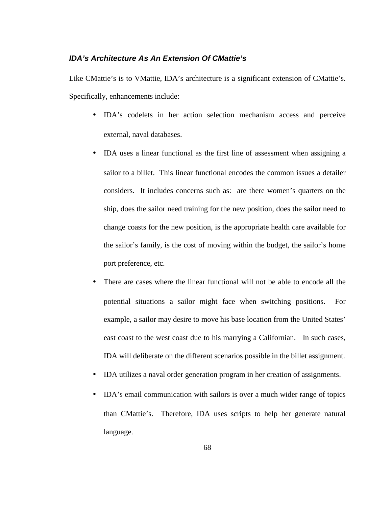# **IDA's Architecture As An Extension Of CMattie's**

Like CMattie's is to VMattie, IDA's architecture is a significant extension of CMattie's. Specifically, enhancements include:

- IDA's codelets in her action selection mechanism access and perceive external, naval databases.
- IDA uses a linear functional as the first line of assessment when assigning a sailor to a billet. This linear functional encodes the common issues a detailer considers. It includes concerns such as: are there women's quarters on the ship, does the sailor need training for the new position, does the sailor need to change coasts for the new position, is the appropriate health care available for the sailor's family, is the cost of moving within the budget, the sailor's home port preference, etc.
- There are cases where the linear functional will not be able to encode all the potential situations a sailor might face when switching positions. For example, a sailor may desire to move his base location from the United States' east coast to the west coast due to his marrying a Californian. In such cases, IDA will deliberate on the different scenarios possible in the billet assignment.
- IDA utilizes a naval order generation program in her creation of assignments.
- IDA's email communication with sailors is over a much wider range of topics than CMattie's. Therefore, IDA uses scripts to help her generate natural language.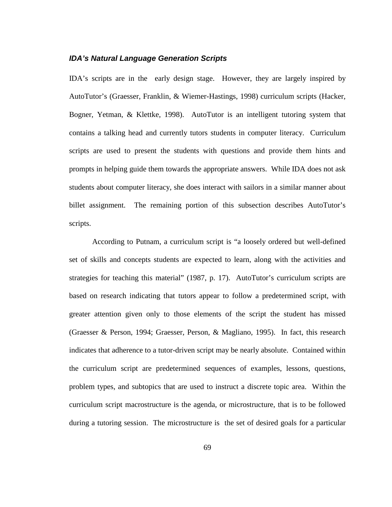#### **IDA's Natural Language Generation Scripts**

IDA's scripts are in the early design stage. However, they are largely inspired by AutoTutor's (Graesser, Franklin, & Wiemer-Hastings, 1998) curriculum scripts (Hacker, Bogner, Yetman, & Klettke, 1998). AutoTutor is an intelligent tutoring system that contains a talking head and currently tutors students in computer literacy. Curriculum scripts are used to present the students with questions and provide them hints and prompts in helping guide them towards the appropriate answers. While IDA does not ask students about computer literacy, she does interact with sailors in a similar manner about billet assignment. The remaining portion of this subsection describes AutoTutor's scripts.

According to Putnam, a curriculum script is "a loosely ordered but well-defined set of skills and concepts students are expected to learn, along with the activities and strategies for teaching this material" (1987, p. 17). AutoTutor's curriculum scripts are based on research indicating that tutors appear to follow a predetermined script, with greater attention given only to those elements of the script the student has missed (Graesser & Person, 1994; Graesser, Person, & Magliano, 1995). In fact, this research indicates that adherence to a tutor-driven script may be nearly absolute. Contained within the curriculum script are predetermined sequences of examples, lessons, questions, problem types, and subtopics that are used to instruct a discrete topic area. Within the curriculum script macrostructure is the agenda, or microstructure, that is to be followed during a tutoring session. The microstructure is the set of desired goals for a particular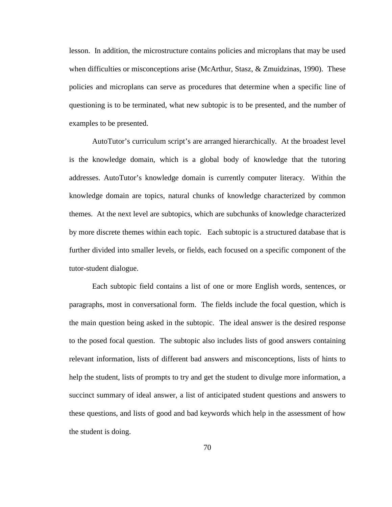lesson. In addition, the microstructure contains policies and microplans that may be used when difficulties or misconceptions arise (McArthur, Stasz, & Zmuidzinas, 1990). These policies and microplans can serve as procedures that determine when a specific line of questioning is to be terminated, what new subtopic is to be presented, and the number of examples to be presented.

AutoTutor's curriculum script's are arranged hierarchically. At the broadest level is the knowledge domain, which is a global body of knowledge that the tutoring addresses. AutoTutor's knowledge domain is currently computer literacy. Within the knowledge domain are topics, natural chunks of knowledge characterized by common themes. At the next level are subtopics, which are subchunks of knowledge characterized by more discrete themes within each topic. Each subtopic is a structured database that is further divided into smaller levels, or fields, each focused on a specific component of the tutor-student dialogue.

Each subtopic field contains a list of one or more English words, sentences, or paragraphs, most in conversational form. The fields include the focal question, which is the main question being asked in the subtopic. The ideal answer is the desired response to the posed focal question. The subtopic also includes lists of good answers containing relevant information, lists of different bad answers and misconceptions, lists of hints to help the student, lists of prompts to try and get the student to divulge more information, a succinct summary of ideal answer, a list of anticipated student questions and answers to these questions, and lists of good and bad keywords which help in the assessment of how the student is doing.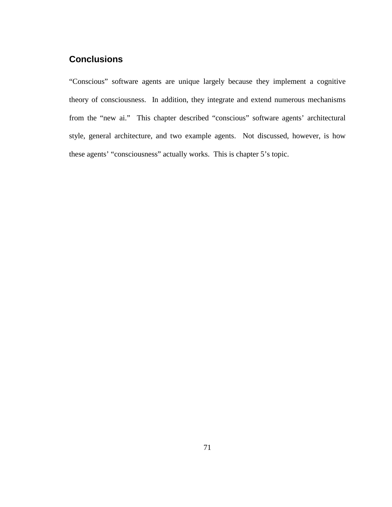# **Conclusions**

"Conscious" software agents are unique largely because they implement a cognitive theory of consciousness. In addition, they integrate and extend numerous mechanisms from the "new ai." This chapter described "conscious" software agents' architectural style, general architecture, and two example agents. Not discussed, however, is how these agents' "consciousness" actually works. This is chapter 5's topic.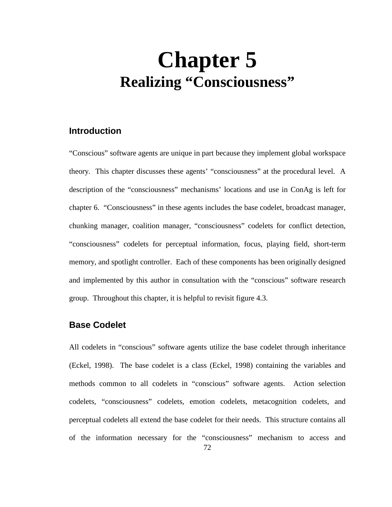# **Chapter 5 Realizing "Consciousness"**

# **Introduction**

"Conscious" software agents are unique in part because they implement global workspace theory. This chapter discusses these agents' "consciousness" at the procedural level. A description of the "consciousness" mechanisms' locations and use in ConAg is left for chapter 6. "Consciousness" in these agents includes the base codelet, broadcast manager, chunking manager, coalition manager, "consciousness" codelets for conflict detection, "consciousness" codelets for perceptual information, focus, playing field, short-term memory, and spotlight controller. Each of these components has been originally designed and implemented by this author in consultation with the "conscious" software research group. Throughout this chapter, it is helpful to revisit figure 4.3.

# **Base Codelet**

All codelets in "conscious" software agents utilize the base codelet through inheritance (Eckel, 1998). The base codelet is a class (Eckel, 1998) containing the variables and methods common to all codelets in "conscious" software agents. Action selection codelets, "consciousness" codelets, emotion codelets, metacognition codelets, and perceptual codelets all extend the base codelet for their needs. This structure contains all of the information necessary for the "consciousness" mechanism to access and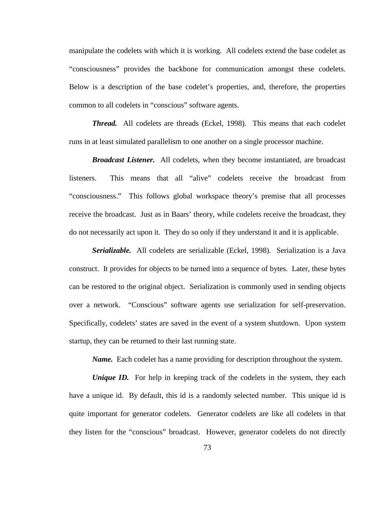manipulate the codelets with which it is working. All codelets extend the base codelet as "consciousness" provides the backbone for communication amongst these codelets. Below is a description of the base codelet's properties, and, therefore, the properties common to all codelets in "conscious" software agents.

*Thread.* All codelets are threads (Eckel, 1998). This means that each codelet runs in at least simulated parallelism to one another on a single processor machine.

*Broadcast Listener.* All codelets, when they become instantiated, are broadcast listeners. This means that all "alive" codelets receive the broadcast from "consciousness." This follows global workspace theory's premise that all processes receive the broadcast. Just as in Baars' theory, while codelets receive the broadcast, they do not necessarily act upon it. They do so only if they understand it and it is applicable.

*Serializable.* All codelets are serializable (Eckel, 1998). Serialization is a Java construct. It provides for objects to be turned into a sequence of bytes. Later, these bytes can be restored to the original object. Serialization is commonly used in sending objects over a network. "Conscious" software agents use serialization for self-preservation. Specifically, codelets' states are saved in the event of a system shutdown. Upon system startup, they can be returned to their last running state.

*Name.* Each codelet has a name providing for description throughout the system.

*Unique ID.* For help in keeping track of the codelets in the system, they each have a unique id. By default, this id is a randomly selected number. This unique id is quite important for generator codelets. Generator codelets are like all codelets in that they listen for the "conscious" broadcast. However, generator codelets do not directly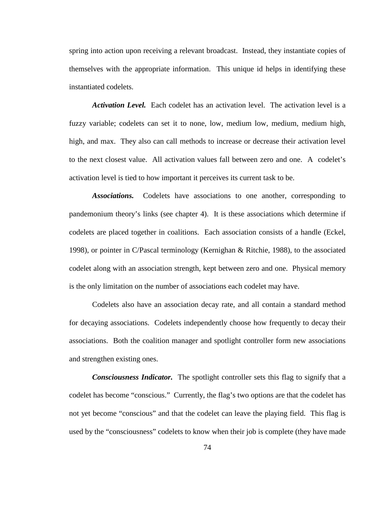spring into action upon receiving a relevant broadcast. Instead, they instantiate copies of themselves with the appropriate information. This unique id helps in identifying these instantiated codelets.

*Activation Level.* Each codelet has an activation level. The activation level is a fuzzy variable; codelets can set it to none, low, medium low, medium, medium high, high, and max. They also can call methods to increase or decrease their activation level to the next closest value. All activation values fall between zero and one. A codelet's activation level is tied to how important it perceives its current task to be.

*Associations.* Codelets have associations to one another, corresponding to pandemonium theory's links (see chapter 4). It is these associations which determine if codelets are placed together in coalitions. Each association consists of a handle (Eckel, 1998), or pointer in C/Pascal terminology (Kernighan & Ritchie, 1988), to the associated codelet along with an association strength, kept between zero and one. Physical memory is the only limitation on the number of associations each codelet may have.

Codelets also have an association decay rate, and all contain a standard method for decaying associations. Codelets independently choose how frequently to decay their associations. Both the coalition manager and spotlight controller form new associations and strengthen existing ones.

*Consciousness Indicator.* The spotlight controller sets this flag to signify that a codelet has become "conscious." Currently, the flag's two options are that the codelet has not yet become "conscious" and that the codelet can leave the playing field. This flag is used by the "consciousness" codelets to know when their job is complete (they have made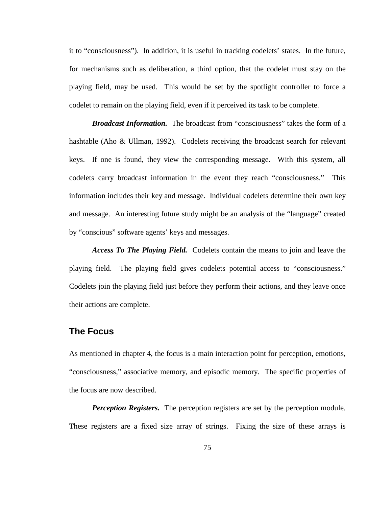it to "consciousness"). In addition, it is useful in tracking codelets' states. In the future, for mechanisms such as deliberation, a third option, that the codelet must stay on the playing field, may be used. This would be set by the spotlight controller to force a codelet to remain on the playing field, even if it perceived its task to be complete.

*Broadcast Information.* The broadcast from "consciousness" takes the form of a hashtable (Aho & Ullman, 1992). Codelets receiving the broadcast search for relevant keys. If one is found, they view the corresponding message. With this system, all codelets carry broadcast information in the event they reach "consciousness." This information includes their key and message. Individual codelets determine their own key and message. An interesting future study might be an analysis of the "language" created by "conscious" software agents' keys and messages.

*Access To The Playing Field.* Codelets contain the means to join and leave the playing field. The playing field gives codelets potential access to "consciousness." Codelets join the playing field just before they perform their actions, and they leave once their actions are complete.

# **The Focus**

As mentioned in chapter 4, the focus is a main interaction point for perception, emotions, "consciousness," associative memory, and episodic memory. The specific properties of the focus are now described.

*Perception Registers.* The perception registers are set by the perception module. These registers are a fixed size array of strings. Fixing the size of these arrays is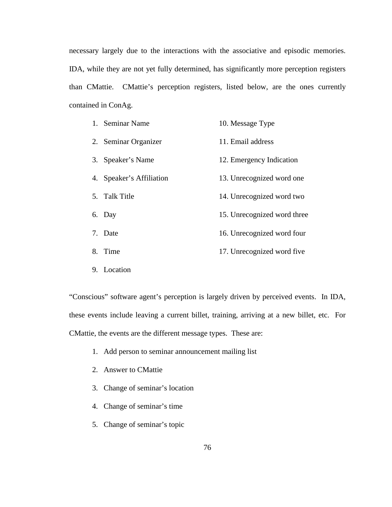necessary largely due to the interactions with the associative and episodic memories. IDA, while they are not yet fully determined, has significantly more perception registers than CMattie. CMattie's perception registers, listed below, are the ones currently contained in ConAg.

| 1. Seminar Name          | 10. Message Type            |
|--------------------------|-----------------------------|
| 2. Seminar Organizer     | 11. Email address           |
| 3. Speaker's Name        | 12. Emergency Indication    |
| 4. Speaker's Affiliation | 13. Unrecognized word one   |
| 5. Talk Title            | 14. Unrecognized word two   |
| 6. Day                   | 15. Unrecognized word three |
| 7. Date                  | 16. Unrecognized word four  |
| 8. Time                  | 17. Unrecognized word five  |
| 9. Location              |                             |

"Conscious" software agent's perception is largely driven by perceived events. In IDA, these events include leaving a current billet, training, arriving at a new billet, etc. For CMattie, the events are the different message types. These are:

1. Add person to seminar announcement mailing list

- 2. Answer to CMattie
- 3. Change of seminar's location
- 4. Change of seminar's time
- 5. Change of seminar's topic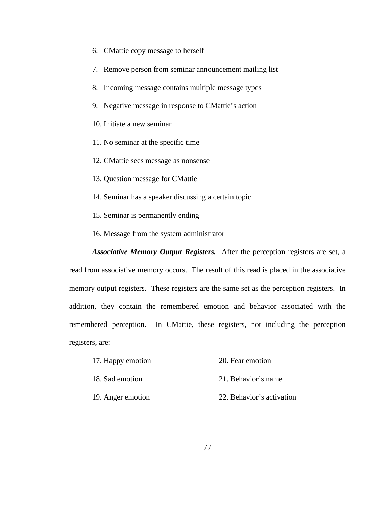- 6. CMattie copy message to herself
- 7. Remove person from seminar announcement mailing list
- 8. Incoming message contains multiple message types
- 9. Negative message in response to CMattie's action
- 10. Initiate a new seminar
- 11. No seminar at the specific time
- 12. CMattie sees message as nonsense
- 13. Question message for CMattie
- 14. Seminar has a speaker discussing a certain topic
- 15. Seminar is permanently ending
- 16. Message from the system administrator

*Associative Memory Output Registers.* After the perception registers are set, a read from associative memory occurs. The result of this read is placed in the associative memory output registers. These registers are the same set as the perception registers. In addition, they contain the remembered emotion and behavior associated with the remembered perception. In CMattie, these registers, not including the perception registers, are:

- 17. Happy emotion 20. Fear emotion
- 18. Sad emotion 21. Behavior's name
- 19. Anger emotion 22. Behavior's activation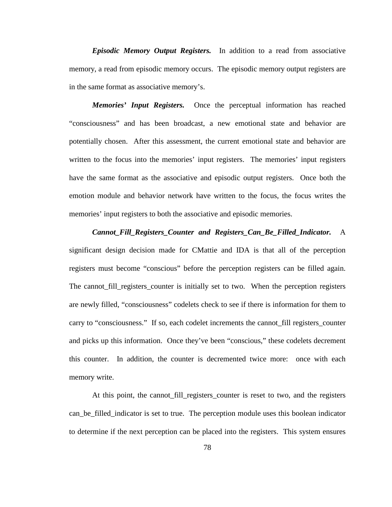*Episodic Memory Output Registers.* In addition to a read from associative memory, a read from episodic memory occurs. The episodic memory output registers are in the same format as associative memory's.

*Memories' Input Registers.* Once the perceptual information has reached "consciousness" and has been broadcast, a new emotional state and behavior are potentially chosen. After this assessment, the current emotional state and behavior are written to the focus into the memories' input registers. The memories' input registers have the same format as the associative and episodic output registers. Once both the emotion module and behavior network have written to the focus, the focus writes the memories' input registers to both the associative and episodic memories.

*Cannot\_Fill\_Registers\_Counter and Registers\_Can\_Be\_Filled\_Indicator.* A significant design decision made for CMattie and IDA is that all of the perception registers must become "conscious" before the perception registers can be filled again. The cannot fill registers counter is initially set to two. When the perception registers are newly filled, "consciousness" codelets check to see if there is information for them to carry to "consciousness." If so, each codelet increments the cannot\_fill registers\_counter and picks up this information. Once they've been "conscious," these codelets decrement this counter. In addition, the counter is decremented twice more: once with each memory write.

At this point, the cannot fill registers counter is reset to two, and the registers can\_be\_filled\_indicator is set to true. The perception module uses this boolean indicator to determine if the next perception can be placed into the registers. This system ensures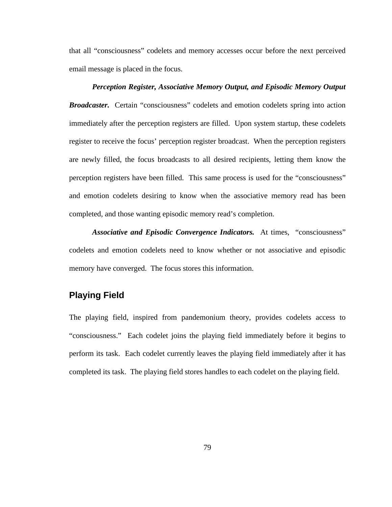that all "consciousness" codelets and memory accesses occur before the next perceived email message is placed in the focus.

# *Perception Register, Associative Memory Output, and Episodic Memory Output Broadcaster.* Certain "consciousness" codelets and emotion codelets spring into action immediately after the perception registers are filled. Upon system startup, these codelets register to receive the focus' perception register broadcast. When the perception registers are newly filled, the focus broadcasts to all desired recipients, letting them know the perception registers have been filled. This same process is used for the "consciousness" and emotion codelets desiring to know when the associative memory read has been completed, and those wanting episodic memory read's completion.

*Associative and Episodic Convergence Indicators.* At times, "consciousness" codelets and emotion codelets need to know whether or not associative and episodic memory have converged. The focus stores this information.

# **Playing Field**

The playing field, inspired from pandemonium theory, provides codelets access to "consciousness." Each codelet joins the playing field immediately before it begins to perform its task. Each codelet currently leaves the playing field immediately after it has completed its task. The playing field stores handles to each codelet on the playing field.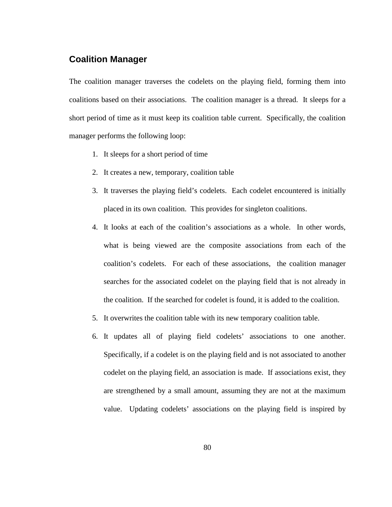# **Coalition Manager**

The coalition manager traverses the codelets on the playing field, forming them into coalitions based on their associations. The coalition manager is a thread. It sleeps for a short period of time as it must keep its coalition table current. Specifically, the coalition manager performs the following loop:

- 1. It sleeps for a short period of time
- 2. It creates a new, temporary, coalition table
- 3. It traverses the playing field's codelets. Each codelet encountered is initially placed in its own coalition. This provides for singleton coalitions.
- 4. It looks at each of the coalition's associations as a whole. In other words, what is being viewed are the composite associations from each of the coalition's codelets. For each of these associations, the coalition manager searches for the associated codelet on the playing field that is not already in the coalition. If the searched for codelet is found, it is added to the coalition.
- 5. It overwrites the coalition table with its new temporary coalition table.
- 6. It updates all of playing field codelets' associations to one another. Specifically, if a codelet is on the playing field and is not associated to another codelet on the playing field, an association is made. If associations exist, they are strengthened by a small amount, assuming they are not at the maximum value. Updating codelets' associations on the playing field is inspired by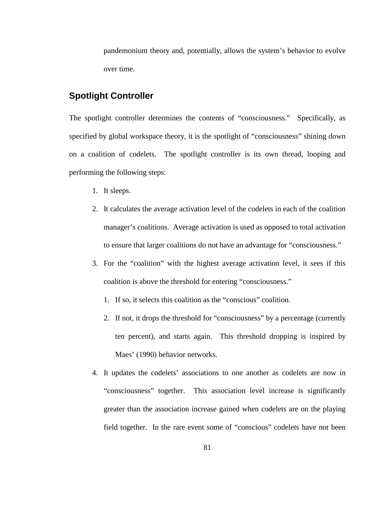pandemonium theory and, potentially, allows the system's behavior to evolve over time.

# **Spotlight Controller**

The spotlight controller determines the contents of "consciousness." Specifically, as specified by global workspace theory, it is the spotlight of "consciousness" shining down on a coalition of codelets. The spotlight controller is its own thread, looping and performing the following steps:

- 1. It sleeps.
- 2. It calculates the average activation level of the codelets in each of the coalition manager's coalitions. Average activation is used as opposed to total activation to ensure that larger coalitions do not have an advantage for "consciousness."
- 3. For the "coalition" with the highest average activation level, it sees if this coalition is above the threshold for entering "consciousness."
	- 1. If so, it selects this coalition as the "conscious" coalition.
	- 2. If not, it drops the threshold for "consciousness" by a percentage (currently ten percent), and starts again. This threshold dropping is inspired by Maes' (1990) behavior networks.
- 4. It updates the codelets' associations to one another as codelets are now in "consciousness" together. This association level increase is significantly greater than the association increase gained when codelets are on the playing field together. In the rare event some of "conscious" codelets have not been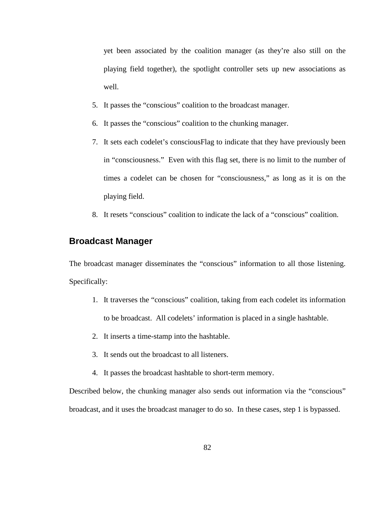yet been associated by the coalition manager (as they're also still on the playing field together), the spotlight controller sets up new associations as well.

- 5. It passes the "conscious" coalition to the broadcast manager.
- 6. It passes the "conscious" coalition to the chunking manager.
- 7. It sets each codelet's consciousFlag to indicate that they have previously been in "consciousness." Even with this flag set, there is no limit to the number of times a codelet can be chosen for "consciousness," as long as it is on the playing field.
- 8. It resets "conscious" coalition to indicate the lack of a "conscious" coalition.

# **Broadcast Manager**

The broadcast manager disseminates the "conscious" information to all those listening. Specifically:

- 1. It traverses the "conscious" coalition, taking from each codelet its information to be broadcast. All codelets' information is placed in a single hashtable.
- 2. It inserts a time-stamp into the hashtable.
- 3. It sends out the broadcast to all listeners.
- 4. It passes the broadcast hashtable to short-term memory.

Described below, the chunking manager also sends out information via the "conscious" broadcast, and it uses the broadcast manager to do so. In these cases, step 1 is bypassed.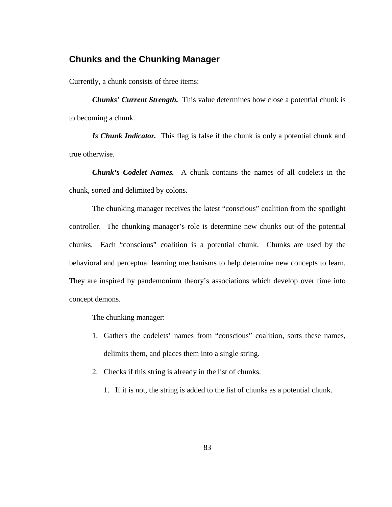# **Chunks and the Chunking Manager**

Currently, a chunk consists of three items:

*Chunks' Current Strength.* This value determines how close a potential chunk is to becoming a chunk.

*Is Chunk Indicator.* This flag is false if the chunk is only a potential chunk and true otherwise.

*Chunk's Codelet Names.* A chunk contains the names of all codelets in the chunk, sorted and delimited by colons.

The chunking manager receives the latest "conscious" coalition from the spotlight controller. The chunking manager's role is determine new chunks out of the potential chunks. Each "conscious" coalition is a potential chunk. Chunks are used by the behavioral and perceptual learning mechanisms to help determine new concepts to learn. They are inspired by pandemonium theory's associations which develop over time into concept demons.

The chunking manager:

- 1. Gathers the codelets' names from "conscious" coalition, sorts these names, delimits them, and places them into a single string.
- 2. Checks if this string is already in the list of chunks.
	- 1. If it is not, the string is added to the list of chunks as a potential chunk.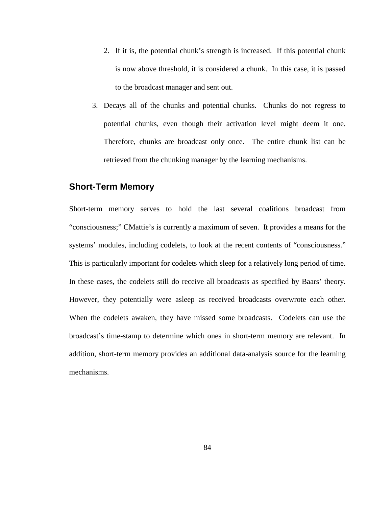- 2. If it is, the potential chunk's strength is increased. If this potential chunk is now above threshold, it is considered a chunk. In this case, it is passed to the broadcast manager and sent out.
- 3. Decays all of the chunks and potential chunks. Chunks do not regress to potential chunks, even though their activation level might deem it one. Therefore, chunks are broadcast only once. The entire chunk list can be retrieved from the chunking manager by the learning mechanisms.

# **Short-Term Memory**

Short-term memory serves to hold the last several coalitions broadcast from "consciousness;" CMattie's is currently a maximum of seven. It provides a means for the systems' modules, including codelets, to look at the recent contents of "consciousness." This is particularly important for codelets which sleep for a relatively long period of time. In these cases, the codelets still do receive all broadcasts as specified by Baars' theory. However, they potentially were asleep as received broadcasts overwrote each other. When the codelets awaken, they have missed some broadcasts. Codelets can use the broadcast's time-stamp to determine which ones in short-term memory are relevant. In addition, short-term memory provides an additional data-analysis source for the learning mechanisms.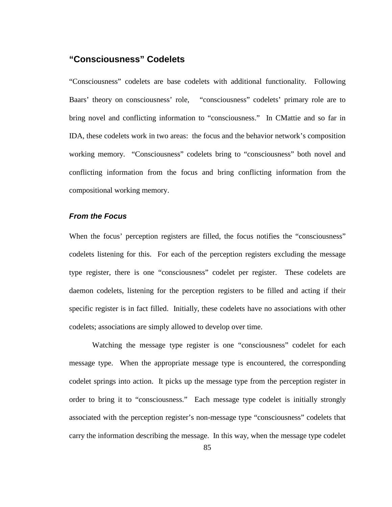# **"Consciousness" Codelets**

"Consciousness" codelets are base codelets with additional functionality. Following Baars' theory on consciousness' role, "consciousness" codelets' primary role are to bring novel and conflicting information to "consciousness." In CMattie and so far in IDA, these codelets work in two areas: the focus and the behavior network's composition working memory. "Consciousness" codelets bring to "consciousness" both novel and conflicting information from the focus and bring conflicting information from the compositional working memory.

#### **From the Focus**

When the focus' perception registers are filled, the focus notifies the "consciousness" codelets listening for this. For each of the perception registers excluding the message type register, there is one "consciousness" codelet per register. These codelets are daemon codelets, listening for the perception registers to be filled and acting if their specific register is in fact filled. Initially, these codelets have no associations with other codelets; associations are simply allowed to develop over time.

Watching the message type register is one "consciousness" codelet for each message type. When the appropriate message type is encountered, the corresponding codelet springs into action. It picks up the message type from the perception register in order to bring it to "consciousness." Each message type codelet is initially strongly associated with the perception register's non-message type "consciousness" codelets that carry the information describing the message. In this way, when the message type codelet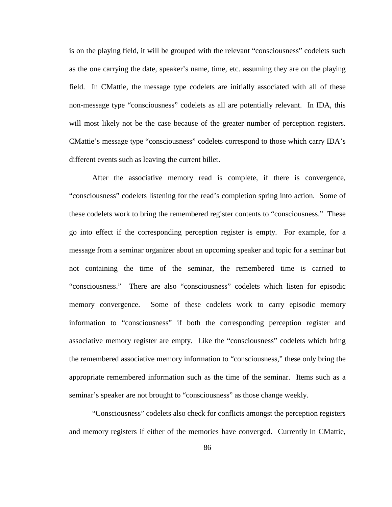is on the playing field, it will be grouped with the relevant "consciousness" codelets such as the one carrying the date, speaker's name, time, etc. assuming they are on the playing field. In CMattie, the message type codelets are initially associated with all of these non-message type "consciousness" codelets as all are potentially relevant. In IDA, this will most likely not be the case because of the greater number of perception registers. CMattie's message type "consciousness" codelets correspond to those which carry IDA's different events such as leaving the current billet.

After the associative memory read is complete, if there is convergence, "consciousness" codelets listening for the read's completion spring into action. Some of these codelets work to bring the remembered register contents to "consciousness." These go into effect if the corresponding perception register is empty. For example, for a message from a seminar organizer about an upcoming speaker and topic for a seminar but not containing the time of the seminar, the remembered time is carried to "consciousness." There are also "consciousness" codelets which listen for episodic memory convergence. Some of these codelets work to carry episodic memory information to "consciousness" if both the corresponding perception register and associative memory register are empty. Like the "consciousness" codelets which bring the remembered associative memory information to "consciousness," these only bring the appropriate remembered information such as the time of the seminar. Items such as a seminar's speaker are not brought to "consciousness" as those change weekly.

"Consciousness" codelets also check for conflicts amongst the perception registers and memory registers if either of the memories have converged. Currently in CMattie,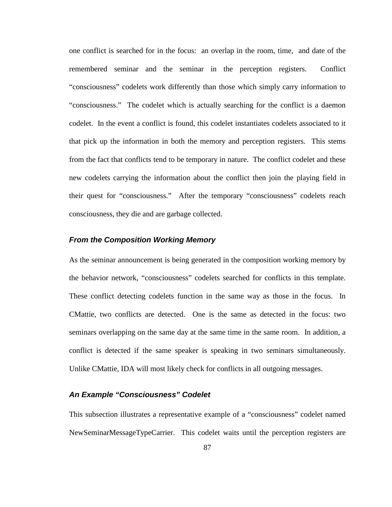one conflict is searched for in the focus: an overlap in the room, time, and date of the remembered seminar and the seminar in the perception registers. Conflict "consciousness" codelets work differently than those which simply carry information to "consciousness." The codelet which is actually searching for the conflict is a daemon codelet. In the event a conflict is found, this codelet instantiates codelets associated to it that pick up the information in both the memory and perception registers. This stems from the fact that conflicts tend to be temporary in nature. The conflict codelet and these new codelets carrying the information about the conflict then join the playing field in their quest for "consciousness." After the temporary "consciousness" codelets reach consciousness, they die and are garbage collected.

#### **From the Composition Working Memory**

As the seminar announcement is being generated in the composition working memory by the behavior network, "consciousness" codelets searched for conflicts in this template. These conflict detecting codelets function in the same way as those in the focus. In CMattie, two conflicts are detected. One is the same as detected in the focus: two seminars overlapping on the same day at the same time in the same room. In addition, a conflict is detected if the same speaker is speaking in two seminars simultaneously. Unlike CMattie, IDA will most likely check for conflicts in all outgoing messages.

# **An Example "Consciousness" Codelet**

This subsection illustrates a representative example of a "consciousness" codelet named NewSeminarMessageTypeCarrier. This codelet waits until the perception registers are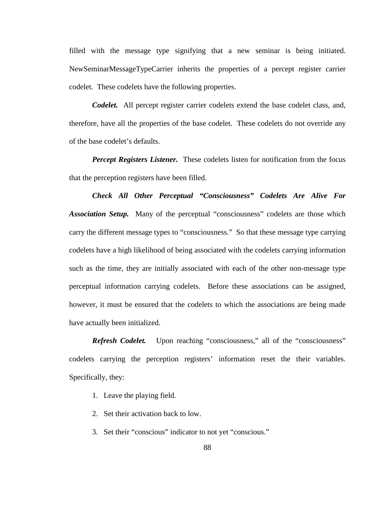filled with the message type signifying that a new seminar is being initiated. NewSeminarMessageTypeCarrier inherits the properties of a percept register carrier codelet. These codelets have the following properties.

*Codelet.* All percept register carrier codelets extend the base codelet class, and, therefore, have all the properties of the base codelet. These codelets do not override any of the base codelet's defaults.

*Percept Registers Listener.* These codelets listen for notification from the focus that the perception registers have been filled.

*Check All Other Perceptual "Consciousness" Codelets Are Alive For Association Setup.* Many of the perceptual "consciousness" codelets are those which carry the different message types to "consciousness." So that these message type carrying codelets have a high likelihood of being associated with the codelets carrying information such as the time, they are initially associated with each of the other non-message type perceptual information carrying codelets. Before these associations can be assigned, however, it must be ensured that the codelets to which the associations are being made have actually been initialized.

**Refresh Codelet.** Upon reaching "consciousness," all of the "consciousness" codelets carrying the perception registers' information reset the their variables. Specifically, they:

- 1. Leave the playing field.
- 2. Set their activation back to low.
- 3. Set their "conscious" indicator to not yet "conscious."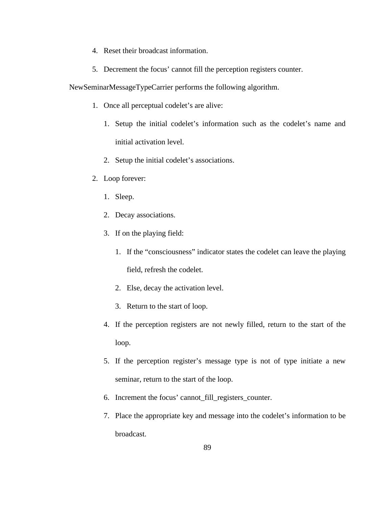- 4. Reset their broadcast information.
- 5. Decrement the focus' cannot fill the perception registers counter.

#### NewSeminarMessageTypeCarrier performs the following algorithm.

- 1. Once all perceptual codelet's are alive:
	- 1. Setup the initial codelet's information such as the codelet's name and initial activation level.
	- 2. Setup the initial codelet's associations.
- 2. Loop forever:
	- 1. Sleep.
	- 2. Decay associations.
	- 3. If on the playing field:
		- 1. If the "consciousness" indicator states the codelet can leave the playing field, refresh the codelet.
		- 2. Else, decay the activation level.
		- 3. Return to the start of loop.
	- 4. If the perception registers are not newly filled, return to the start of the loop.
	- 5. If the perception register's message type is not of type initiate a new seminar, return to the start of the loop.
	- 6. Increment the focus' cannot\_fill\_registers\_counter.
	- 7. Place the appropriate key and message into the codelet's information to be broadcast.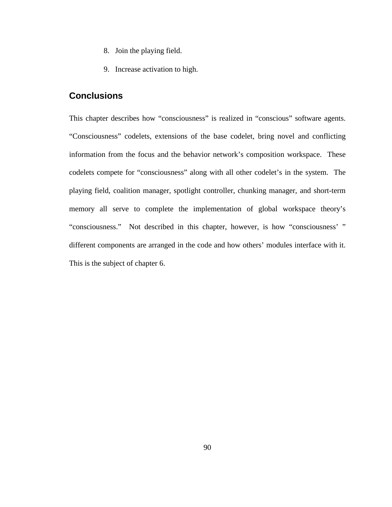- 8. Join the playing field.
- 9. Increase activation to high.

# **Conclusions**

This chapter describes how "consciousness" is realized in "conscious" software agents. "Consciousness" codelets, extensions of the base codelet, bring novel and conflicting information from the focus and the behavior network's composition workspace. These codelets compete for "consciousness" along with all other codelet's in the system. The playing field, coalition manager, spotlight controller, chunking manager, and short-term memory all serve to complete the implementation of global workspace theory's "consciousness." Not described in this chapter, however, is how "consciousness' " different components are arranged in the code and how others' modules interface with it. This is the subject of chapter 6.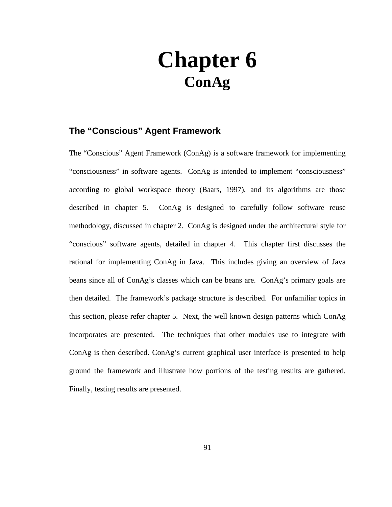# **Chapter 6 ConAg**

# **The "Conscious" Agent Framework**

The "Conscious" Agent Framework (ConAg) is a software framework for implementing "consciousness" in software agents. ConAg is intended to implement "consciousness" according to global workspace theory (Baars, 1997), and its algorithms are those described in chapter 5. ConAg is designed to carefully follow software reuse methodology, discussed in chapter 2. ConAg is designed under the architectural style for "conscious" software agents, detailed in chapter 4. This chapter first discusses the rational for implementing ConAg in Java. This includes giving an overview of Java beans since all of ConAg's classes which can be beans are. ConAg's primary goals are then detailed. The framework's package structure is described. For unfamiliar topics in this section, please refer chapter 5. Next, the well known design patterns which ConAg incorporates are presented. The techniques that other modules use to integrate with ConAg is then described. ConAg's current graphical user interface is presented to help ground the framework and illustrate how portions of the testing results are gathered. Finally, testing results are presented.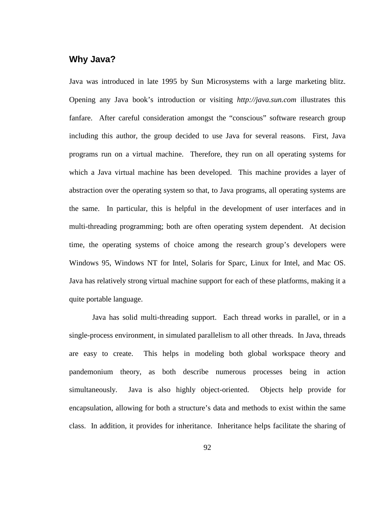# **Why Java?**

Java was introduced in late 1995 by Sun Microsystems with a large marketing blitz. Opening any Java book's introduction or visiting *http://java.sun.com* illustrates this fanfare. After careful consideration amongst the "conscious" software research group including this author, the group decided to use Java for several reasons. First, Java programs run on a virtual machine. Therefore, they run on all operating systems for which a Java virtual machine has been developed. This machine provides a layer of abstraction over the operating system so that, to Java programs, all operating systems are the same. In particular, this is helpful in the development of user interfaces and in multi-threading programming; both are often operating system dependent. At decision time, the operating systems of choice among the research group's developers were Windows 95, Windows NT for Intel, Solaris for Sparc, Linux for Intel, and Mac OS. Java has relatively strong virtual machine support for each of these platforms, making it a quite portable language.

Java has solid multi-threading support. Each thread works in parallel, or in a single-process environment, in simulated parallelism to all other threads. In Java, threads are easy to create. This helps in modeling both global workspace theory and pandemonium theory, as both describe numerous processes being in action simultaneously. Java is also highly object-oriented. Objects help provide for encapsulation, allowing for both a structure's data and methods to exist within the same class. In addition, it provides for inheritance. Inheritance helps facilitate the sharing of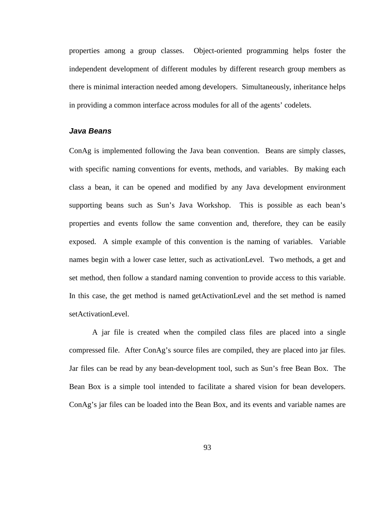properties among a group classes. Object-oriented programming helps foster the independent development of different modules by different research group members as there is minimal interaction needed among developers. Simultaneously, inheritance helps in providing a common interface across modules for all of the agents' codelets.

#### **Java Beans**

ConAg is implemented following the Java bean convention. Beans are simply classes, with specific naming conventions for events, methods, and variables. By making each class a bean, it can be opened and modified by any Java development environment supporting beans such as Sun's Java Workshop. This is possible as each bean's properties and events follow the same convention and, therefore, they can be easily exposed. A simple example of this convention is the naming of variables. Variable names begin with a lower case letter, such as activationLevel. Two methods, a get and set method, then follow a standard naming convention to provide access to this variable. In this case, the get method is named getActivationLevel and the set method is named setActivationLevel.

A jar file is created when the compiled class files are placed into a single compressed file. After ConAg's source files are compiled, they are placed into jar files. Jar files can be read by any bean-development tool, such as Sun's free Bean Box. The Bean Box is a simple tool intended to facilitate a shared vision for bean developers. ConAg's jar files can be loaded into the Bean Box, and its events and variable names are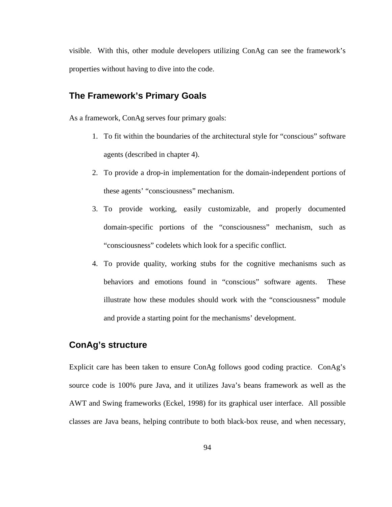visible. With this, other module developers utilizing ConAg can see the framework's properties without having to dive into the code.

# **The Framework's Primary Goals**

As a framework, ConAg serves four primary goals:

- 1. To fit within the boundaries of the architectural style for "conscious" software agents (described in chapter 4).
- 2. To provide a drop-in implementation for the domain-independent portions of these agents' "consciousness" mechanism.
- 3. To provide working, easily customizable, and properly documented domain-specific portions of the "consciousness" mechanism, such as "consciousness" codelets which look for a specific conflict.
- 4. To provide quality, working stubs for the cognitive mechanisms such as behaviors and emotions found in "conscious" software agents. These illustrate how these modules should work with the "consciousness" module and provide a starting point for the mechanisms' development.

# **ConAg's structure**

Explicit care has been taken to ensure ConAg follows good coding practice. ConAg's source code is 100% pure Java, and it utilizes Java's beans framework as well as the AWT and Swing frameworks (Eckel, 1998) for its graphical user interface. All possible classes are Java beans, helping contribute to both black-box reuse, and when necessary,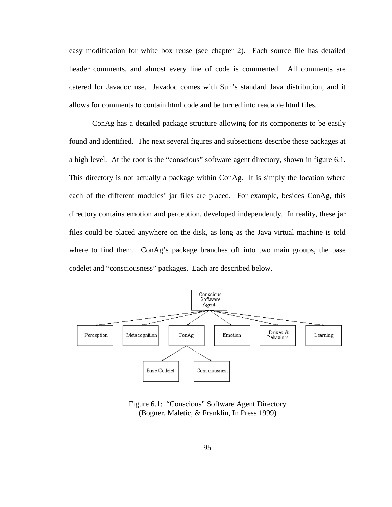easy modification for white box reuse (see chapter 2). Each source file has detailed header comments, and almost every line of code is commented. All comments are catered for Javadoc use. Javadoc comes with Sun's standard Java distribution, and it allows for comments to contain html code and be turned into readable html files.

ConAg has a detailed package structure allowing for its components to be easily found and identified. The next several figures and subsections describe these packages at a high level. At the root is the "conscious" software agent directory, shown in figure 6.1. This directory is not actually a package within ConAg. It is simply the location where each of the different modules' jar files are placed. For example, besides ConAg, this directory contains emotion and perception, developed independently. In reality, these jar files could be placed anywhere on the disk, as long as the Java virtual machine is told where to find them. ConAg's package branches off into two main groups, the base codelet and "consciousness" packages. Each are described below.



Figure 6.1: "Conscious" Software Agent Directory (Bogner, Maletic, & Franklin, In Press 1999)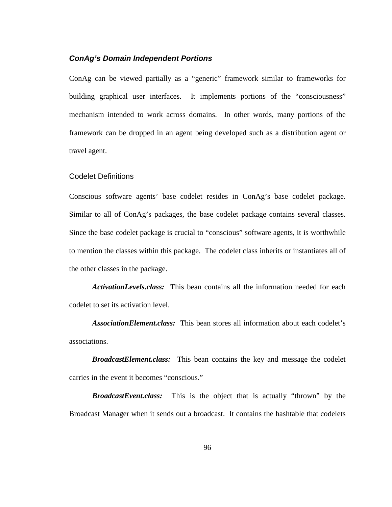#### **ConAg's Domain Independent Portions**

ConAg can be viewed partially as a "generic" framework similar to frameworks for building graphical user interfaces. It implements portions of the "consciousness" mechanism intended to work across domains. In other words, many portions of the framework can be dropped in an agent being developed such as a distribution agent or travel agent.

#### Codelet Definitions

Conscious software agents' base codelet resides in ConAg's base codelet package. Similar to all of ConAg's packages, the base codelet package contains several classes. Since the base codelet package is crucial to "conscious" software agents, it is worthwhile to mention the classes within this package. The codelet class inherits or instantiates all of the other classes in the package.

*ActivationLevels.class:* This bean contains all the information needed for each codelet to set its activation level.

*AssociationElement.class:* This bean stores all information about each codelet's associations.

*BroadcastElement.class:* This bean contains the key and message the codelet carries in the event it becomes "conscious."

*BroadcastEvent.class:* This is the object that is actually "thrown" by the Broadcast Manager when it sends out a broadcast. It contains the hashtable that codelets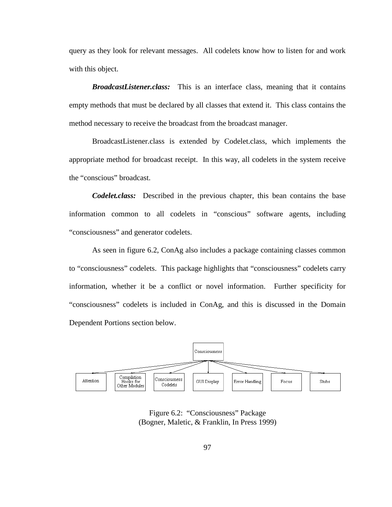query as they look for relevant messages. All codelets know how to listen for and work with this object.

*BroadcastListener.class:* This is an interface class, meaning that it contains empty methods that must be declared by all classes that extend it. This class contains the method necessary to receive the broadcast from the broadcast manager.

BroadcastListener.class is extended by Codelet.class, which implements the appropriate method for broadcast receipt. In this way, all codelets in the system receive the "conscious" broadcast.

*Codelet.class:* Described in the previous chapter, this bean contains the base information common to all codelets in "conscious" software agents, including "consciousness" and generator codelets.

As seen in figure 6.2, ConAg also includes a package containing classes common to "consciousness" codelets. This package highlights that "consciousness" codelets carry information, whether it be a conflict or novel information. Further specificity for "consciousness" codelets is included in ConAg, and this is discussed in the Domain Dependent Portions section below.



Figure 6.2: "Consciousness" Package (Bogner, Maletic, & Franklin, In Press 1999)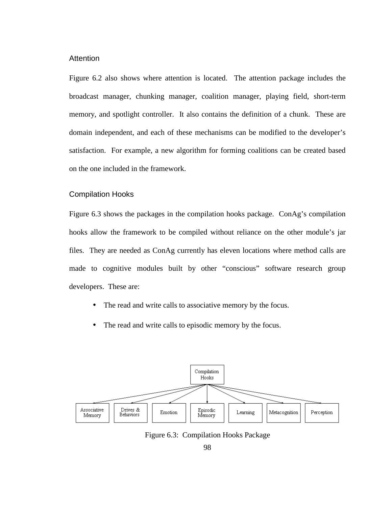#### **Attention**

Figure 6.2 also shows where attention is located. The attention package includes the broadcast manager, chunking manager, coalition manager, playing field, short-term memory, and spotlight controller. It also contains the definition of a chunk. These are domain independent, and each of these mechanisms can be modified to the developer's satisfaction. For example, a new algorithm for forming coalitions can be created based on the one included in the framework.

#### Compilation Hooks

Figure 6.3 shows the packages in the compilation hooks package. ConAg's compilation hooks allow the framework to be compiled without reliance on the other module's jar files. They are needed as ConAg currently has eleven locations where method calls are made to cognitive modules built by other "conscious" software research group developers. These are:

- The read and write calls to associative memory by the focus.
- The read and write calls to episodic memory by the focus.



Figure 6.3: Compilation Hooks Package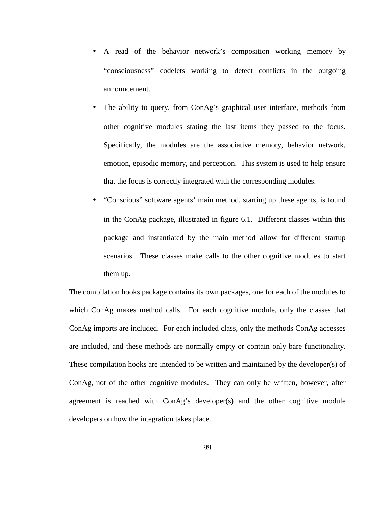- A read of the behavior network's composition working memory by "consciousness" codelets working to detect conflicts in the outgoing announcement.
- The ability to query, from ConAg's graphical user interface, methods from other cognitive modules stating the last items they passed to the focus. Specifically, the modules are the associative memory, behavior network, emotion, episodic memory, and perception. This system is used to help ensure that the focus is correctly integrated with the corresponding modules.
- "Conscious" software agents' main method, starting up these agents, is found in the ConAg package, illustrated in figure 6.1. Different classes within this package and instantiated by the main method allow for different startup scenarios. These classes make calls to the other cognitive modules to start them up.

The compilation hooks package contains its own packages, one for each of the modules to which ConAg makes method calls. For each cognitive module, only the classes that ConAg imports are included. For each included class, only the methods ConAg accesses are included, and these methods are normally empty or contain only bare functionality. These compilation hooks are intended to be written and maintained by the developer(s) of ConAg, not of the other cognitive modules. They can only be written, however, after agreement is reached with ConAg's developer(s) and the other cognitive module developers on how the integration takes place.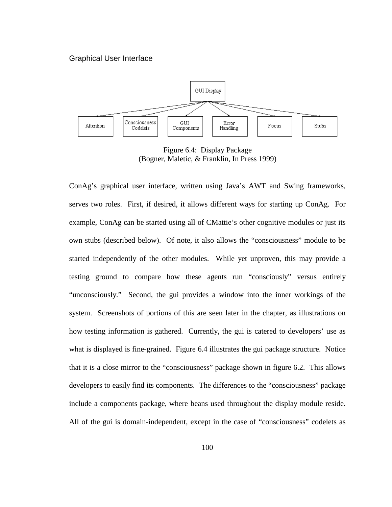#### Graphical User Interface



Figure 6.4: Display Package (Bogner, Maletic, & Franklin, In Press 1999)

ConAg's graphical user interface, written using Java's AWT and Swing frameworks, serves two roles. First, if desired, it allows different ways for starting up ConAg. For example, ConAg can be started using all of CMattie's other cognitive modules or just its own stubs (described below). Of note, it also allows the "consciousness" module to be started independently of the other modules. While yet unproven, this may provide a testing ground to compare how these agents run "consciously" versus entirely "unconsciously." Second, the gui provides a window into the inner workings of the system. Screenshots of portions of this are seen later in the chapter, as illustrations on how testing information is gathered. Currently, the gui is catered to developers' use as what is displayed is fine-grained. Figure 6.4 illustrates the gui package structure. Notice that it is a close mirror to the "consciousness" package shown in figure 6.2. This allows developers to easily find its components. The differences to the "consciousness" package include a components package, where beans used throughout the display module reside. All of the gui is domain-independent, except in the case of "consciousness" codelets as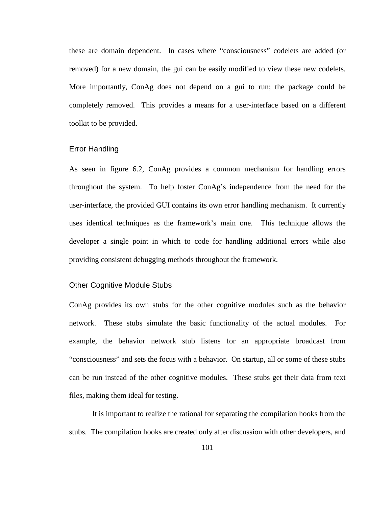these are domain dependent. In cases where "consciousness" codelets are added (or removed) for a new domain, the gui can be easily modified to view these new codelets. More importantly, ConAg does not depend on a gui to run; the package could be completely removed. This provides a means for a user-interface based on a different toolkit to be provided.

#### Error Handling

As seen in figure 6.2, ConAg provides a common mechanism for handling errors throughout the system. To help foster ConAg's independence from the need for the user-interface, the provided GUI contains its own error handling mechanism. It currently uses identical techniques as the framework's main one. This technique allows the developer a single point in which to code for handling additional errors while also providing consistent debugging methods throughout the framework.

#### Other Cognitive Module Stubs

ConAg provides its own stubs for the other cognitive modules such as the behavior network. These stubs simulate the basic functionality of the actual modules. For example, the behavior network stub listens for an appropriate broadcast from "consciousness" and sets the focus with a behavior. On startup, all or some of these stubs can be run instead of the other cognitive modules. These stubs get their data from text files, making them ideal for testing.

It is important to realize the rational for separating the compilation hooks from the stubs. The compilation hooks are created only after discussion with other developers, and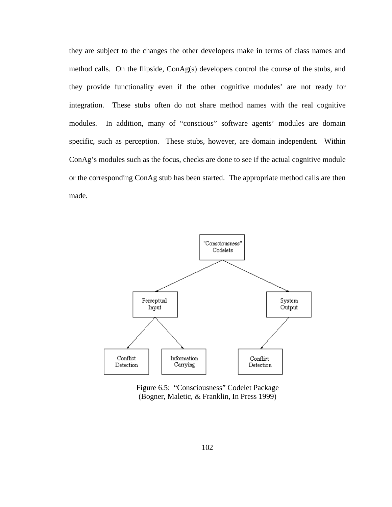they are subject to the changes the other developers make in terms of class names and method calls. On the flipside, ConAg(s) developers control the course of the stubs, and they provide functionality even if the other cognitive modules' are not ready for integration. These stubs often do not share method names with the real cognitive modules. In addition, many of "conscious" software agents' modules are domain specific, such as perception. These stubs, however, are domain independent. Within ConAg's modules such as the focus, checks are done to see if the actual cognitive module or the corresponding ConAg stub has been started. The appropriate method calls are then made.



Figure 6.5: "Consciousness" Codelet Package (Bogner, Maletic, & Franklin, In Press 1999)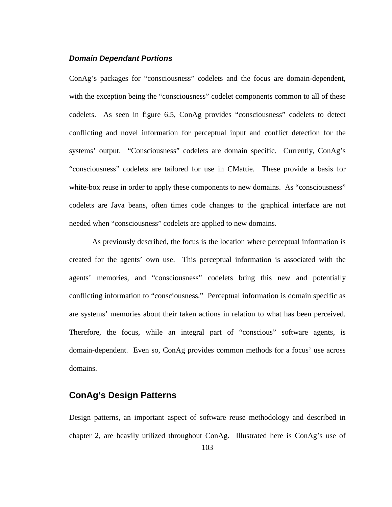#### **Domain Dependant Portions**

ConAg's packages for "consciousness" codelets and the focus are domain-dependent, with the exception being the "consciousness" codelet components common to all of these codelets. As seen in figure 6.5, ConAg provides "consciousness" codelets to detect conflicting and novel information for perceptual input and conflict detection for the systems' output. "Consciousness" codelets are domain specific. Currently, ConAg's "consciousness" codelets are tailored for use in CMattie. These provide a basis for white-box reuse in order to apply these components to new domains. As "consciousness" codelets are Java beans, often times code changes to the graphical interface are not needed when "consciousness" codelets are applied to new domains.

As previously described, the focus is the location where perceptual information is created for the agents' own use. This perceptual information is associated with the agents' memories, and "consciousness" codelets bring this new and potentially conflicting information to "consciousness." Perceptual information is domain specific as are systems' memories about their taken actions in relation to what has been perceived. Therefore, the focus, while an integral part of "conscious" software agents, is domain-dependent. Even so, ConAg provides common methods for a focus' use across domains.

# **ConAg's Design Patterns**

Design patterns, an important aspect of software reuse methodology and described in chapter 2, are heavily utilized throughout ConAg. Illustrated here is ConAg's use of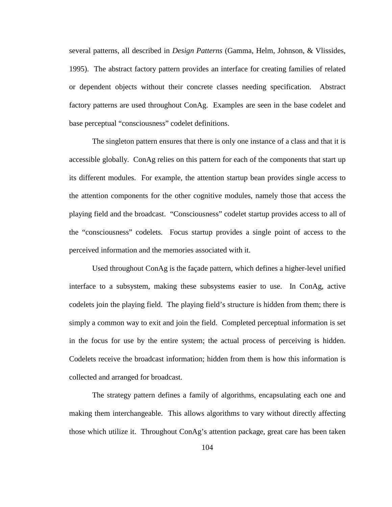several patterns, all described in *Design Patterns* (Gamma, Helm, Johnson, & Vlissides, 1995). The abstract factory pattern provides an interface for creating families of related or dependent objects without their concrete classes needing specification. Abstract factory patterns are used throughout ConAg. Examples are seen in the base codelet and base perceptual "consciousness" codelet definitions.

The singleton pattern ensures that there is only one instance of a class and that it is accessible globally. ConAg relies on this pattern for each of the components that start up its different modules. For example, the attention startup bean provides single access to the attention components for the other cognitive modules, namely those that access the playing field and the broadcast. "Consciousness" codelet startup provides access to all of the "consciousness" codelets. Focus startup provides a single point of access to the perceived information and the memories associated with it.

Used throughout ConAg is the façade pattern, which defines a higher-level unified interface to a subsystem, making these subsystems easier to use. In ConAg, active codelets join the playing field. The playing field's structure is hidden from them; there is simply a common way to exit and join the field. Completed perceptual information is set in the focus for use by the entire system; the actual process of perceiving is hidden. Codelets receive the broadcast information; hidden from them is how this information is collected and arranged for broadcast.

The strategy pattern defines a family of algorithms, encapsulating each one and making them interchangeable. This allows algorithms to vary without directly affecting those which utilize it. Throughout ConAg's attention package, great care has been taken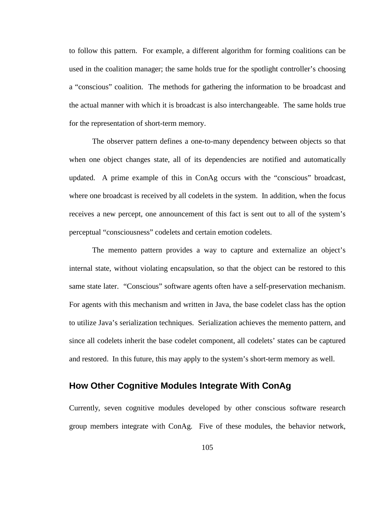to follow this pattern. For example, a different algorithm for forming coalitions can be used in the coalition manager; the same holds true for the spotlight controller's choosing a "conscious" coalition. The methods for gathering the information to be broadcast and the actual manner with which it is broadcast is also interchangeable. The same holds true for the representation of short-term memory.

The observer pattern defines a one-to-many dependency between objects so that when one object changes state, all of its dependencies are notified and automatically updated. A prime example of this in ConAg occurs with the "conscious" broadcast, where one broadcast is received by all codelets in the system. In addition, when the focus receives a new percept, one announcement of this fact is sent out to all of the system's perceptual "consciousness" codelets and certain emotion codelets.

The memento pattern provides a way to capture and externalize an object's internal state, without violating encapsulation, so that the object can be restored to this same state later. "Conscious" software agents often have a self-preservation mechanism. For agents with this mechanism and written in Java, the base codelet class has the option to utilize Java's serialization techniques. Serialization achieves the memento pattern, and since all codelets inherit the base codelet component, all codelets' states can be captured and restored. In this future, this may apply to the system's short-term memory as well.

# **How Other Cognitive Modules Integrate With ConAg**

Currently, seven cognitive modules developed by other conscious software research group members integrate with ConAg. Five of these modules, the behavior network,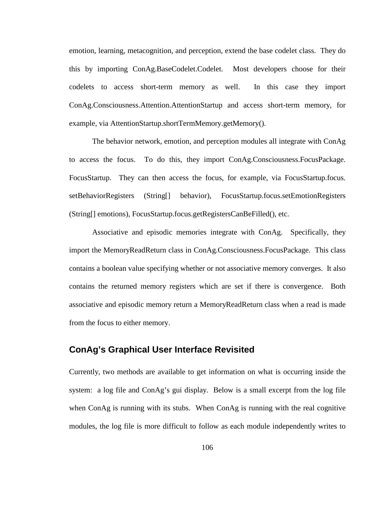emotion, learning, metacognition, and perception, extend the base codelet class. They do this by importing ConAg.BaseCodelet.Codelet. Most developers choose for their codelets to access short-term memory as well. In this case they import ConAg.Consciousness.Attention.AttentionStartup and access short-term memory, for example, via AttentionStartup.shortTermMemory.getMemory().

The behavior network, emotion, and perception modules all integrate with ConAg to access the focus. To do this, they import ConAg.Consciousness.FocusPackage. FocusStartup. They can then access the focus, for example, via FocusStartup.focus. setBehaviorRegisters (String[] behavior), FocusStartup.focus.setEmotionRegisters (String[] emotions), FocusStartup.focus.getRegistersCanBeFilled(), etc.

Associative and episodic memories integrate with ConAg. Specifically, they import the MemoryReadReturn class in ConAg.Consciousness.FocusPackage. This class contains a boolean value specifying whether or not associative memory converges. It also contains the returned memory registers which are set if there is convergence. Both associative and episodic memory return a MemoryReadReturn class when a read is made from the focus to either memory.

# **ConAg's Graphical User Interface Revisited**

Currently, two methods are available to get information on what is occurring inside the system: a log file and ConAg's gui display. Below is a small excerpt from the log file when ConAg is running with its stubs. When ConAg is running with the real cognitive modules, the log file is more difficult to follow as each module independently writes to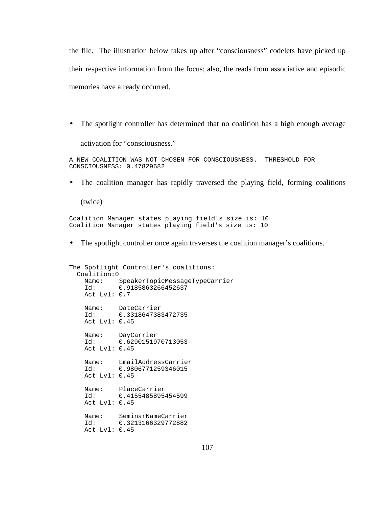the file. The illustration below takes up after "consciousness" codelets have picked up their respective information from the focus; also, the reads from associative and episodic memories have already occurred.

• The spotlight controller has determined that no coalition has a high enough average

activation for "consciousness."

A NEW COALITION WAS NOT CHOSEN FOR CONSCIOUSNESS. THRESHOLD FOR CONSCIOUSNESS: 0.47829682

• The coalition manager has rapidly traversed the playing field, forming coalitions

(twice)

Coalition Manager states playing field's size is: 10 Coalition Manager states playing field's size is: 10

• The spotlight controller once again traverses the coalition manager's coalitions.

```
The Spotlight Controller's coalitions:
  Coalition:0
 Name: SpeakerTopicMessageTypeCarrier
 Id: 0.9185863266452637
    Act Lvl: 0.7
 Name: DateCarrier
 Id: 0.3318647383472735
    Act Lvl: 0.45
 Name: DayCarrier
 Id: 0.6290151970713053
    Act Lvl: 0.45
 Name: EmailAddressCarrier
 Id: 0.9806771259346015
    Act Lvl: 0.45
 Name: PlaceCarrier
 Id: 0.4155485895454599
    Act Lvl: 0.45
 Name: SeminarNameCarrier
 Id: 0.3213166329772882
    Act Lvl: 0.45
```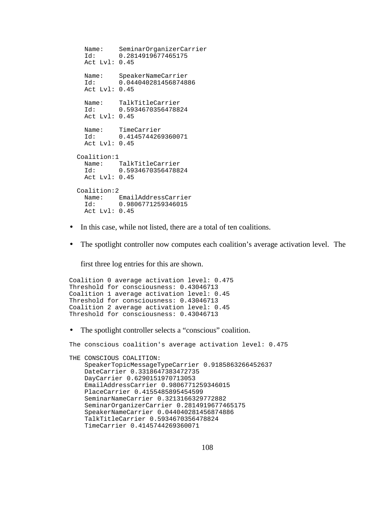```
Name: SeminarOrganizerCarrier<br>Id: 0.2814919677465175
             Id: 0.2814919677465175
   Act Lvl: 0.45
   Name: SpeakerNameCarrier
   Id: 0.044040281456874886
   Act Lvl: 0.45
  Name: TalkTitleCarrier<br>Id: 0.59346703564788
            Id: 0.5934670356478824
   Act Lvl: 0.45
  Name: TimeCarrier<br>Id: 0.414574426
            Id: 0.4145744269360071
   Act Lvl: 0.45
 Coalition:1
   Name: TalkTitleCarrier
   Id: 0.5934670356478824
   Act Lvl: 0.45
 Coalition:2
  Name: EmailAddressCarrier<br>Id: 0.9806771259346015
              Id: 0.9806771259346015
   Act Lvl: 0.45
```
- In this case, while not listed, there are a total of ten coalitions.
- The spotlight controller now computes each coalition's average activation level. The

first three log entries for this are shown.

```
Coalition 0 average activation level: 0.475
Threshold for consciousness: 0.43046713
Coalition 1 average activation level: 0.45
Threshold for consciousness: 0.43046713
Coalition 2 average activation level: 0.45
Threshold for consciousness: 0.43046713
```
• The spotlight controller selects a "conscious" coalition.

```
The conscious coalition's average activation level: 0.475
THE CONSCIOUS COALITION: 
     SpeakerTopicMessageTypeCarrier 0.9185863266452637
     DateCarrier 0.3318647383472735
     DayCarrier 0.6290151970713053
     EmailAddressCarrier 0.9806771259346015
     PlaceCarrier 0.4155485895454599
     SeminarNameCarrier 0.3213166329772882
     SeminarOrganizerCarrier 0.2814919677465175
     SpeakerNameCarrier 0.044040281456874886
     TalkTitleCarrier 0.5934670356478824
     TimeCarrier 0.4145744269360071
```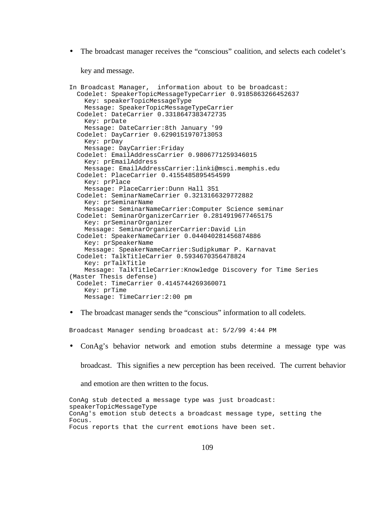• The broadcast manager receives the "conscious" coalition, and selects each codelet's

key and message.

```
In Broadcast Manager, information about to be broadcast: 
  Codelet: SpeakerTopicMessageTypeCarrier 0.9185863266452637
    Key: speakerTopicMessageType
    Message: SpeakerTopicMessageTypeCarrier
  Codelet: DateCarrier 0.3318647383472735
    Key: prDate
    Message: DateCarrier:8th January '99
  Codelet: DayCarrier 0.6290151970713053
    Key: prDay
    Message: DayCarrier:Friday
  Codelet: EmailAddressCarrier 0.9806771259346015
    Key: prEmailAddress
    Message: EmailAddressCarrier:linki@msci.memphis.edu
  Codelet: PlaceCarrier 0.4155485895454599
    Key: prPlace
    Message: PlaceCarrier:Dunn Hall 351
  Codelet: SeminarNameCarrier 0.3213166329772882
    Key: prSeminarName
    Message: SeminarNameCarrier:Computer Science seminar
  Codelet: SeminarOrganizerCarrier 0.2814919677465175
    Key: prSeminarOrganizer
    Message: SeminarOrganizerCarrier:David Lin
  Codelet: SpeakerNameCarrier 0.044040281456874886
    Key: prSpeakerName
    Message: SpeakerNameCarrier:Sudipkumar P. Karnavat
  Codelet: TalkTitleCarrier 0.5934670356478824
    Key: prTalkTitle
    Message: TalkTitleCarrier:Knowledge Discovery for Time Series
(Master Thesis defense)
  Codelet: TimeCarrier 0.4145744269360071
    Key: prTime
    Message: TimeCarrier:2:00 pm
```
• The broadcast manager sends the "conscious" information to all codelets.

Broadcast Manager sending broadcast at: 5/2/99 4:44 PM

• ConAg's behavior network and emotion stubs determine a message type was

broadcast. This signifies a new perception has been received. The current behavior

and emotion are then written to the focus.

ConAg stub detected a message type was just broadcast: speakerTopicMessageType ConAg's emotion stub detects a broadcast message type, setting the Focus. Focus reports that the current emotions have been set.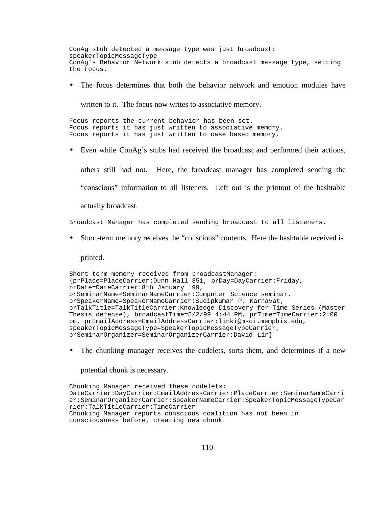ConAg stub detected a message type was just broadcast: speakerTopicMessageType ConAg's Behavior Network stub detects a broadcast message type, setting the Focus.

• The focus determines that both the behavior network and emotion modules have

written to it. The focus now writes to associative memory.

Focus reports the current behavior has been set. Focus reports it has just written to associative memory. Focus reports it has just written to case based memory.

• Even while ConAg's stubs had received the broadcast and performed their actions,

others still had not. Here, the broadcast manager has completed sending the "conscious" information to all listeners. Left out is the printout of the hashtable actually broadcast.

Broadcast Manager has completed sending broadcast to all listeners.

• Short-term memory receives the "conscious" contents. Here the hashtable received is

printed.

```
Short term memory received from broadcastManager:
{prPlace=PlaceCarrier:Dunn Hall 351, prDay=DayCarrier:Friday,
prDate=DateCarrier:8th January '99,
prSeminarName=SeminarNameCarrier:Computer Science seminar,
prSpeakerName=SpeakerNameCarrier:Sudipkumar P. Karnavat,
prTalkTitle=TalkTitleCarrier:Knowledge Discovery for Time Series (Master
Thesis defense), broadcastTime=5/2/99 4:44 PM, prTime=TimeCarrier:2:00
pm, prEmailAddress=EmailAddressCarrier:linki@msci.memphis.edu,
speakerTopicMessageType=SpeakerTopicMessageTypeCarrier,
prSeminarOrganizer=SeminarOrganizerCarrier:David Lin}
```
• The chunking manager receives the codelets, sorts them, and determines if a new

potential chunk is necessary.

```
Chunking Manager received these codelets:
DateCarrier:DayCarrier:EmailAddressCarrier:PlaceCarrier:SeminarNameCarri
er:SeminarOrganizerCarrier:SpeakerNameCarrier:SpeakerTopicMessageTypeCar
rier:TalkTitleCarrier:TimeCarrier
Chunking Manager reports conscious coalition has not been in
consciousness before, creating new chunk.
```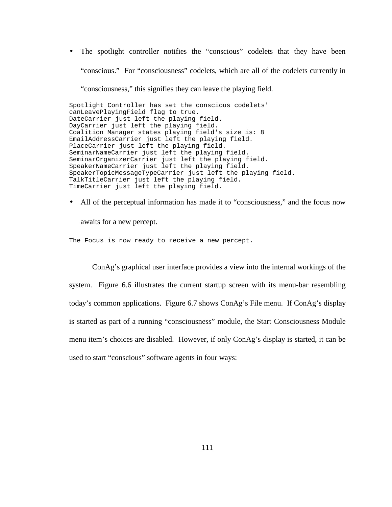• The spotlight controller notifies the "conscious" codelets that they have been "conscious." For "consciousness" codelets, which are all of the codelets currently in "consciousness," this signifies they can leave the playing field.

Spotlight Controller has set the conscious codelets' canLeavePlayingField flag to true. DateCarrier just left the playing field. DayCarrier just left the playing field. Coalition Manager states playing field's size is: 8 EmailAddressCarrier just left the playing field. PlaceCarrier just left the playing field. SeminarNameCarrier just left the playing field. SeminarOrganizerCarrier just left the playing field. SpeakerNameCarrier just left the playing field. SpeakerTopicMessageTypeCarrier just left the playing field. TalkTitleCarrier just left the playing field. TimeCarrier just left the playing field.

• All of the perceptual information has made it to "consciousness," and the focus now

awaits for a new percept.

The Focus is now ready to receive a new percept.

ConAg's graphical user interface provides a view into the internal workings of the system. Figure 6.6 illustrates the current startup screen with its menu-bar resembling today's common applications. Figure 6.7 shows ConAg's File menu. If ConAg's display is started as part of a running "consciousness" module, the Start Consciousness Module menu item's choices are disabled. However, if only ConAg's display is started, it can be used to start "conscious" software agents in four ways: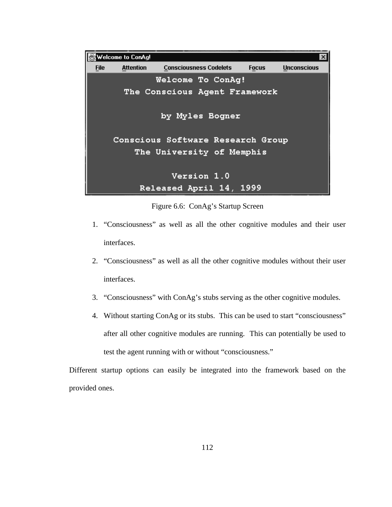|                                   | Welcome to ConAg! |                               |  |              | ×                  |
|-----------------------------------|-------------------|-------------------------------|--|--------------|--------------------|
| <b>File</b>                       | <b>Attention</b>  | <b>Consciousness Codelets</b> |  | <b>Focus</b> | <b>Unconscious</b> |
|                                   |                   | Welcome To ConAg!             |  |              |                    |
| The Conscious Agent Framework     |                   |                               |  |              |                    |
| by Myles Bogner                   |                   |                               |  |              |                    |
| Conscious Software Research Group |                   |                               |  |              |                    |
| The University of Memphis         |                   |                               |  |              |                    |
| Version 1.0                       |                   |                               |  |              |                    |
|                                   |                   | Released April 14, 1999       |  |              |                    |

Figure 6.6: ConAg's Startup Screen

- 1. "Consciousness" as well as all the other cognitive modules and their user interfaces.
- 2. "Consciousness" as well as all the other cognitive modules without their user interfaces.
- 3. "Consciousness" with ConAg's stubs serving as the other cognitive modules.
- 4. Without starting ConAg or its stubs. This can be used to start "consciousness" after all other cognitive modules are running. This can potentially be used to test the agent running with or without "consciousness."

Different startup options can easily be integrated into the framework based on the provided ones.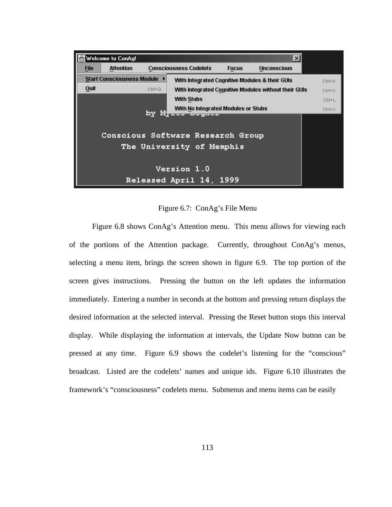

Figure 6.7: ConAg's File Menu

Figure 6.8 shows ConAg's Attention menu. This menu allows for viewing each of the portions of the Attention package. Currently, throughout ConAg's menus, selecting a menu item, brings the screen shown in figure 6.9. The top portion of the screen gives instructions. Pressing the button on the left updates the information immediately. Entering a number in seconds at the bottom and pressing return displays the desired information at the selected interval. Pressing the Reset button stops this interval display. While displaying the information at intervals, the Update Now button can be pressed at any time. Figure 6.9 shows the codelet's listening for the "conscious" broadcast. Listed are the codelets' names and unique ids. Figure 6.10 illustrates the framework's "consciousness" codelets menu. Submenus and menu items can be easily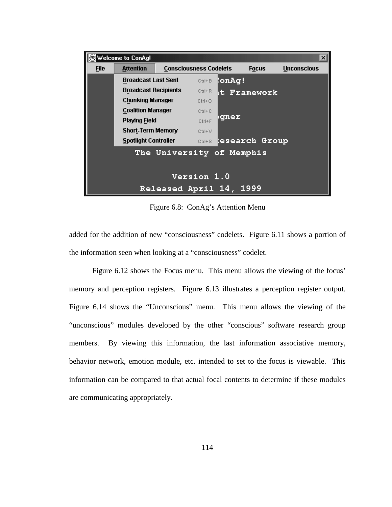

Figure 6.8: ConAg's Attention Menu

added for the addition of new "consciousness" codelets. Figure 6.11 shows a portion of the information seen when looking at a "consciousness" codelet.

Figure 6.12 shows the Focus menu. This menu allows the viewing of the focus' memory and perception registers. Figure 6.13 illustrates a perception register output. Figure 6.14 shows the "Unconscious" menu. This menu allows the viewing of the "unconscious" modules developed by the other "conscious" software research group members. By viewing this information, the last information associative memory, behavior network, emotion module, etc. intended to set to the focus is viewable. This information can be compared to that actual focal contents to determine if these modules are communicating appropriately.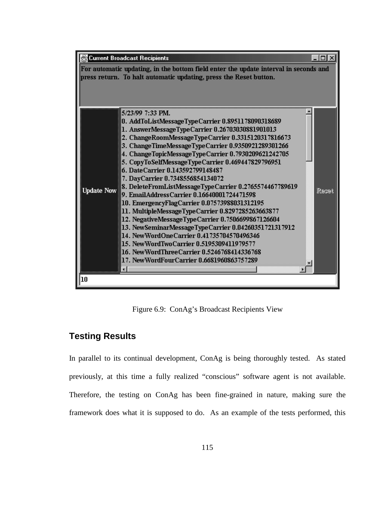

Figure 6.9: ConAg's Broadcast Recipients View

# **Testing Results**

In parallel to its continual development, ConAg is being thoroughly tested. As stated previously, at this time a fully realized "conscious" software agent is not available. Therefore, the testing on ConAg has been fine-grained in nature, making sure the framework does what it is supposed to do. As an example of the tests performed, this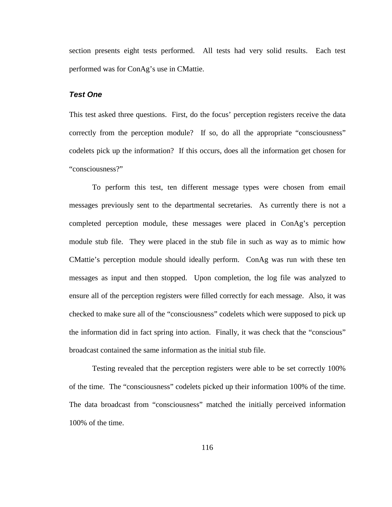section presents eight tests performed. All tests had very solid results. Each test performed was for ConAg's use in CMattie.

#### **Test One**

This test asked three questions. First, do the focus' perception registers receive the data correctly from the perception module? If so, do all the appropriate "consciousness" codelets pick up the information? If this occurs, does all the information get chosen for "consciousness?"

To perform this test, ten different message types were chosen from email messages previously sent to the departmental secretaries. As currently there is not a completed perception module, these messages were placed in ConAg's perception module stub file. They were placed in the stub file in such as way as to mimic how CMattie's perception module should ideally perform. ConAg was run with these ten messages as input and then stopped. Upon completion, the log file was analyzed to ensure all of the perception registers were filled correctly for each message. Also, it was checked to make sure all of the "consciousness" codelets which were supposed to pick up the information did in fact spring into action. Finally, it was check that the "conscious" broadcast contained the same information as the initial stub file.

Testing revealed that the perception registers were able to be set correctly 100% of the time. The "consciousness" codelets picked up their information 100% of the time. The data broadcast from "consciousness" matched the initially perceived information 100% of the time.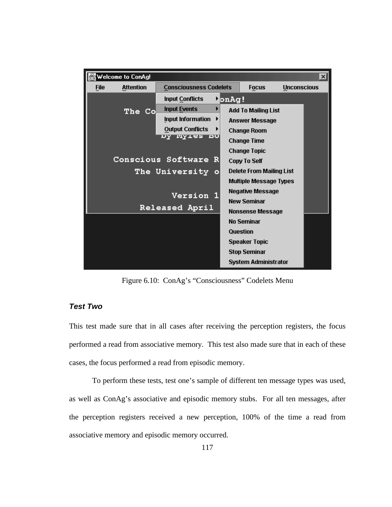| <b>Welcome to ConAg!</b>        |                               |                       |                                 |                    | $\boldsymbol{\mathsf{x}}$ |
|---------------------------------|-------------------------------|-----------------------|---------------------------------|--------------------|---------------------------|
| <b>Attention</b><br><b>File</b> | <b>Consciousness Codelets</b> |                       | <b>Focus</b>                    | <b>Unconscious</b> |                           |
|                                 | <b>Input Conflicts</b>        | <b>M</b> onAg!        |                                 |                    |                           |
| The Co                          | <b>Input Events</b><br>▶      |                       | <b>Add To Mailing List</b>      |                    |                           |
|                                 | Input Information             | <b>Answer Message</b> |                                 |                    |                           |
|                                 | <b>Output Conflicts</b><br>▶  |                       | <b>Change Room</b>              |                    |                           |
|                                 | <u>ny myies po</u>            |                       | <b>Change Time</b>              |                    |                           |
|                                 |                               |                       | <b>Change Topic</b>             |                    |                           |
| Conscious Software R            |                               |                       | <b>Copy To Self</b>             |                    |                           |
| The University<br>۰             |                               |                       | <b>Delete From Mailing List</b> |                    |                           |
|                                 |                               |                       | <b>Multiple Message Types</b>   |                    |                           |
| <b>Version 1</b>                |                               |                       | <b>Negative Message</b>         |                    |                           |
|                                 |                               |                       | <b>New Seminar</b>              |                    |                           |
|                                 | Released April                |                       | Nonsense Message                |                    |                           |
|                                 |                               |                       | <b>No Seminar</b>               |                    |                           |
|                                 |                               |                       | Question                        |                    |                           |
|                                 |                               |                       | <b>Speaker Topic</b>            |                    |                           |
|                                 |                               |                       | <b>Stop Seminar</b>             |                    |                           |
|                                 |                               |                       | System Administrator            |                    |                           |

Figure 6.10: ConAg's "Consciousness" Codelets Menu

## **Test Two**

This test made sure that in all cases after receiving the perception registers, the focus performed a read from associative memory. This test also made sure that in each of these cases, the focus performed a read from episodic memory.

To perform these tests, test one's sample of different ten message types was used, as well as ConAg's associative and episodic memory stubs. For all ten messages, after the perception registers received a new perception, 100% of the time a read from associative memory and episodic memory occurred.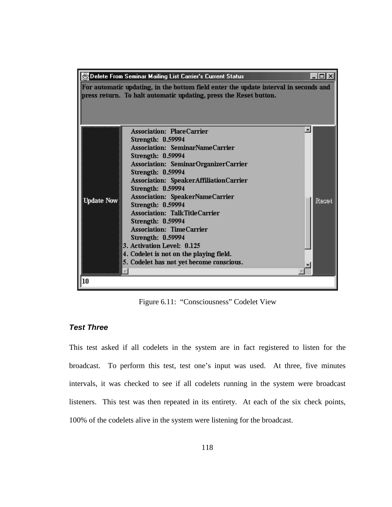| $\Box$<br>Delete From Seminar Mailing List Carrier's Current Status |                                                                                                                                                                                                                                                                                                                                                                                                                                                                                                                                                                               |       |  |  |
|---------------------------------------------------------------------|-------------------------------------------------------------------------------------------------------------------------------------------------------------------------------------------------------------------------------------------------------------------------------------------------------------------------------------------------------------------------------------------------------------------------------------------------------------------------------------------------------------------------------------------------------------------------------|-------|--|--|
|                                                                     | For automatic updating, in the bottom field enter the update interval in seconds and<br>press return. To halt automatic updating, press the Reset button.                                                                                                                                                                                                                                                                                                                                                                                                                     |       |  |  |
| <b>Update Now</b>                                                   | $\blacktriangle$<br><b>Association: PlaceCarrier</b><br>Strength: 0.59994<br><b>Association: SeminarNameCarrier</b><br>Strength: 0.59994<br>Association: SeminarOrganizerCarrier<br>Strength: 0.59994<br>Association: SpeakerAffiliationCarrier<br>Strength: 0.59994<br>Association: SpeakerNameCarrier<br>Strength: 0.59994<br><b>Association: TalkTitleCarrier</b><br><b>Strength: 0.59994</b><br><b>Association: TimeCarrier</b><br>Strength: 0.59994<br>3. Activation Level: 0.125<br>4. Codelet is not on the playing field.<br>5. Codelet has not yet become conscious. | Recei |  |  |
| 10                                                                  |                                                                                                                                                                                                                                                                                                                                                                                                                                                                                                                                                                               |       |  |  |

Figure 6.11: "Consciousness" Codelet View

# **Test Three**

This test asked if all codelets in the system are in fact registered to listen for the broadcast. To perform this test, test one's input was used. At three, five minutes intervals, it was checked to see if all codelets running in the system were broadcast listeners. This test was then repeated in its entirety. At each of the six check points, 100% of the codelets alive in the system were listening for the broadcast.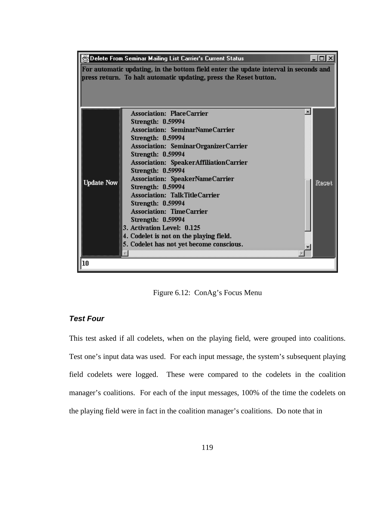

Figure 6.12: ConAg's Focus Menu

### **Test Four**

This test asked if all codelets, when on the playing field, were grouped into coalitions. Test one's input data was used. For each input message, the system's subsequent playing field codelets were logged. These were compared to the codelets in the coalition manager's coalitions. For each of the input messages, 100% of the time the codelets on the playing field were in fact in the coalition manager's coalitions. Do note that in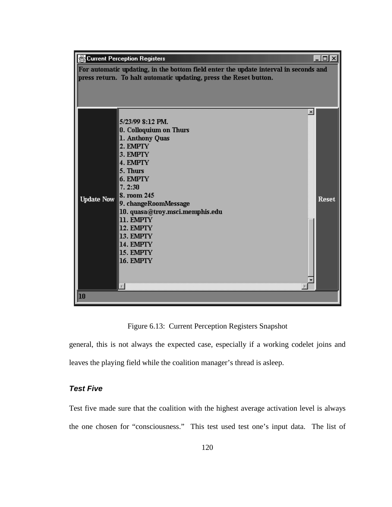| <u> - 미지</u><br><b>Current Perception Registers</b> |                                                                                      |              |  |  |
|-----------------------------------------------------|--------------------------------------------------------------------------------------|--------------|--|--|
|                                                     | For automatic updating, in the bottom field enter the update interval in seconds and |              |  |  |
|                                                     | press return. To halt automatic updating, press the Reset button.                    |              |  |  |
|                                                     |                                                                                      |              |  |  |
|                                                     |                                                                                      |              |  |  |
|                                                     |                                                                                      |              |  |  |
|                                                     | 5/23/99 8:12 PM.                                                                     |              |  |  |
|                                                     | 0. Colloquium on Thurs                                                               |              |  |  |
|                                                     | 1. Anthony Quas                                                                      |              |  |  |
|                                                     | 2. EMPTY                                                                             |              |  |  |
|                                                     | 3. EMPTY                                                                             |              |  |  |
|                                                     | 4. EMPTY                                                                             |              |  |  |
|                                                     | 5. Thurs                                                                             |              |  |  |
|                                                     | 6. EMPTY                                                                             |              |  |  |
|                                                     | 7.2:30<br>8. room 245                                                                |              |  |  |
| <b>Update Now</b>                                   | 9. changeRoomMessage                                                                 | <b>Reset</b> |  |  |
|                                                     | 10. quasa@troy.msci.memphis.edu                                                      |              |  |  |
|                                                     | 11. EMPTY                                                                            |              |  |  |
|                                                     | 12. EMPTY                                                                            |              |  |  |
|                                                     | 13. EMPTY                                                                            |              |  |  |
|                                                     | 14. EMPTY                                                                            |              |  |  |
|                                                     | 15. EMPTY                                                                            |              |  |  |
|                                                     | 16. EMPTY                                                                            |              |  |  |
|                                                     |                                                                                      |              |  |  |
|                                                     |                                                                                      |              |  |  |
| 10                                                  |                                                                                      |              |  |  |
|                                                     |                                                                                      |              |  |  |

Figure 6.13: Current Perception Registers Snapshot

general, this is not always the expected case, especially if a working codelet joins and leaves the playing field while the coalition manager's thread is asleep.

# **Test Five**

Test five made sure that the coalition with the highest average activation level is always the one chosen for "consciousness." This test used test one's input data. The list of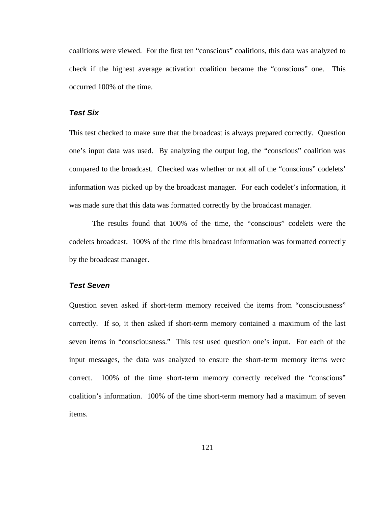coalitions were viewed. For the first ten "conscious" coalitions, this data was analyzed to check if the highest average activation coalition became the "conscious" one. This occurred 100% of the time.

#### **Test Six**

This test checked to make sure that the broadcast is always prepared correctly. Question one's input data was used. By analyzing the output log, the "conscious" coalition was compared to the broadcast. Checked was whether or not all of the "conscious" codelets' information was picked up by the broadcast manager. For each codelet's information, it was made sure that this data was formatted correctly by the broadcast manager.

The results found that 100% of the time, the "conscious" codelets were the codelets broadcast. 100% of the time this broadcast information was formatted correctly by the broadcast manager.

#### **Test Seven**

Question seven asked if short-term memory received the items from "consciousness" correctly. If so, it then asked if short-term memory contained a maximum of the last seven items in "consciousness." This test used question one's input. For each of the input messages, the data was analyzed to ensure the short-term memory items were correct. 100% of the time short-term memory correctly received the "conscious" coalition's information. 100% of the time short-term memory had a maximum of seven items.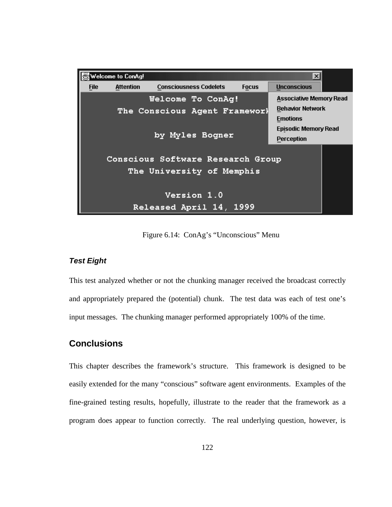|                                                                                     | Welcome to ConAg! |                               |              | $\boldsymbol{\times}$                                                                                       |
|-------------------------------------------------------------------------------------|-------------------|-------------------------------|--------------|-------------------------------------------------------------------------------------------------------------|
| <b>File</b>                                                                         | <b>Attention</b>  | <b>Consciousness Codelets</b> | <b>Focus</b> | <b>Unconscious</b>                                                                                          |
| Welcome To ConAg!<br>The Conscious Agent Frameworl<br>by Myles Bogner               |                   |                               |              | <b>Associative Memory Read</b><br><b>Behavior Network</b><br><b>Emotions</b><br><b>Episodic Memory Read</b> |
| <b>Perception</b><br>Conscious Software Research Group<br>The University of Memphis |                   |                               |              |                                                                                                             |
| <b>Version 1.0</b><br>Released April 14, 1999                                       |                   |                               |              |                                                                                                             |

Figure 6.14: ConAg's "Unconscious" Menu

# **Test Eight**

This test analyzed whether or not the chunking manager received the broadcast correctly and appropriately prepared the (potential) chunk. The test data was each of test one's input messages. The chunking manager performed appropriately 100% of the time.

# **Conclusions**

This chapter describes the framework's structure. This framework is designed to be easily extended for the many "conscious" software agent environments. Examples of the fine-grained testing results, hopefully, illustrate to the reader that the framework as a program does appear to function correctly. The real underlying question, however, is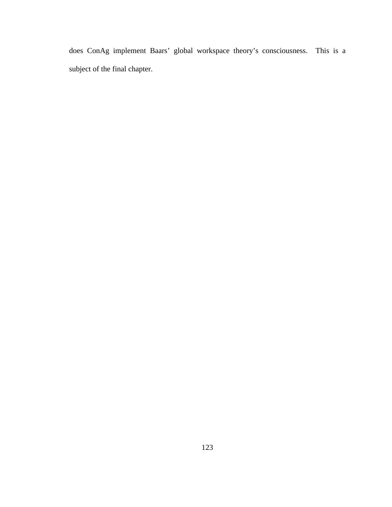does ConAg implement Baars' global workspace theory's consciousness. This is a subject of the final chapter.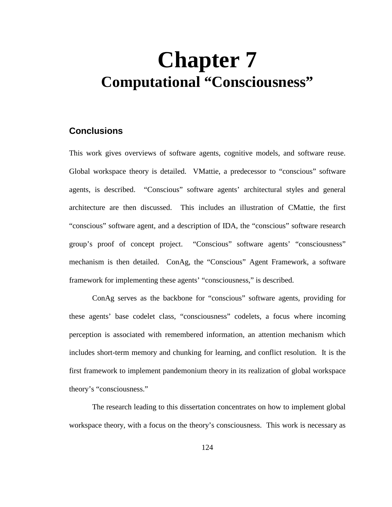# **Chapter 7 Computational "Consciousness"**

# **Conclusions**

This work gives overviews of software agents, cognitive models, and software reuse. Global workspace theory is detailed. VMattie, a predecessor to "conscious" software agents, is described. "Conscious" software agents' architectural styles and general architecture are then discussed. This includes an illustration of CMattie, the first "conscious" software agent, and a description of IDA, the "conscious" software research group's proof of concept project. "Conscious" software agents' "consciousness" mechanism is then detailed. ConAg, the "Conscious" Agent Framework, a software framework for implementing these agents' "consciousness," is described.

ConAg serves as the backbone for "conscious" software agents, providing for these agents' base codelet class, "consciousness" codelets, a focus where incoming perception is associated with remembered information, an attention mechanism which includes short-term memory and chunking for learning, and conflict resolution. It is the first framework to implement pandemonium theory in its realization of global workspace theory's "consciousness."

The research leading to this dissertation concentrates on how to implement global workspace theory, with a focus on the theory's consciousness. This work is necessary as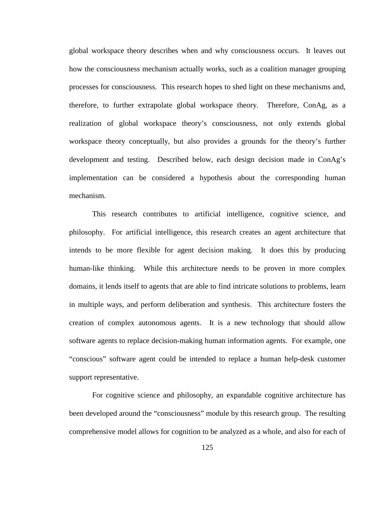global workspace theory describes when and why consciousness occurs. It leaves out how the consciousness mechanism actually works, such as a coalition manager grouping processes for consciousness. This research hopes to shed light on these mechanisms and, therefore, to further extrapolate global workspace theory. Therefore, ConAg, as a realization of global workspace theory's consciousness, not only extends global workspace theory conceptually, but also provides a grounds for the theory's further development and testing. Described below, each design decision made in ConAg's implementation can be considered a hypothesis about the corresponding human mechanism.

This research contributes to artificial intelligence, cognitive science, and philosophy. For artificial intelligence, this research creates an agent architecture that intends to be more flexible for agent decision making. It does this by producing human-like thinking. While this architecture needs to be proven in more complex domains, it lends itself to agents that are able to find intricate solutions to problems, learn in multiple ways, and perform deliberation and synthesis. This architecture fosters the creation of complex autonomous agents. It is a new technology that should allow software agents to replace decision-making human information agents. For example, one "conscious" software agent could be intended to replace a human help-desk customer support representative.

For cognitive science and philosophy, an expandable cognitive architecture has been developed around the "consciousness" module by this research group. The resulting comprehensive model allows for cognition to be analyzed as a whole, and also for each of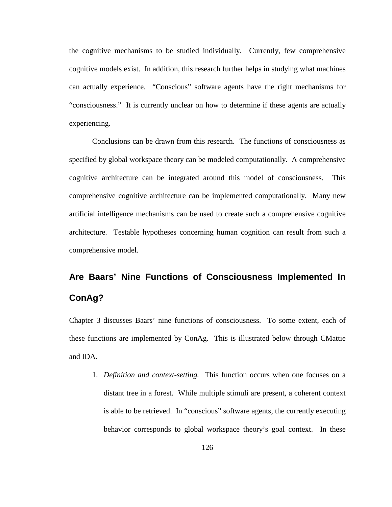the cognitive mechanisms to be studied individually. Currently, few comprehensive cognitive models exist. In addition, this research further helps in studying what machines can actually experience. "Conscious" software agents have the right mechanisms for "consciousness." It is currently unclear on how to determine if these agents are actually experiencing.

Conclusions can be drawn from this research. The functions of consciousness as specified by global workspace theory can be modeled computationally. A comprehensive cognitive architecture can be integrated around this model of consciousness. This comprehensive cognitive architecture can be implemented computationally. Many new artificial intelligence mechanisms can be used to create such a comprehensive cognitive architecture. Testable hypotheses concerning human cognition can result from such a comprehensive model.

# **Are Baars' Nine Functions of Consciousness Implemented In ConAg?**

Chapter 3 discusses Baars' nine functions of consciousness. To some extent, each of these functions are implemented by ConAg. This is illustrated below through CMattie and IDA.

1. *Definition and context-setting.* This function occurs when one focuses on a distant tree in a forest. While multiple stimuli are present, a coherent context is able to be retrieved. In "conscious" software agents, the currently executing behavior corresponds to global workspace theory's goal context. In these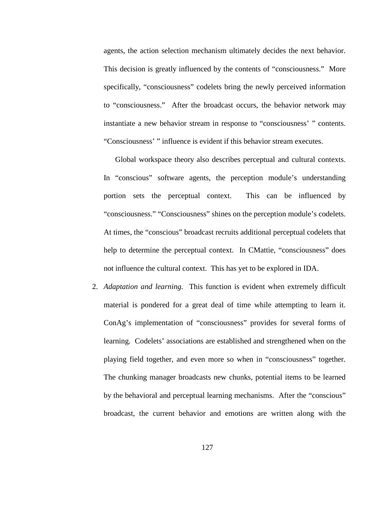agents, the action selection mechanism ultimately decides the next behavior. This decision is greatly influenced by the contents of "consciousness." More specifically, "consciousness" codelets bring the newly perceived information to "consciousness." After the broadcast occurs, the behavior network may instantiate a new behavior stream in response to "consciousness' " contents. "Consciousness' " influence is evident if this behavior stream executes.

Global workspace theory also describes perceptual and cultural contexts. In "conscious" software agents, the perception module's understanding portion sets the perceptual context. This can be influenced by "consciousness." "Consciousness" shines on the perception module's codelets. At times, the "conscious" broadcast recruits additional perceptual codelets that help to determine the perceptual context. In CMattie, "consciousness" does not influence the cultural context. This has yet to be explored in IDA.

2. *Adaptation and learning.* This function is evident when extremely difficult material is pondered for a great deal of time while attempting to learn it. ConAg's implementation of "consciousness" provides for several forms of learning. Codelets' associations are established and strengthened when on the playing field together, and even more so when in "consciousness" together. The chunking manager broadcasts new chunks, potential items to be learned by the behavioral and perceptual learning mechanisms. After the "conscious" broadcast, the current behavior and emotions are written along with the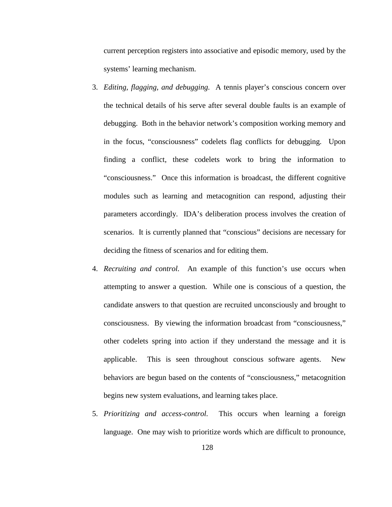current perception registers into associative and episodic memory, used by the systems' learning mechanism.

- 3. *Editing, flagging, and debugging.* A tennis player's conscious concern over the technical details of his serve after several double faults is an example of debugging. Both in the behavior network's composition working memory and in the focus, "consciousness" codelets flag conflicts for debugging. Upon finding a conflict, these codelets work to bring the information to "consciousness." Once this information is broadcast, the different cognitive modules such as learning and metacognition can respond, adjusting their parameters accordingly. IDA's deliberation process involves the creation of scenarios. It is currently planned that "conscious" decisions are necessary for deciding the fitness of scenarios and for editing them.
- 4. *Recruiting and control.* An example of this function's use occurs when attempting to answer a question. While one is conscious of a question, the candidate answers to that question are recruited unconsciously and brought to consciousness. By viewing the information broadcast from "consciousness," other codelets spring into action if they understand the message and it is applicable. This is seen throughout conscious software agents. New behaviors are begun based on the contents of "consciousness," metacognition begins new system evaluations, and learning takes place.
- 5. *Prioritizing and access-control.* This occurs when learning a foreign language. One may wish to prioritize words which are difficult to pronounce,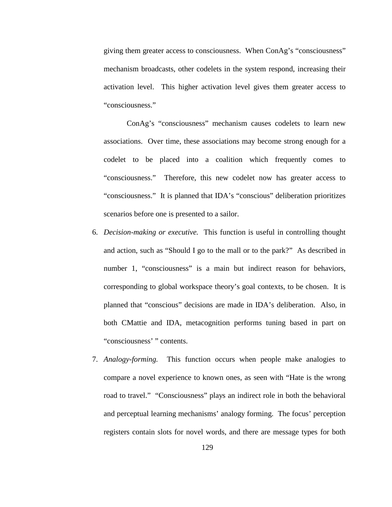giving them greater access to consciousness. When ConAg's "consciousness" mechanism broadcasts, other codelets in the system respond, increasing their activation level. This higher activation level gives them greater access to "consciousness."

ConAg's "consciousness" mechanism causes codelets to learn new associations. Over time, these associations may become strong enough for a codelet to be placed into a coalition which frequently comes to "consciousness." Therefore, this new codelet now has greater access to "consciousness." It is planned that IDA's "conscious" deliberation prioritizes scenarios before one is presented to a sailor.

- 6. *Decision-making or executive.* This function is useful in controlling thought and action, such as "Should I go to the mall or to the park?" As described in number 1, "consciousness" is a main but indirect reason for behaviors, corresponding to global workspace theory's goal contexts, to be chosen. It is planned that "conscious" decisions are made in IDA's deliberation. Also, in both CMattie and IDA, metacognition performs tuning based in part on "consciousness' " contents.
- 7. *Analogy-forming.* This function occurs when people make analogies to compare a novel experience to known ones, as seen with "Hate is the wrong road to travel." "Consciousness" plays an indirect role in both the behavioral and perceptual learning mechanisms' analogy forming. The focus' perception registers contain slots for novel words, and there are message types for both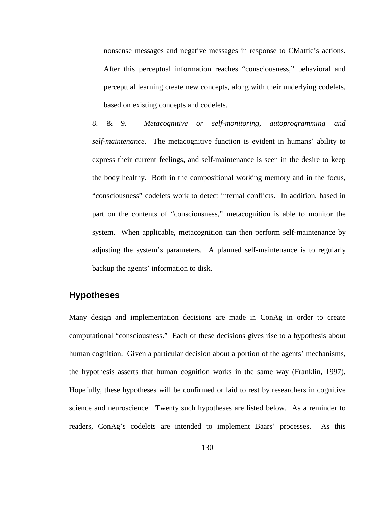nonsense messages and negative messages in response to CMattie's actions. After this perceptual information reaches "consciousness," behavioral and perceptual learning create new concepts, along with their underlying codelets, based on existing concepts and codelets.

8. & 9. *Metacognitive or self-monitoring, autoprogramming and self-maintenance.* The metacognitive function is evident in humans' ability to express their current feelings, and self-maintenance is seen in the desire to keep the body healthy. Both in the compositional working memory and in the focus, "consciousness" codelets work to detect internal conflicts. In addition, based in part on the contents of "consciousness," metacognition is able to monitor the system. When applicable, metacognition can then perform self-maintenance by adjusting the system's parameters. A planned self-maintenance is to regularly backup the agents' information to disk.

## **Hypotheses**

Many design and implementation decisions are made in ConAg in order to create computational "consciousness." Each of these decisions gives rise to a hypothesis about human cognition. Given a particular decision about a portion of the agents' mechanisms, the hypothesis asserts that human cognition works in the same way (Franklin, 1997). Hopefully, these hypotheses will be confirmed or laid to rest by researchers in cognitive science and neuroscience. Twenty such hypotheses are listed below. As a reminder to readers, ConAg's codelets are intended to implement Baars' processes. As this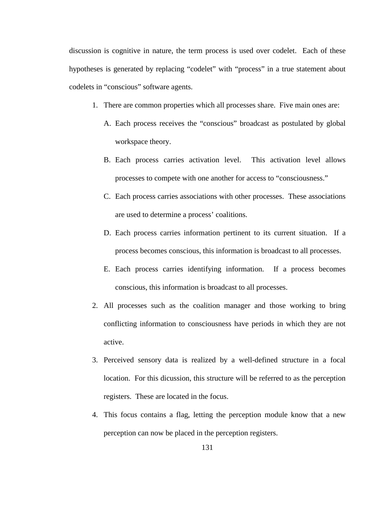discussion is cognitive in nature, the term process is used over codelet. Each of these hypotheses is generated by replacing "codelet" with "process" in a true statement about codelets in "conscious" software agents.

- 1. There are common properties which all processes share. Five main ones are:
	- A. Each process receives the "conscious" broadcast as postulated by global workspace theory.
	- B. Each process carries activation level. This activation level allows processes to compete with one another for access to "consciousness."
	- C. Each process carries associations with other processes. These associations are used to determine a process' coalitions.
	- D. Each process carries information pertinent to its current situation. If a process becomes conscious, this information is broadcast to all processes.
	- E. Each process carries identifying information. If a process becomes conscious, this information is broadcast to all processes.
- 2. All processes such as the coalition manager and those working to bring conflicting information to consciousness have periods in which they are not active.
- 3. Perceived sensory data is realized by a well-defined structure in a focal location. For this dicussion, this structure will be referred to as the perception registers. These are located in the focus.
- 4. This focus contains a flag, letting the perception module know that a new perception can now be placed in the perception registers.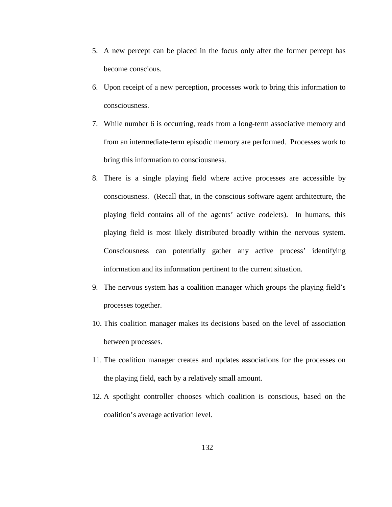- 5. A new percept can be placed in the focus only after the former percept has become conscious.
- 6. Upon receipt of a new perception, processes work to bring this information to consciousness.
- 7. While number 6 is occurring, reads from a long-term associative memory and from an intermediate-term episodic memory are performed. Processes work to bring this information to consciousness.
- 8. There is a single playing field where active processes are accessible by consciousness. (Recall that, in the conscious software agent architecture, the playing field contains all of the agents' active codelets). In humans, this playing field is most likely distributed broadly within the nervous system. Consciousness can potentially gather any active process' identifying information and its information pertinent to the current situation.
- 9. The nervous system has a coalition manager which groups the playing field's processes together.
- 10. This coalition manager makes its decisions based on the level of association between processes.
- 11. The coalition manager creates and updates associations for the processes on the playing field, each by a relatively small amount.
- 12. A spotlight controller chooses which coalition is conscious, based on the coalition's average activation level.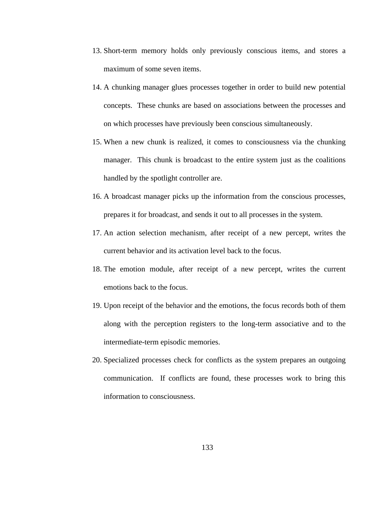- 13. Short-term memory holds only previously conscious items, and stores a maximum of some seven items.
- 14. A chunking manager glues processes together in order to build new potential concepts. These chunks are based on associations between the processes and on which processes have previously been conscious simultaneously.
- 15. When a new chunk is realized, it comes to consciousness via the chunking manager. This chunk is broadcast to the entire system just as the coalitions handled by the spotlight controller are.
- 16. A broadcast manager picks up the information from the conscious processes, prepares it for broadcast, and sends it out to all processes in the system.
- 17. An action selection mechanism, after receipt of a new percept, writes the current behavior and its activation level back to the focus.
- 18. The emotion module, after receipt of a new percept, writes the current emotions back to the focus.
- 19. Upon receipt of the behavior and the emotions, the focus records both of them along with the perception registers to the long-term associative and to the intermediate-term episodic memories.
- 20. Specialized processes check for conflicts as the system prepares an outgoing communication. If conflicts are found, these processes work to bring this information to consciousness.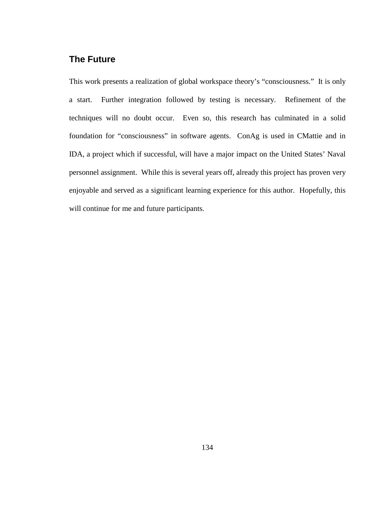## **The Future**

This work presents a realization of global workspace theory's "consciousness." It is only a start. Further integration followed by testing is necessary. Refinement of the techniques will no doubt occur. Even so, this research has culminated in a solid foundation for "consciousness" in software agents. ConAg is used in CMattie and in IDA, a project which if successful, will have a major impact on the United States' Naval personnel assignment. While this is several years off, already this project has proven very enjoyable and served as a significant learning experience for this author. Hopefully, this will continue for me and future participants.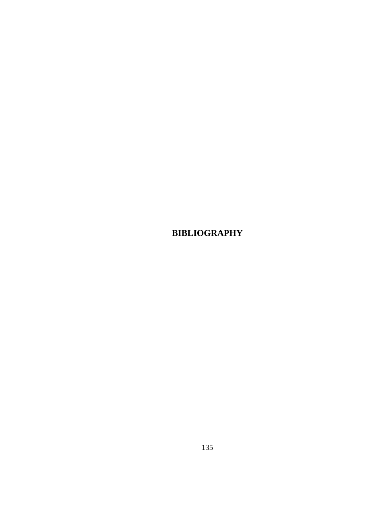**BIBLIOGRAPHY**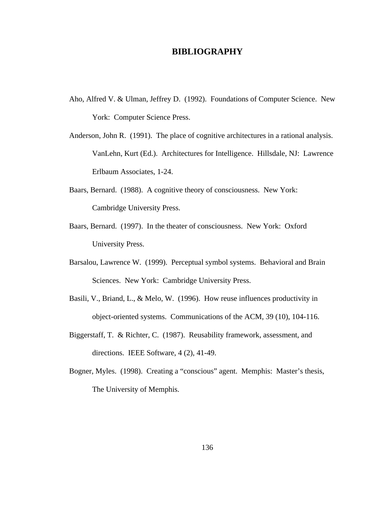## **BIBLIOGRAPHY**

- Aho, Alfred V. & Ulman, Jeffrey D. (1992). Foundations of Computer Science. New York: Computer Science Press.
- Anderson, John R. (1991). The place of cognitive architectures in a rational analysis. VanLehn, Kurt (Ed.). Architectures for Intelligence. Hillsdale, NJ: Lawrence Erlbaum Associates, 1-24.
- Baars, Bernard. (1988). A cognitive theory of consciousness. New York: Cambridge University Press.
- Baars, Bernard. (1997). In the theater of consciousness. New York: Oxford University Press.
- Barsalou, Lawrence W. (1999). Perceptual symbol systems. Behavioral and Brain Sciences. New York: Cambridge University Press.
- Basili, V., Briand, L., & Melo, W. (1996). How reuse influences productivity in object-oriented systems. Communications of the ACM, 39 (10), 104-116.
- Biggerstaff, T. & Richter, C. (1987). Reusability framework, assessment, and directions. IEEE Software, 4 (2), 41-49.
- Bogner, Myles. (1998). Creating a "conscious" agent. Memphis: Master's thesis, The University of Memphis.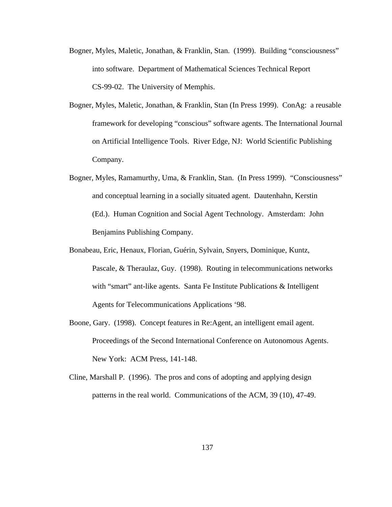- Bogner, Myles, Maletic, Jonathan, & Franklin, Stan. (1999). Building "consciousness" into software. Department of Mathematical Sciences Technical Report CS-99-02. The University of Memphis.
- Bogner, Myles, Maletic, Jonathan, & Franklin, Stan (In Press 1999). ConAg: a reusable framework for developing "conscious" software agents. The International Journal on Artificial Intelligence Tools. River Edge, NJ: World Scientific Publishing Company.
- Bogner, Myles, Ramamurthy, Uma, & Franklin, Stan. (In Press 1999). "Consciousness" and conceptual learning in a socially situated agent. Dautenhahn, Kerstin (Ed.). Human Cognition and Social Agent Technology. Amsterdam: John Benjamins Publishing Company.
- Bonabeau, Eric, Henaux, Florian, Guérin, Sylvain, Snyers, Dominique, Kuntz, Pascale, & Theraulaz, Guy. (1998). Routing in telecommunications networks with "smart" ant-like agents. Santa Fe Institute Publications & Intelligent Agents for Telecommunications Applications '98.
- Boone, Gary. (1998). Concept features in Re:Agent, an intelligent email agent. Proceedings of the Second International Conference on Autonomous Agents. New York: ACM Press, 141-148.
- Cline, Marshall P. (1996). The pros and cons of adopting and applying design patterns in the real world. Communications of the ACM, 39 (10), 47-49.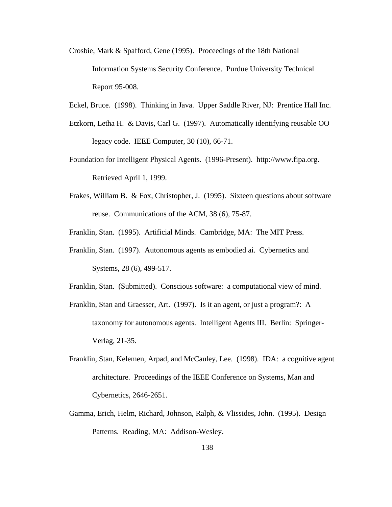- Crosbie, Mark & Spafford, Gene (1995). Proceedings of the 18th National Information Systems Security Conference. Purdue University Technical Report 95-008.
- Eckel, Bruce. (1998). Thinking in Java. Upper Saddle River, NJ: Prentice Hall Inc.
- Etzkorn, Letha H. & Davis, Carl G. (1997). Automatically identifying reusable OO legacy code. IEEE Computer, 30 (10), 66-71.
- Foundation for Intelligent Physical Agents. (1996-Present). http://www.fipa.org. Retrieved April 1, 1999.
- Frakes, William B. & Fox, Christopher, J. (1995). Sixteen questions about software reuse. Communications of the ACM, 38 (6), 75-87.

Franklin, Stan. (1995). Artificial Minds. Cambridge, MA: The MIT Press.

Franklin, Stan. (1997). Autonomous agents as embodied ai. Cybernetics and Systems, 28 (6), 499-517.

Franklin, Stan. (Submitted). Conscious software: a computational view of mind.

- Franklin, Stan and Graesser, Art. (1997). Is it an agent, or just a program?: A taxonomy for autonomous agents. Intelligent Agents III. Berlin: Springer-Verlag, 21-35.
- Franklin, Stan, Kelemen, Arpad, and McCauley, Lee. (1998). IDA: a cognitive agent architecture. Proceedings of the IEEE Conference on Systems, Man and Cybernetics, 2646-2651.
- Gamma, Erich, Helm, Richard, Johnson, Ralph, & Vlissides, John. (1995). Design Patterns. Reading, MA: Addison-Wesley.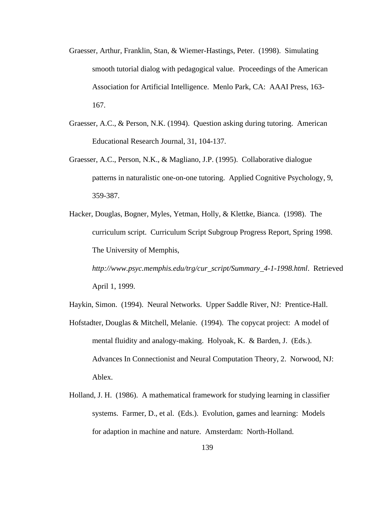- Graesser, Arthur, Franklin, Stan, & Wiemer-Hastings, Peter. (1998). Simulating smooth tutorial dialog with pedagogical value. Proceedings of the American Association for Artificial Intelligence. Menlo Park, CA: AAAI Press, 163- 167.
- Graesser, A.C., & Person, N.K. (1994). Question asking during tutoring. American Educational Research Journal, 31, 104-137.
- Graesser, A.C., Person, N.K., & Magliano, J.P. (1995). Collaborative dialogue patterns in naturalistic one-on-one tutoring. Applied Cognitive Psychology, 9, 359-387.
- Hacker, Douglas, Bogner, Myles, Yetman, Holly, & Klettke, Bianca. (1998). The curriculum script. Curriculum Script Subgroup Progress Report, Spring 1998. The University of Memphis,

*http://www.psyc.memphis.edu/trg/cur\_script/Summary\_4-1-1998.html*. Retrieved April 1, 1999.

- Haykin, Simon. (1994). Neural Networks. Upper Saddle River, NJ: Prentice-Hall.
- Hofstadter, Douglas & Mitchell, Melanie. (1994). The copycat project: A model of mental fluidity and analogy-making. Holyoak, K. & Barden, J. (Eds.). Advances In Connectionist and Neural Computation Theory, 2. Norwood, NJ: Ablex.
- Holland, J. H. (1986). A mathematical framework for studying learning in classifier systems. Farmer, D., et al. (Eds.). Evolution, games and learning: Models for adaption in machine and nature. Amsterdam: North-Holland.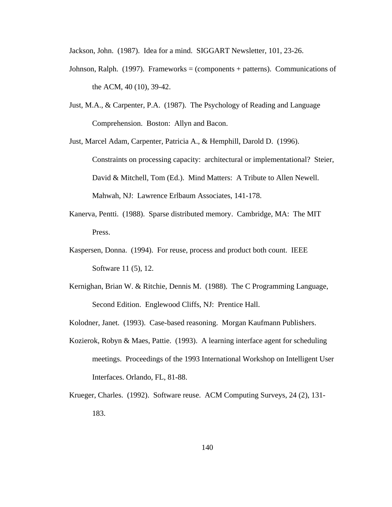Jackson, John. (1987). Idea for a mind. SIGGART Newsletter, 101, 23-26.

- Johnson, Ralph.  $(1997)$ . Frameworks = (components + patterns). Communications of the ACM, 40 (10), 39-42.
- Just, M.A., & Carpenter, P.A. (1987). The Psychology of Reading and Language Comprehension. Boston: Allyn and Bacon.
- Just, Marcel Adam, Carpenter, Patricia A., & Hemphill, Darold D. (1996). Constraints on processing capacity: architectural or implementational? Steier, David & Mitchell, Tom (Ed.). Mind Matters: A Tribute to Allen Newell. Mahwah, NJ: Lawrence Erlbaum Associates, 141-178.
- Kanerva, Pentti. (1988). Sparse distributed memory. Cambridge, MA: The MIT Press.
- Kaspersen, Donna. (1994). For reuse, process and product both count. IEEE Software 11 (5), 12.
- Kernighan, Brian W. & Ritchie, Dennis M. (1988). The C Programming Language, Second Edition. Englewood Cliffs, NJ: Prentice Hall.
- Kolodner, Janet. (1993). Case-based reasoning. Morgan Kaufmann Publishers.
- Kozierok, Robyn & Maes, Pattie. (1993). A learning interface agent for scheduling meetings. Proceedings of the 1993 International Workshop on Intelligent User Interfaces. Orlando, FL, 81-88.
- Krueger, Charles. (1992). Software reuse. ACM Computing Surveys, 24 (2), 131- 183.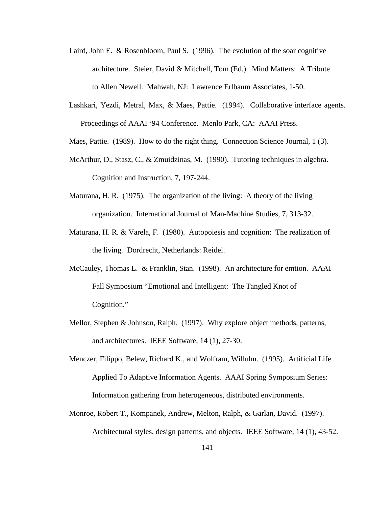- Laird, John E. & Rosenbloom, Paul S. (1996). The evolution of the soar cognitive architecture. Steier, David & Mitchell, Tom (Ed.). Mind Matters: A Tribute to Allen Newell. Mahwah, NJ: Lawrence Erlbaum Associates, 1-50.
- Lashkari, Yezdi, Metral, Max, & Maes, Pattie. (1994). Collaborative interface agents. Proceedings of AAAI '94 Conference. Menlo Park, CA: AAAI Press.
- Maes, Pattie. (1989). How to do the right thing. Connection Science Journal, 1 (3).
- McArthur, D., Stasz, C., & Zmuidzinas, M. (1990). Tutoring techniques in algebra. Cognition and Instruction, 7, 197-244.
- Maturana, H. R. (1975). The organization of the living: A theory of the living organization. International Journal of Man-Machine Studies, 7, 313-32.
- Maturana, H. R. & Varela, F. (1980). Autopoiesis and cognition: The realization of the living*.* Dordrecht, Netherlands: Reidel.
- McCauley, Thomas L. & Franklin, Stan. (1998). An architecture for emtion. AAAI Fall Symposium "Emotional and Intelligent: The Tangled Knot of Cognition."
- Mellor, Stephen & Johnson, Ralph. (1997). Why explore object methods, patterns, and architectures. IEEE Software, 14 (1), 27-30.
- Menczer, Filippo, Belew, Richard K., and Wolfram, Willuhn. (1995). Artificial Life Applied To Adaptive Information Agents. AAAI Spring Symposium Series: Information gathering from heterogeneous, distributed environments.
- Monroe, Robert T., Kompanek, Andrew, Melton, Ralph, & Garlan, David. (1997). Architectural styles, design patterns, and objects. IEEE Software, 14 (1), 43-52.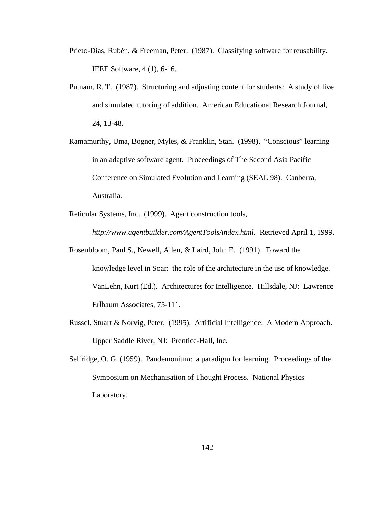- Prieto-Días, Rubén, & Freeman, Peter. (1987). Classifying software for reusability. IEEE Software, 4 (1), 6-16.
- Putnam, R. T. (1987). Structuring and adjusting content for students: A study of live and simulated tutoring of addition. American Educational Research Journal, 24, 13-48.
- Ramamurthy, Uma, Bogner, Myles, & Franklin, Stan. (1998). "Conscious" learning in an adaptive software agent. Proceedings of The Second Asia Pacific Conference on Simulated Evolution and Learning (SEAL 98). Canberra, Australia.
- Reticular Systems, Inc. (1999). Agent construction tools,

*http://www.agentbuilder.com/AgentTools/index.html*. Retrieved April 1, 1999.

- Rosenbloom, Paul S., Newell, Allen, & Laird, John E. (1991). Toward the knowledge level in Soar: the role of the architecture in the use of knowledge. VanLehn, Kurt (Ed.). Architectures for Intelligence. Hillsdale, NJ: Lawrence Erlbaum Associates, 75-111.
- Russel, Stuart & Norvig, Peter. (1995). Artificial Intelligence: A Modern Approach. Upper Saddle River, NJ: Prentice-Hall, Inc.
- Selfridge, O. G. (1959). Pandemonium: a paradigm for learning. Proceedings of the Symposium on Mechanisation of Thought Process. National Physics Laboratory.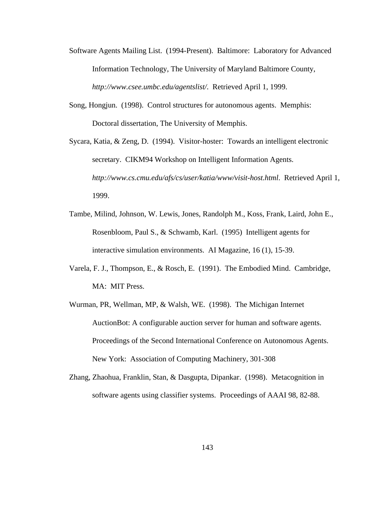- Software Agents Mailing List. (1994-Present). Baltimore: Laboratory for Advanced Information Technology, The University of Maryland Baltimore County, *http://www.csee.umbc.edu/agentslist/*. Retrieved April 1, 1999.
- Song, Hongjun. (1998). Control structures for autonomous agents. Memphis: Doctoral dissertation, The University of Memphis.

Sycara, Katia, & Zeng, D. (1994). Visitor-hoster: Towards an intelligent electronic secretary. CIKM94 Workshop on Intelligent Information Agents. *http://www.cs.cmu.edu/afs/cs/user/katia/www/visit-host.html*. Retrieved April 1, 1999.

- Tambe, Milind, Johnson, W. Lewis, Jones, Randolph M., Koss, Frank, Laird, John E., Rosenbloom, Paul S., & Schwamb, Karl. (1995) Intelligent agents for interactive simulation environments. AI Magazine, 16 (1), 15-39.
- Varela, F. J., Thompson, E., & Rosch, E. (1991). The Embodied Mind. Cambridge, MA: MIT Press.
- Wurman, PR, Wellman, MP, & Walsh, WE. (1998). The Michigan Internet AuctionBot: A configurable auction server for human and software agents. Proceedings of the Second International Conference on Autonomous Agents. New York: Association of Computing Machinery, 301-308
- Zhang, Zhaohua, Franklin, Stan, & Dasgupta, Dipankar. (1998). Metacognition in software agents using classifier systems. Proceedings of AAAI 98, 82-88.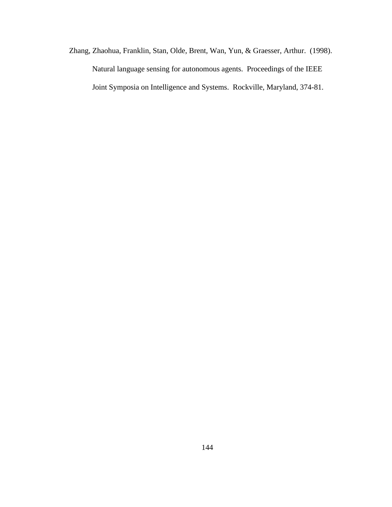Zhang, Zhaohua, Franklin, Stan, Olde, Brent, Wan, Yun, & Graesser, Arthur. (1998). Natural language sensing for autonomous agents. Proceedings of the IEEE Joint Symposia on Intelligence and Systems. Rockville, Maryland, 374-81.